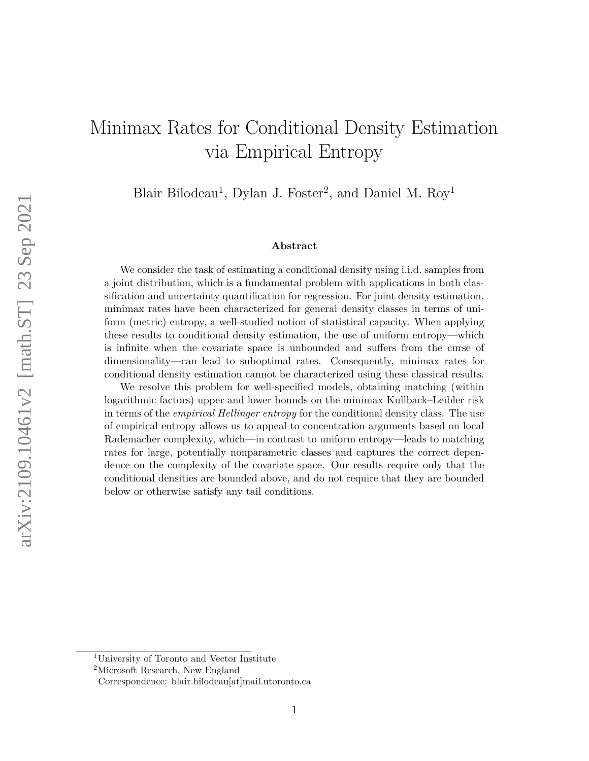# Minimax Rates for Conditional Density Estimation via Empirical Entropy

Blair Bilodeau<sup>1</sup>, Dylan J. Foster<sup>2</sup>, and Daniel M. Roy<sup>1</sup>

#### **Abstract**

We consider the task of estimating a conditional density using i.i.d. samples from a joint distribution, which is a fundamental problem with applications in both classification and uncertainty quantification for regression. For joint density estimation, minimax rates have been characterized for general density classes in terms of uniform (metric) entropy, a well-studied notion of statistical capacity. When applying these results to conditional density estimation, the use of uniform entropy—which is infinite when the covariate space is unbounded and suffers from the curse of dimensionality—can lead to suboptimal rates. Consequently, minimax rates for conditional density estimation cannot be characterized using these classical results.

We resolve this problem for well-specified models, obtaining matching (within logarithmic factors) upper and lower bounds on the minimax Kullback–Leibler risk in terms of the *empirical Hellinger entropy* for the conditional density class. The use of empirical entropy allows us to appeal to concentration arguments based on local Rademacher complexity, which—in contrast to uniform entropy—leads to matching rates for large, potentially nonparametric classes and captures the correct dependence on the complexity of the covariate space. Our results require only that the conditional densities are bounded above, and do not require that they are bounded below or otherwise satisfy any tail conditions.

<sup>1</sup>University of Toronto and Vector Institute

<sup>2</sup>Microsoft Research, New England

Correspondence: blair.bilodeau[at]mail.utoronto.ca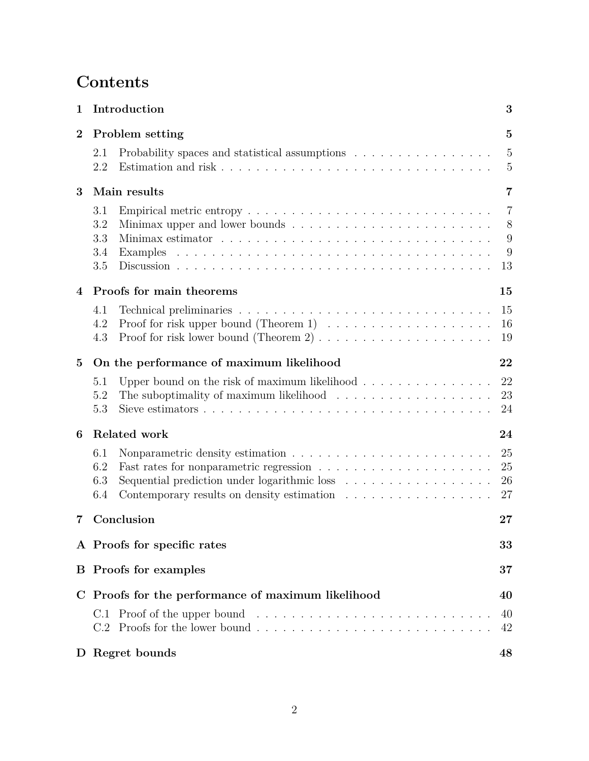# **Contents**

<span id="page-1-0"></span>

| $\mathbf{1}$                 | Introduction                                                                                                                                                                                                                                                 | 3                                   |  |  |  |
|------------------------------|--------------------------------------------------------------------------------------------------------------------------------------------------------------------------------------------------------------------------------------------------------------|-------------------------------------|--|--|--|
| $\bf{2}$                     | Problem setting                                                                                                                                                                                                                                              | $\overline{5}$                      |  |  |  |
|                              | Probability spaces and statistical assumptions<br>2.1<br>2.2                                                                                                                                                                                                 | $\overline{5}$<br>5                 |  |  |  |
| 3                            | Main results                                                                                                                                                                                                                                                 | $\overline{7}$                      |  |  |  |
|                              | 3.1<br>3.2<br>3.3<br>3.4<br>3.5                                                                                                                                                                                                                              | $\overline{7}$<br>8<br>9<br>9<br>13 |  |  |  |
| 4                            | Proofs for main theorems                                                                                                                                                                                                                                     |                                     |  |  |  |
|                              | 4.1<br>4.2<br>Proof for risk lower bound (Theorem 2) $\ldots \ldots \ldots \ldots \ldots \ldots$<br>4.3                                                                                                                                                      | 15<br>16<br>19                      |  |  |  |
| $\bf{5}$                     | On the performance of maximum likelihood                                                                                                                                                                                                                     |                                     |  |  |  |
|                              | Upper bound on the risk of maximum likelihood<br>5.1<br>The suboptimality of maximum likelihood $\ldots \ldots \ldots \ldots \ldots \ldots$<br>5.2<br>5.3<br>Sieve estimators $\ldots \ldots \ldots \ldots \ldots \ldots \ldots \ldots \ldots \ldots \ldots$ | 22<br>23<br>24                      |  |  |  |
| 6                            | Related work                                                                                                                                                                                                                                                 | 24                                  |  |  |  |
|                              | 6.1<br>6.2<br>6.3<br>Sequential prediction under logarithmic loss $\ldots \ldots \ldots \ldots \ldots$<br>6.4                                                                                                                                                | 25<br>25<br>26<br>27                |  |  |  |
| 7                            | Conclusion                                                                                                                                                                                                                                                   | $\bf{27}$                           |  |  |  |
|                              | A Proofs for specific rates                                                                                                                                                                                                                                  |                                     |  |  |  |
| <b>B</b> Proofs for examples |                                                                                                                                                                                                                                                              |                                     |  |  |  |
|                              | C Proofs for the performance of maximum likelihood                                                                                                                                                                                                           | 40                                  |  |  |  |
|                              |                                                                                                                                                                                                                                                              | 40<br>42                            |  |  |  |
|                              | D Regret bounds                                                                                                                                                                                                                                              | 48                                  |  |  |  |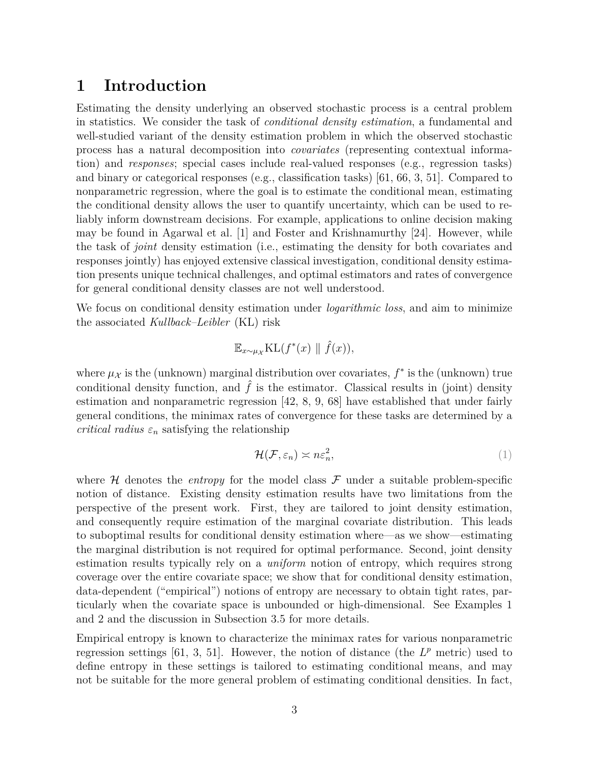# **1 Introduction**

Estimating the density underlying an observed stochastic process is a central problem in statistics. We consider the task of *conditional density estimation*, a fundamental and well-studied variant of the density estimation problem in which the observed stochastic process has a natural decomposition into *covariates* (representing contextual information) and *responses*; special cases include real-valued responses (e.g., regression tasks) and binary or categorical responses (e.g., classification tasks) [\[61,](#page-31-0) [66,](#page-31-1) [3,](#page-27-0) [51\]](#page-30-0). Compared to nonparametric regression, where the goal is to estimate the conditional mean, estimating the conditional density allows the user to quantify uncertainty, which can be used to reliably inform downstream decisions. For example, applications to online decision making may be found in Agarwal et al. [\[1\]](#page-27-1) and Foster and Krishnamurthy [\[24\]](#page-29-0). However, while the task of *joint* density estimation (i.e., estimating the density for both covariates and responses jointly) has enjoyed extensive classical investigation, conditional density estimation presents unique technical challenges, and optimal estimators and rates of convergence for general conditional density classes are not well understood.

We focus on conditional density estimation under *logarithmic loss*, and aim to minimize the associated *Kullback–Leibler* (KL) risk

$$
\mathbb{E}_{x \sim \mu_{\mathcal{X}}} \text{KL}(f^*(x) \parallel \hat{f}(x)),
$$

where  $\mu_{\mathcal{X}}$  is the (unknown) marginal distribution over covariates,  $f^*$  is the (unknown) true conditional density function, and  $\hat{f}$  is the estimator. Classical results in (joint) density estimation and nonparametric regression [\[42,](#page-30-1) [8,](#page-28-0) [9,](#page-28-1) [68\]](#page-32-1) have established that under fairly general conditions, the minimax rates of convergence for these tasks are determined by a *critical radius*  $\varepsilon_n$  satisfying the relationship

<span id="page-2-0"></span>
$$
\mathcal{H}(\mathcal{F}, \varepsilon_n) \asymp n\varepsilon_n^2,\tag{1}
$$

where  $H$  denotes the *entropy* for the model class  $F$  under a suitable problem-specific notion of distance. Existing density estimation results have two limitations from the perspective of the present work. First, they are tailored to joint density estimation, and consequently require estimation of the marginal covariate distribution. This leads to suboptimal results for conditional density estimation where—as we show—estimating the marginal distribution is not required for optimal performance. Second, joint density estimation results typically rely on a *uniform* notion of entropy, which requires strong coverage over the entire covariate space; we show that for conditional density estimation, data-dependent ("empirical") notions of entropy are necessary to obtain tight rates, particularly when the covariate space is unbounded or high-dimensional. See [Examples 1](#page-9-0) and [2](#page-10-0) and the discussion in [Subsection 3.5](#page-12-0) for more details.

Empirical entropy is known to characterize the minimax rates for various nonparametric regression settings [\[61,](#page-31-0) [3,](#page-27-0) [51\]](#page-30-0). However, the notion of distance (the  $L^p$  metric) used to define entropy in these settings is tailored to estimating conditional means, and may not be suitable for the more general problem of estimating conditional densities. In fact,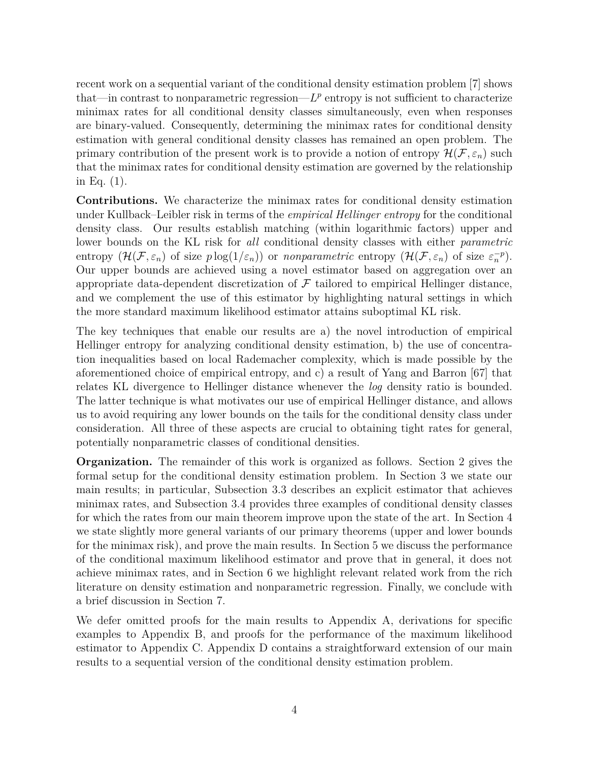recent work on a sequential variant of the conditional density estimation problem [\[7\]](#page-28-2) shows that—in contrast to nonparametric regression— $L^p$  entropy is not sufficient to characterize minimax rates for all conditional density classes simultaneously, even when responses are binary-valued. Consequently, determining the minimax rates for conditional density estimation with general conditional density classes has remained an open problem. The primary contribution of the present work is to provide a notion of entropy  $\mathcal{H}(\mathcal{F}, \varepsilon_n)$  such that the minimax rates for conditional density estimation are governed by the relationship in [Eq. \(1\).](#page-2-0)

**Contributions.** We characterize the minimax rates for conditional density estimation under Kullback–Leibler risk in terms of the *empirical Hellinger entropy* for the conditional density class. Our results establish matching (within logarithmic factors) upper and lower bounds on the KL risk for *all* conditional density classes with either *parametric* entropy  $(\mathcal{H}(\mathcal{F}, \varepsilon_n)$  of size  $p \log(1/\varepsilon_n)$  or *nonparametric* entropy  $(\mathcal{H}(\mathcal{F}, \varepsilon_n)$  of size  $\varepsilon_n^{-p})$ . Our upper bounds are achieved using a novel estimator based on aggregation over an appropriate data-dependent discretization of  $\mathcal F$  tailored to empirical Hellinger distance, and we complement the use of this estimator by highlighting natural settings in which the more standard maximum likelihood estimator attains suboptimal KL risk.

The key techniques that enable our results are a) the novel introduction of empirical Hellinger entropy for analyzing conditional density estimation, b) the use of concentration inequalities based on local Rademacher complexity, which is made possible by the aforementioned choice of empirical entropy, and c) a result of Yang and Barron [\[67\]](#page-31-2) that relates KL divergence to Hellinger distance whenever the *log* density ratio is bounded. The latter technique is what motivates our use of empirical Hellinger distance, and allows us to avoid requiring any lower bounds on the tails for the conditional density class under consideration. All three of these aspects are crucial to obtaining tight rates for general, potentially nonparametric classes of conditional densities.

**Organization.** The remainder of this work is organized as follows. [Section 2](#page-3-0) gives the formal setup for the conditional density estimation problem. In [Section 3](#page-6-0) we state our main results; in particular, [Subsection 3.3](#page-7-0) describes an explicit estimator that achieves minimax rates, and [Subsection 3.4](#page-8-0) provides three examples of conditional density classes for which the rates from our main theorem improve upon the state of the art. In [Section 4](#page-14-0) we state slightly more general variants of our primary theorems (upper and lower bounds for the minimax risk), and prove the main results. In [Section 5](#page-21-0) we discuss the performance of the conditional maximum likelihood estimator and prove that in general, it does not achieve minimax rates, and in [Section 6](#page-23-1) we highlight relevant related work from the rich literature on density estimation and nonparametric regression. Finally, we conclude with a brief discussion in [Section 7.](#page-26-1)

<span id="page-3-0"></span>We defer omitted proofs for the main results to [Appendix A,](#page-32-0) derivations for specific examples to [Appendix B,](#page-36-0) and proofs for the performance of the maximum likelihood estimator to [Appendix C.](#page-38-0) [Appendix D](#page-47-0) contains a straightforward extension of our main results to a sequential version of the conditional density estimation problem.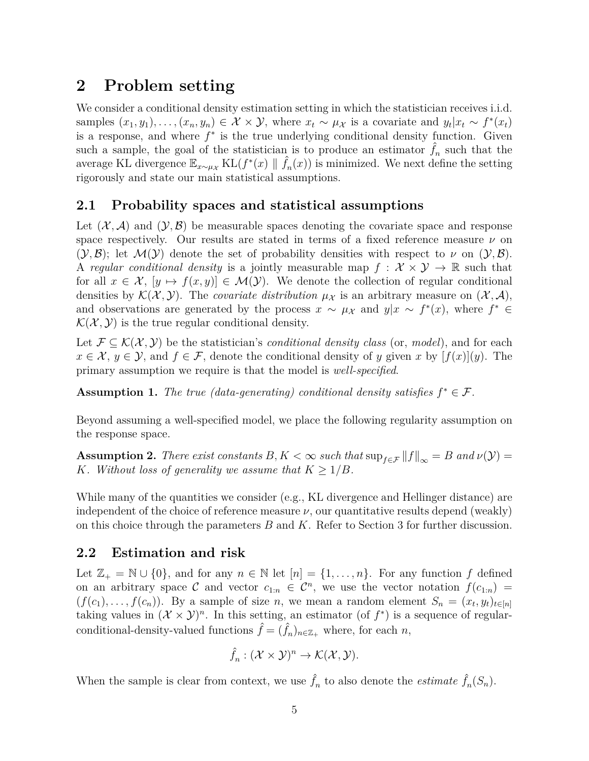# **2 Problem setting**

We consider a conditional density estimation setting in which the statistician receives i.i.d. samples  $(x_1, y_1), \ldots, (x_n, y_n) \in \mathcal{X} \times \mathcal{Y}$ , where  $x_t \sim \mu_{\mathcal{X}}$  is a covariate and  $y_t | x_t \sim f^*(x_t)$ is a response, and where  $f^*$  is the true underlying conditional density function. Given such a sample, the goal of the statistician is to produce an estimator  $\hat{f}_n$  such that the average KL divergence  $\mathbb{E}_{x\sim\mu_X}$  KL $(f^*(x) \parallel \hat{f}_n(x))$  is minimized. We next define the setting rigorously and state our main statistical assumptions.

### <span id="page-4-0"></span>**2.1 Probability spaces and statistical assumptions**

Let  $(X, \mathcal{A})$  and  $(Y, \mathcal{B})$  be measurable spaces denoting the covariate space and response space respectively. Our results are stated in terms of a fixed reference measure *ν* on  $(\mathcal{Y}, \mathcal{B})$ ; let  $\mathcal{M}(\mathcal{Y})$  denote the set of probability densities with respect to  $\nu$  on  $(\mathcal{Y}, \mathcal{B})$ . A *regular conditional density* is a jointly measurable map  $f: \mathcal{X} \times \mathcal{Y} \to \mathbb{R}$  such that for all  $x \in \mathcal{X}$ ,  $[y \mapsto f(x, y)] \in \mathcal{M}(\mathcal{Y})$ . We denote the collection of regular conditional densities by  $\mathcal{K}(\mathcal{X}, \mathcal{Y})$ . The *covariate distribution*  $\mu_{\mathcal{X}}$  is an arbitrary measure on  $(\mathcal{X}, \mathcal{A})$ , and observations are generated by the process  $x \sim \mu_X$  and  $y|x \sim f^*(x)$ , where  $f^* \in$  $\mathcal{K}(\mathcal{X}, \mathcal{Y})$  is the true regular conditional density.

Let  $\mathcal{F} \subseteq \mathcal{K}(\mathcal{X}, \mathcal{Y})$  be the statistician's *conditional density class* (or, *model*), and for each  $x \in \mathcal{X}, y \in \mathcal{Y}, \text{ and } f \in \mathcal{F}, \text{ denote the conditional density of } y \text{ given } x \text{ by } [f(x)](y).$  The primary assumption we require is that the model is *well-specified*.

**Assumption 1.** *The true (data-generating) conditional density satisfies*  $f^* \in \mathcal{F}$ .

Beyond assuming a well-specified model, we place the following regularity assumption on the response space.

<span id="page-4-2"></span>**Assumption 2.** *There exist constants*  $B, K < \infty$  *such that*  $\sup_{f \in \mathcal{F}} ||f||_{\infty} = B$  *and*  $\nu(\mathcal{Y}) =$ *K. Without loss of generality we assume that*  $K \geq 1/B$ *.* 

While many of the quantities we consider (e.g., KL divergence and Hellinger distance) are independent of the choice of reference measure  $\nu$ , our quantitative results depend (weakly) on this choice through the parameters *B* and *K*. Refer to [Section 3](#page-6-0) for further discussion.

### <span id="page-4-1"></span>**2.2 Estimation and risk**

Let  $\mathbb{Z}_+ = \mathbb{N} \cup \{0\}$ , and for any  $n \in \mathbb{N}$  let  $[n] = \{1, \ldots, n\}$ . For any function f defined on an arbitrary space C and vector  $c_{1:n} \in C^n$ , we use the vector notation  $f(c_{1:n}) =$  $(f(c_1), \ldots, f(c_n))$ . By a sample of size *n*, we mean a random element  $S_n = (x_t, y_t)_{t \in [n]}$ taking values in  $(X \times Y)^n$ . In this setting, an estimator (of  $f^*$ ) is a sequence of regularconditional-density-valued functions  $\hat{f} = (\hat{f}_n)_{n \in \mathbb{Z}_+}$  where, for each *n*,

$$
\hat{f}_n : (\mathcal{X} \times \mathcal{Y})^n \to \mathcal{K}(\mathcal{X}, \mathcal{Y}).
$$

When the sample is clear from context, we use  $\hat{f}_n$  to also denote the *estimate*  $\hat{f}_n(S_n)$ .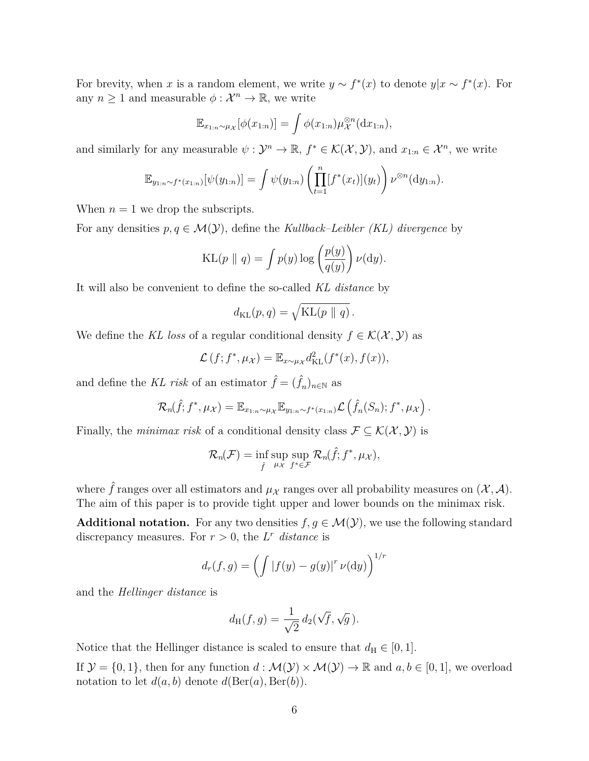For brevity, when *x* is a random element, we write  $y \sim f^*(x)$  to denote  $y|x \sim f^*(x)$ . For any  $n \geq 1$  and measurable  $\phi : \mathcal{X}^n \to \mathbb{R}$ , we write

$$
\mathbb{E}_{x_{1:n}\sim\mu_{\mathcal{X}}}[\phi(x_{1:n})] = \int \phi(x_{1:n})\mu_{\mathcal{X}}^{\otimes n}(\mathrm{d}x_{1:n}),
$$

and similarly for any measurable  $\psi : \mathcal{Y}^n \to \mathbb{R}$ ,  $f^* \in \mathcal{K}(\mathcal{X}, \mathcal{Y})$ , and  $x_{1:n} \in \mathcal{X}^n$ , we write

$$
\mathbb{E}_{y_{1:n} \sim f^*(x_{1:n})}[\psi(y_{1:n})] = \int \psi(y_{1:n}) \left(\prod_{t=1}^n [f^*(x_t)](y_t)\right) \nu^{\otimes n}(\mathrm{d}y_{1:n}).
$$

When  $n = 1$  we drop the subscripts.

For any densities  $p, q \in \mathcal{M}(\mathcal{Y})$ , define the *Kullback–Leibler (KL) divergence* by

KL
$$
(p \parallel q)
$$
 =  $\int p(y) \log \left(\frac{p(y)}{q(y)}\right) \nu(\mathrm{d}y).$ 

It will also be convenient to define the so-called *KL distance* by

$$
d_{\text{KL}}(p,q) = \sqrt{\text{KL}(p \parallel q)}.
$$

We define the *KL loss* of a regular conditional density  $f \in \mathcal{K}(\mathcal{X}, \mathcal{Y})$  as

$$
\mathcal{L}(f; f^*, \mu \chi) = \mathbb{E}_{x \sim \mu \chi} d_{\text{KL}}^2(f^*(x), f(x)),
$$

and define the *KL risk* of an estimator  $\hat{f} = (\hat{f}_n)_{n \in \mathbb{N}}$  as

$$
\mathcal{R}_n(\hat{f};f^*,\mu_{\mathcal{X}})=\mathbb{E}_{x_{1:n}\sim\mu_{\mathcal{X}}}\mathbb{E}_{y_{1:n}\sim f^*(x_{1:n})}\mathcal{L}(\hat{f}_n(S_n);f^*,\mu_{\mathcal{X}}).
$$

Finally, the *minimax risk* of a conditional density class  $\mathcal{F} \subseteq \mathcal{K}(\mathcal{X}, \mathcal{Y})$  is

$$
\mathcal{R}_n(\mathcal{F}) = \inf_{\hat{f}} \sup_{\mu_{\mathcal{X}}} \sup_{f^* \in \mathcal{F}} \mathcal{R}_n(\hat{f}; f^*, \mu_{\mathcal{X}}),
$$

where  $\hat{f}$  ranges over all estimators and  $\mu_{\mathcal{X}}$  ranges over all probability measures on  $(\mathcal{X}, \mathcal{A})$ . The aim of this paper is to provide tight upper and lower bounds on the minimax risk.

**Additional notation.** For any two densities  $f, g \in \mathcal{M}(\mathcal{Y})$ , we use the following standard discrepancy measures. For  $r > 0$ , the  $L^r$  *distance* is

$$
d_r(f,g) = \left(\int |f(y) - g(y)|^r \nu(\mathrm{d}y)\right)^{1/r}
$$

and the *Hellinger distance* is

$$
d_{\mathrm{H}}(f,g) = \frac{1}{\sqrt{2}} d_2(\sqrt{f}, \sqrt{g}).
$$

Notice that the Hellinger distance is scaled to ensure that  $d_H \in [0, 1]$ .

If  $\mathcal{Y} = \{0, 1\}$ , then for any function  $d : \mathcal{M}(\mathcal{Y}) \times \mathcal{M}(\mathcal{Y}) \to \mathbb{R}$  and  $a, b \in [0, 1]$ , we overload notation to let  $d(a, b)$  denote  $d(\text{Ber}(a), \text{Ber}(b)).$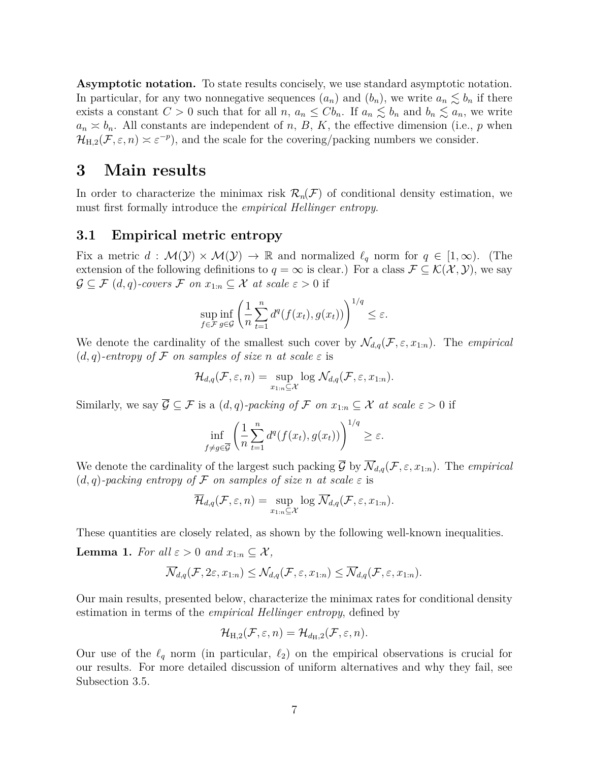**Asymptotic notation.** To state results concisely, we use standard asymptotic notation. In particular, for any two nonnegative sequences  $(a_n)$  and  $(b_n)$ , we write  $a_n \lesssim b_n$  if there exists a constant  $C > 0$  such that for all  $n, a_n \leq Cb_n$ . If  $a_n \leq b_n$  and  $b_n \leq a_n$ , we write  $a_n \approx b_n$ . All constants are independent of *n*, *B*, *K*, the effective dimension (i.e., *p* when  $\mathcal{H}_{H,2}(\mathcal{F},\varepsilon,n) \asymp \varepsilon^{-p}$ , and the scale for the covering/packing numbers we consider.

# <span id="page-6-0"></span>**3 Main results**

In order to characterize the minimax risk  $\mathcal{R}_n(\mathcal{F})$  of conditional density estimation, we must first formally introduce the *empirical Hellinger entropy*.

#### <span id="page-6-1"></span>**3.1 Empirical metric entropy**

Fix a metric  $d : \mathcal{M}(\mathcal{Y}) \times \mathcal{M}(\mathcal{Y}) \to \mathbb{R}$  and normalized  $\ell_q$  norm for  $q \in [1,\infty)$ . (The extension of the following definitions to  $q = \infty$  is clear.) For a class  $\mathcal{F} \subseteq \mathcal{K}(\mathcal{X}, \mathcal{Y})$ , we say  $\mathcal{G} \subseteq \mathcal{F}$   $(d, q)$ -covers  $\mathcal{F}$  on  $x_{1:n} \subseteq \mathcal{X}$  at scale  $\varepsilon > 0$  if

$$
\sup_{f \in \mathcal{F}} \inf_{g \in \mathcal{G}} \left( \frac{1}{n} \sum_{t=1}^n d^q(f(x_t), g(x_t)) \right)^{1/q} \le \varepsilon.
$$

We denote the cardinality of the smallest such cover by  $\mathcal{N}_{d,q}(\mathcal{F},\varepsilon,x_{1:n})$ . The *empirical*  $(d, q)$ -entropy of F on samples of size *n* at scale  $\varepsilon$  is

$$
\mathcal{H}_{d,q}(\mathcal{F},\varepsilon,n)=\sup_{x_{1:n}\subseteq\mathcal{X}}\log\mathcal{N}_{d,q}(\mathcal{F},\varepsilon,x_{1:n}).
$$

Similarly, we say  $\overline{G} \subseteq \mathcal{F}$  is a  $(d, q)$ *-packing of*  $\mathcal{F}$  *on*  $x_{1:n} \subseteq \mathcal{X}$  *at scale*  $\varepsilon > 0$  if

$$
\inf_{f \neq g \in \overline{\mathcal{G}}} \left( \frac{1}{n} \sum_{t=1}^n d^q(f(x_t), g(x_t)) \right)^{1/q} \ge \varepsilon.
$$

We denote the cardinality of the largest such packing  $\overline{\mathcal{G}}$  by  $\overline{\mathcal{N}}_{d,q}(\mathcal{F},\varepsilon,x_{1:n})$ . The *empirical*  $(d, q)$ -packing entropy of F on samples of size *n* at scale  $\varepsilon$  is

$$
\overline{\mathcal{H}}_{d,q}(\mathcal{F},\varepsilon,n)=\sup_{x_{1:n}\subseteq\mathcal{X}}\log\overline{\mathcal{N}}_{d,q}(\mathcal{F},\varepsilon,x_{1:n}).
$$

These quantities are closely related, as shown by the following well-known inequalities.

**Lemma 1.** For all  $\varepsilon > 0$  and  $x_{1:n} \subseteq \mathcal{X}$ ,

$$
\overline{\mathcal N}_{d,q}(\mathcal F,2\varepsilon,x_{1:n})\leq \mathcal N_{d,q}(\mathcal F,\varepsilon,x_{1:n})\leq \overline{\mathcal N}_{d,q}(\mathcal F,\varepsilon,x_{1:n}).
$$

Our main results, presented below, characterize the minimax rates for conditional density estimation in terms of the *empirical Hellinger entropy*, defined by

$$
\mathcal{H}_{H,2}(\mathcal{F},\varepsilon,n)=\mathcal{H}_{d_H,2}(\mathcal{F},\varepsilon,n).
$$

<span id="page-6-2"></span>Our use of the  $\ell_q$  norm (in particular,  $\ell_2$ ) on the empirical observations is crucial for our results. For more detailed discussion of uniform alternatives and why they fail, see [Subsection 3.5.](#page-12-0)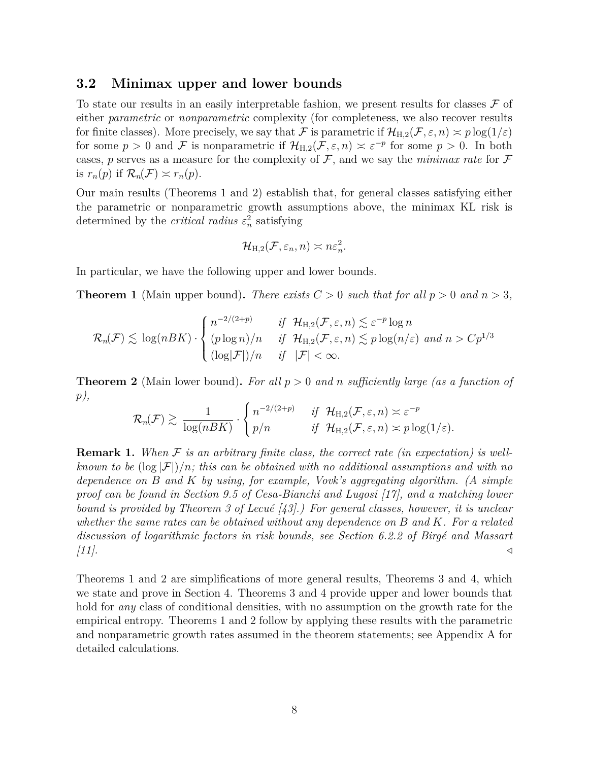#### **3.2 Minimax upper and lower bounds**

To state our results in an easily interpretable fashion, we present results for classes  $\mathcal F$  of either *parametric* or *nonparametric* complexity (for completeness, we also recover results for finite classes). More precisely, we say that F is parametric if  $\mathcal{H}_{H,2}(\mathcal{F},\varepsilon,n) \approx p \log(1/\varepsilon)$ for some  $p > 0$  and F is nonparametric if  $\mathcal{H}_{H,2}(\mathcal{F}, \varepsilon, n) \approx \varepsilon^{-p}$  for some  $p > 0$ . In both cases, p serves as a measure for the complexity of  $\mathcal{F}$ , and we say the *minimax rate* for  $\mathcal{F}$ is  $r_n(p)$  if  $\mathcal{R}_n(\mathcal{F}) \simeq r_n(p)$ .

Our main results [\(Theorems 1](#page-7-1) and [2\)](#page-7-2) establish that, for general classes satisfying either the parametric or nonparametric growth assumptions above, the minimax KL risk is determined by the *critical radius*  $\varepsilon_n^2$  satisfying

$$
\mathcal{H}_{H,2}(\mathcal{F},\varepsilon_n,n)\asymp n\varepsilon_n^2.
$$

<span id="page-7-1"></span>In particular, we have the following upper and lower bounds.

**Theorem 1** (Main upper bound). There exists  $C > 0$  such that for all  $p > 0$  and  $n > 3$ ,

$$
\mathcal{R}_n(\mathcal{F}) \lesssim \log(nBK) \cdot \begin{cases} n^{-2/(2+p)} & \text{if } \mathcal{H}_{H,2}(\mathcal{F}, \varepsilon, n) \lesssim \varepsilon^{-p} \log n \\ (p \log n)/n & \text{if } \mathcal{H}_{H,2}(\mathcal{F}, \varepsilon, n) \lesssim p \log(n/\varepsilon) \text{ and } n > C p^{1/3} \\ (\log|\mathcal{F}|)/n & \text{if } |\mathcal{F}| < \infty. \end{cases}
$$

<span id="page-7-2"></span>**Theorem 2** (Main lower bound)**.** *For all p >* 0 *and n sufficiently large (as a function of p),*

$$
\mathcal{R}_n(\mathcal{F}) \gtrsim \frac{1}{\log(nBK)} \cdot \begin{cases} n^{-2/(2+p)} & \text{if } \mathcal{H}_{H,2}(\mathcal{F},\varepsilon,n) \asymp \varepsilon^{-p} \\ p/n & \text{if } \mathcal{H}_{H,2}(\mathcal{F},\varepsilon,n) \asymp p \log(1/\varepsilon). \end{cases}
$$

**Remark 1.** *When* F *is an arbitrary finite class, the correct rate (in expectation) is wellknown to be*  $(\log |\mathcal{F}|)/n$ *; this can be obtained with no additional assumptions and with no dependence on B and K by using, for example, Vovk's aggregating algorithm. (A simple proof can be found in Section 9.5 of Cesa-Bianchi and Lugosi [\[17\]](#page-28-3), and a matching lower bound is provided by Theorem 3 of Lecué [\[43\]](#page-30-2).) For general classes, however, it is unclear whether the same rates can be obtained without any dependence on B and K. For a related discussion of logarithmic factors in risk bounds, see Section 6.2.2 of Birgé and Massart [\[11\]](#page-28-4). /*

<span id="page-7-0"></span>[Theorems 1](#page-7-1) and [2](#page-7-2) are simplifications of more general results, [Theorems 3](#page-15-1) and [4,](#page-18-0) which we state and prove in [Section 4.](#page-14-0) [Theorems 3](#page-15-1) and [4](#page-18-0) provide upper and lower bounds that hold for *any* class of conditional densities, with no assumption on the growth rate for the empirical entropy. [Theorems 1](#page-7-1) and [2](#page-7-2) follow by applying these results with the parametric and nonparametric growth rates assumed in the theorem statements; see [Appendix A](#page-32-0) for detailed calculations.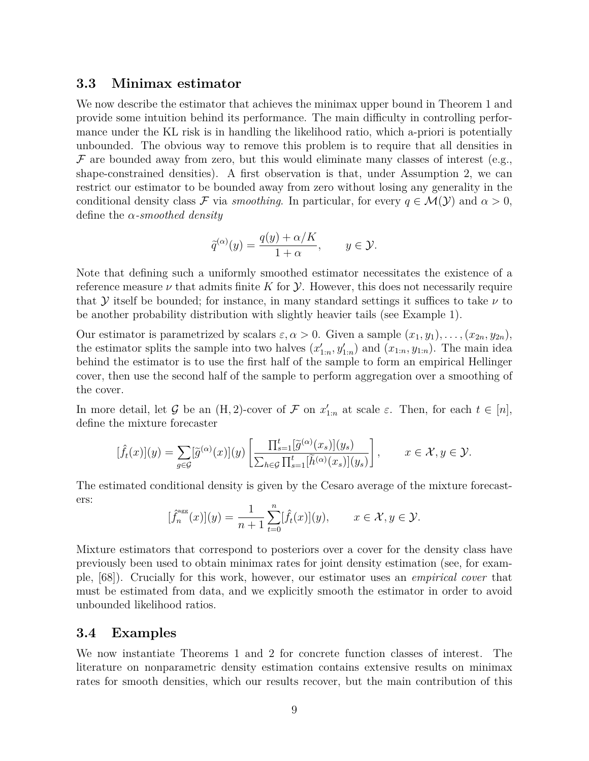#### **3.3 Minimax estimator**

We now describe the estimator that achieves the minimax upper bound in [Theorem 1](#page-7-1) and provide some intuition behind its performance. The main difficulty in controlling performance under the KL risk is in handling the likelihood ratio, which a-priori is potentially unbounded. The obvious way to remove this problem is to require that all densities in  $\mathcal F$  are bounded away from zero, but this would eliminate many classes of interest (e.g., shape-constrained densities). A first observation is that, under [Assumption 2,](#page-4-2) we can restrict our estimator to be bounded away from zero without losing any generality in the conditional density class F via *smoothing*. In particular, for every  $q \in \mathcal{M}(\mathcal{Y})$  and  $\alpha > 0$ , define the *α-smoothed density*

$$
\tilde{q}^{(\alpha)}(y) = \frac{q(y) + \alpha/K}{1 + \alpha}, \qquad y \in \mathcal{Y}.
$$

Note that defining such a uniformly smoothed estimator necessitates the existence of a reference measure  $\nu$  that admits finite K for  $\mathcal Y$ . However, this does not necessarily require that Y itself be bounded; for instance, in many standard settings it suffices to take  $\nu$  to be another probability distribution with slightly heavier tails (see [Example 1\)](#page-9-0).

Our estimator is parametrized by scalars  $\varepsilon, \alpha > 0$ . Given a sample  $(x_1, y_1), \ldots, (x_{2n}, y_{2n})$ , the estimator splits the sample into two halves  $(x'_{1:n}, y'_{1:n})$  and  $(x_{1:n}, y_{1:n})$ . The main idea behind the estimator is to use the first half of the sample to form an empirical Hellinger cover, then use the second half of the sample to perform aggregation over a smoothing of the cover.

In more detail, let G be an  $(H, 2)$ -cover of F on  $x'_{1:n}$  at scale  $\varepsilon$ . Then, for each  $t \in [n]$ , define the mixture forecaster

$$
[\hat{f}_t(x)](y) = \sum_{g \in \mathcal{G}} [\tilde{g}^{(\alpha)}(x)](y) \left[ \frac{\prod_{s=1}^t [\tilde{g}^{(\alpha)}(x_s)](y_s)}{\sum_{h \in \mathcal{G}} \prod_{s=1}^t [\tilde{h}^{(\alpha)}(x_s)](y_s)} \right], \qquad x \in \mathcal{X}, y \in \mathcal{Y}.
$$

The estimated conditional density is given by the Cesaro average of the mixture forecasters:

$$
[\hat{f}_n^{\text{agg}}(x)](y) = \frac{1}{n+1} \sum_{t=0}^n [\hat{f}_t(x)](y), \qquad x \in \mathcal{X}, y \in \mathcal{Y}.
$$

Mixture estimators that correspond to posteriors over a cover for the density class have previously been used to obtain minimax rates for joint density estimation (see, for example, [\[68\]](#page-32-1)). Crucially for this work, however, our estimator uses an *empirical cover* that must be estimated from data, and we explicitly smooth the estimator in order to avoid unbounded likelihood ratios.

#### <span id="page-8-0"></span>**3.4 Examples**

We now instantiate [Theorems 1](#page-7-1) and [2](#page-7-2) for concrete function classes of interest. The literature on nonparametric density estimation contains extensive results on minimax rates for smooth densities, which our results recover, but the main contribution of this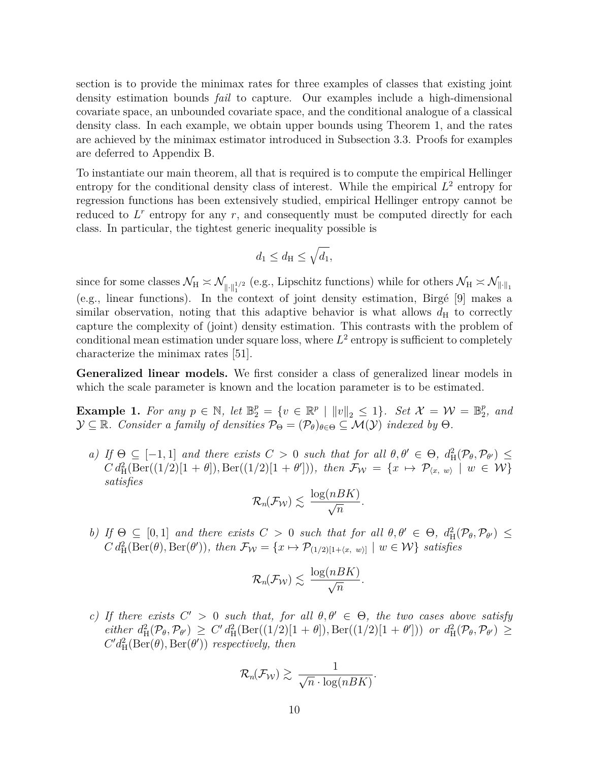section is to provide the minimax rates for three examples of classes that existing joint density estimation bounds *fail* to capture. Our examples include a high-dimensional covariate space, an unbounded covariate space, and the conditional analogue of a classical density class. In each example, we obtain upper bounds using [Theorem 1,](#page-7-1) and the rates are achieved by the minimax estimator introduced in [Subsection 3.3.](#page-7-0) Proofs for examples are deferred to [Appendix B.](#page-36-0)

To instantiate our main theorem, all that is required is to compute the empirical Hellinger entropy for the conditional density class of interest. While the empirical  $L^2$  entropy for regression functions has been extensively studied, empirical Hellinger entropy cannot be reduced to  $L^r$  entropy for any  $r$ , and consequently must be computed directly for each class. In particular, the tightest generic inequality possible is

$$
d_1 \leq d_{\rm H} \leq \sqrt{d_1},
$$

since for some classes  $\mathcal{N}_{\mathrm{H}} \asymp \mathcal{N}_{\|\cdot\|_1^{1/2}}$  (e.g., Lipschitz functions) while for others  $\mathcal{N}_{\mathrm{H}} \asymp \mathcal{N}_{\|\cdot\|_1}$ (e.g., linear functions). In the context of joint density estimation, Birgé [\[9\]](#page-28-1) makes a similar observation, noting that this adaptive behavior is what allows  $d_H$  to correctly capture the complexity of (joint) density estimation. This contrasts with the problem of conditional mean estimation under square loss, where  $L^2$  entropy is sufficient to completely characterize the minimax rates [\[51\]](#page-30-0).

**Generalized linear models.** We first consider a class of generalized linear models in which the scale parameter is known and the location parameter is to be estimated.

<span id="page-9-0"></span>**Example 1.** For any  $p \in \mathbb{N}$ , let  $\mathbb{B}_{2}^{p} = \{v \in \mathbb{R}^{p} \mid ||v||_{2} \leq 1\}$ . Set  $\mathcal{X} = \mathcal{W} = \mathbb{B}_{2}^{p}$  $_{2}^{p}$ *, and*  $\mathcal{Y} \subseteq \mathbb{R}$ *. Consider a family of densities*  $\mathcal{P}_{\Theta} = (\mathcal{P}_{\theta})_{\theta \in \Theta} \subseteq \mathcal{M}(\mathcal{Y})$  *indexed by*  $\Theta$ *.* 

*a) If*  $\Theta \subseteq [-1, 1]$  *and there exists*  $C > 0$  *such that for all*  $\theta, \theta' \in \Theta$ ,  $d_H^2(\mathcal{P}_{\theta}, \mathcal{P}_{\theta'}) \le$  $C d<sup>2</sup><sub>H</sub>(Ber((1/2)[1 + \theta]), Ber((1/2)[1 + \theta']))$ *, then*  $\mathcal{F}_{\mathcal{W}} = \{x \mapsto \mathcal{P}_{\langle x, w \rangle} \mid w \in \mathcal{W}\}\$ *satisfies*

$$
\mathcal{R}_n(\mathcal{F}_\mathcal{W}) \lesssim \frac{\log(nBK)}{\sqrt{n}}
$$

*.*

*b) If*  $\Theta \subseteq [0,1]$  *and there exists*  $C > 0$  *such that for all*  $\theta, \theta' \in \Theta$ ,  $d_H^2(\mathcal{P}_{\theta}, \mathcal{P}_{\theta'}) \le$  $C d_H^2(\text{Ber}(\theta), \text{Ber}(\theta'))$ *, then*  $\mathcal{F}_\mathcal{W} = \{x \mapsto \mathcal{P}_{(1/2)[1 + \langle x, w \rangle]} \mid w \in \mathcal{W}\}$  satisfies

$$
\mathcal{R}_n(\mathcal{F}_\mathcal{W}) \lesssim \frac{\log(nBK)}{\sqrt{n}}.
$$

*c)* If there exists  $C' > 0$  such that, for all  $\theta, \theta' \in \Theta$ , the two cases above satisfy  $\ell$  *either*  $d_H^2(\mathcal{P}_{\theta}, \mathcal{P}_{\theta'}) \geq C' d_H^2(\text{Ber}((1/2)[1 + \theta]), \text{Ber}((1/2)[1 + \theta']) \text{ or } d_H^2(\mathcal{P}_{\theta}, \mathcal{P}_{\theta'}) \geq$  $C' d_H^2(\text{Ber}(\theta), \text{Ber}(\theta'))$  *respectively, then* 

$$
\mathcal{R}_n(\mathcal{F}_\mathcal{W}) \gtrsim \frac{1}{\sqrt{n} \cdot \log(nBK)}.
$$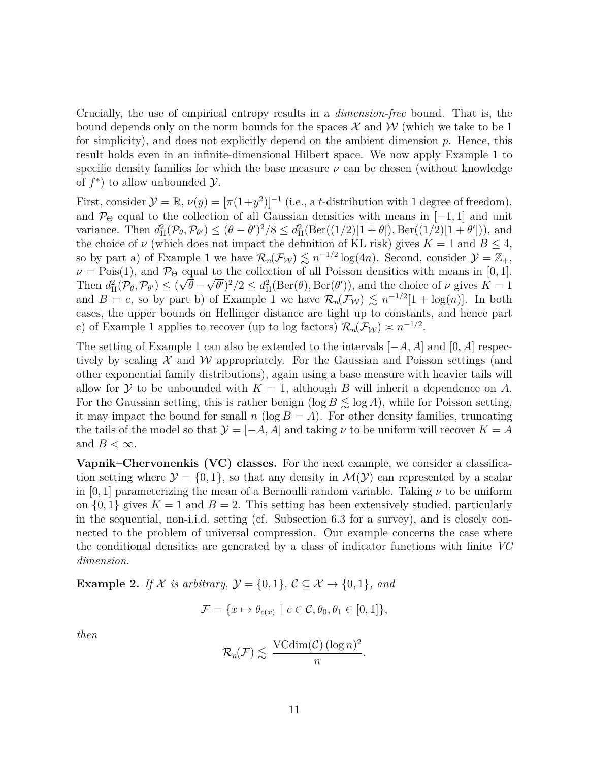Crucially, the use of empirical entropy results in a *dimension-free* bound. That is, the bound depends only on the norm bounds for the spaces  $\mathcal X$  and  $\mathcal W$  (which we take to be 1 for simplicity), and does not explicitly depend on the ambient dimension *p*. Hence, this result holds even in an infinite-dimensional Hilbert space. We now apply [Example 1](#page-9-0) to specific density families for which the base measure  $\nu$  can be chosen (without knowledge of  $f^*$ ) to allow unbounded  $\mathcal{Y}$ .

First, consider  $\mathcal{Y} = \mathbb{R}, \nu(y) = [\pi(1+y^2)]^{-1}$  (i.e., a *t*-distribution with 1 degree of freedom), and  $\mathcal{P}_{\Theta}$  equal to the collection of all Gaussian densities with means in [−1, 1] and unit variance. Then  $d_H^2(\mathcal{P}_{\theta}, \mathcal{P}_{\theta'}) \leq (\theta - \theta')^2/8 \leq d_H^2(\text{Ber}((1/2)[1 + \theta]), \text{Ber}((1/2)[1 + \theta')),$  and the choice of *ν* (which does not impact the definition of KL risk) gives  $K = 1$  and  $B \le 4$ , so by part a) of [Example 1](#page-9-0) we have  $\mathcal{R}_n(\mathcal{F}_{\mathcal{W}}) \lesssim n^{-1/2} \log(4n)$ . Second, consider  $\mathcal{Y} = \mathbb{Z}_+$ ,  $\nu = \text{Pois}(1)$ , and  $\mathcal{P}_{\Theta}$  equal to the collection of all Poisson densities with means in [0, 1]. Then  $d_H^2(\mathcal{P}_{\theta}, \mathcal{P}_{\theta'}) \leq (\sqrt{\theta} - \sqrt{\theta'})^2/2 \leq d_H^2(\text{Ber}(\theta), \text{Ber}(\theta'))$ , and the choice of  $\nu$  gives  $K = 1$ and  $B = e$ , so by part b) of [Example 1](#page-9-0) we have  $\mathcal{R}_n(\mathcal{F}_W) \leq n^{-1/2} [1 + \log(n)]$ . In both cases, the upper bounds on Hellinger distance are tight up to constants, and hence part c) of [Example 1](#page-9-0) applies to recover (up to log factors)  $\mathcal{R}_n(\mathcal{F}_W) \approx n^{-1/2}$ .

The setting of [Example 1](#page-9-0) can also be extended to the intervals [−*A, A*] and [0*, A*] respectively by scaling  $\mathcal X$  and  $\mathcal W$  appropriately. For the Gaussian and Poisson settings (and other exponential family distributions), again using a base measure with heavier tails will allow for  $\mathcal Y$  to be unbounded with  $K = 1$ , although *B* will inherit a dependence on *A*. For the Gaussian setting, this is rather benign  $(\log B \leq \log A)$ , while for Poisson setting, it may impact the bound for small *n* ( $\log B = A$ ). For other density families, truncating the tails of the model so that  $\mathcal{Y} = [-A, A]$  and taking  $\nu$  to be uniform will recover  $K = A$ and  $B < \infty$ .

**Vapnik–Chervonenkis (VC) classes.** For the next example, we consider a classification setting where  $\mathcal{Y} = \{0, 1\}$ , so that any density in  $\mathcal{M}(\mathcal{Y})$  can represented by a scalar in [0, 1] parameterizing the mean of a Bernoulli random variable. Taking  $\nu$  to be uniform on  $\{0,1\}$  gives  $K=1$  and  $B=2$ . This setting has been extensively studied, particularly in the sequential, non-i.i.d. setting (cf. [Subsection 6.3](#page-25-0) for a survey), and is closely connected to the problem of universal compression. Our example concerns the case where the conditional densities are generated by a class of indicator functions with finite *VC dimension*.

<span id="page-10-0"></span>**Example 2.** *If*  $X$  *is arbitrary,*  $Y = \{0, 1\}$ *,*  $C \subseteq X \rightarrow \{0, 1\}$ *, and* 

$$
\mathcal{F} = \{x \mapsto \theta_{c(x)} \mid c \in \mathcal{C}, \theta_0, \theta_1 \in [0, 1]\},\
$$

*then*

$$
\mathcal{R}_n(\mathcal{F}) \lesssim \frac{\text{VCdim}(\mathcal{C}) (\log n)^2}{n}.
$$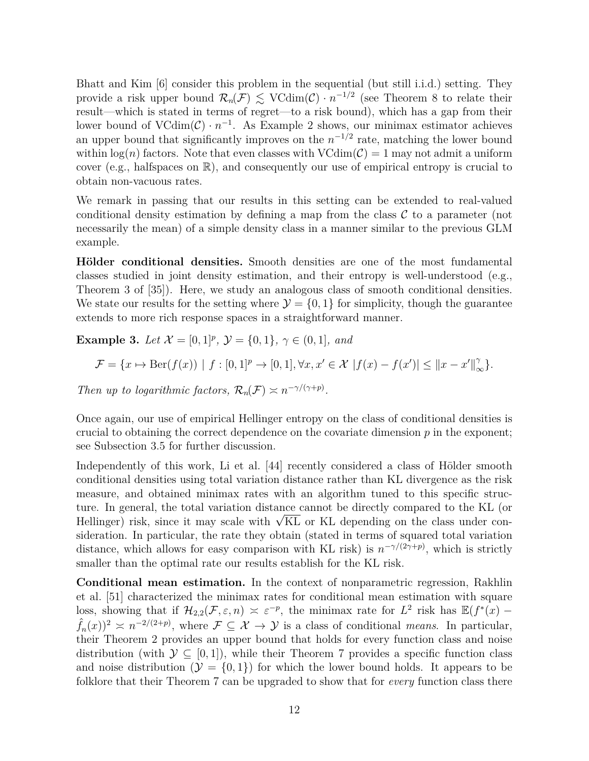Bhatt and Kim [\[6\]](#page-27-2) consider this problem in the sequential (but still i.i.d.) setting. They provide a risk upper bound  $\mathcal{R}_n(\mathcal{F}) \leq V \cdot \text{Cdim}(\mathcal{C}) \cdot n^{-1/2}$  (see [Theorem 8](#page-50-0) to relate their result—which is stated in terms of regret—to a risk bound), which has a gap from their lower bound of  $VCdim(\mathcal{C}) \cdot n^{-1}$ . As [Example 2](#page-10-0) shows, our minimax estimator achieves an upper bound that significantly improves on the  $n^{-1/2}$  rate, matching the lower bound within  $\log(n)$  factors. Note that even classes with  $\text{VCdim}(\mathcal{C}) = 1$  may not admit a uniform cover (e.g., halfspaces on  $\mathbb{R}$ ), and consequently our use of empirical entropy is crucial to obtain non-vacuous rates.

We remark in passing that our results in this setting can be extended to real-valued conditional density estimation by defining a map from the class  $\mathcal C$  to a parameter (not necessarily the mean) of a simple density class in a manner similar to the previous GLM example.

**Hölder conditional densities.** Smooth densities are one of the most fundamental classes studied in joint density estimation, and their entropy is well-understood (e.g., Theorem 3 of [\[35\]](#page-29-1)). Here, we study an analogous class of smooth conditional densities. We state our results for the setting where  $\mathcal{Y} = \{0, 1\}$  for simplicity, though the guarantee extends to more rich response spaces in a straightforward manner.

<span id="page-11-0"></span>**Example 3.** *Let*  $\mathcal{X} = [0, 1]^p$ ,  $\mathcal{Y} = \{0, 1\}$ ,  $\gamma \in (0, 1]$ , and

$$
\mathcal{F} = \{x \mapsto \text{Ber}(f(x)) \mid f : [0,1]^p \to [0,1], \forall x, x' \in \mathcal{X} \mid f(x) - f(x') \le ||x - x'||_{\infty}^{\gamma} \}.
$$

*Then up to logarithmic factors,*  $\mathcal{R}_n(\mathcal{F}) \simeq n^{-\gamma/(\gamma+p)}$ .

Once again, our use of empirical Hellinger entropy on the class of conditional densities is crucial to obtaining the correct dependence on the covariate dimension  $p$  in the exponent; see [Subsection 3.5](#page-12-0) for further discussion.

Independently of this work, Li et al. [\[44\]](#page-30-3) recently considered a class of Hölder smooth conditional densities using total variation distance rather than KL divergence as the risk measure, and obtained minimax rates with an algorithm tuned to this specific structure. In general, the total variation distance cannot be directly compared to the KL (or ture. In general, the total variation distance cannot be directly compared to the KL (or<br>Hellinger) risk, since it may scale with  $\sqrt{\text{KL}}$  or KL depending on the class under consideration. In particular, the rate they obtain (stated in terms of squared total variation distance, which allows for easy comparison with KL risk) is  $n^{-\gamma/(2\gamma+p)}$ , which is strictly smaller than the optimal rate our results establish for the KL risk.

**Conditional mean estimation.** In the context of nonparametric regression, Rakhlin et al. [\[51\]](#page-30-0) characterized the minimax rates for conditional mean estimation with square loss, showing that if  $\mathcal{H}_{2,2}(\mathcal{F},\varepsilon,n) \asymp \varepsilon^{-p}$ , the minimax rate for  $L^2$  risk has  $\mathbb{E}(f^*(x))$  $\hat{f}_n(x)^2 \approx n^{-2/(2+p)}$ , where  $\mathcal{F} \subseteq \mathcal{X} \to \mathcal{Y}$  is a class of conditional *means*. In particular, their Theorem 2 provides an upper bound that holds for every function class and noise distribution (with  $\mathcal{Y} \subseteq [0, 1]$ ), while their Theorem 7 provides a specific function class and noise distribution  $(\mathcal{Y} = \{0, 1\})$  for which the lower bound holds. It appears to be folklore that their Theorem 7 can be upgraded to show that for *every* function class there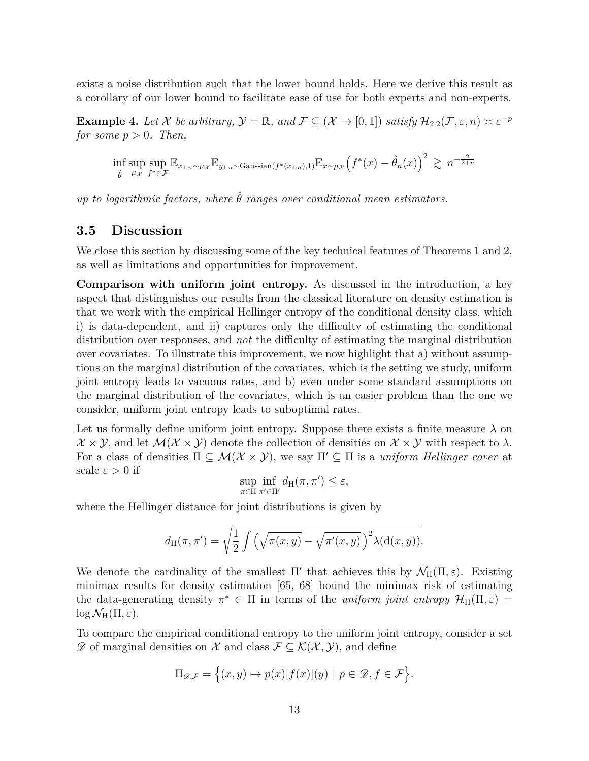exists a noise distribution such that the lower bound holds. Here we derive this result as a corollary of our lower bound to facilitate ease of use for both experts and non-experts.

<span id="page-12-1"></span>**Example 4.** Let X be arbitrary,  $\mathcal{Y} = \mathbb{R}$ , and  $\mathcal{F} \subseteq (\mathcal{X} \to [0,1])$  satisfy  $\mathcal{H}_{2,2}(\mathcal{F}, \varepsilon, n) \asymp \varepsilon^{-p}$ *for some*  $p > 0$ *. Then,* 

$$
\inf_{\hat{\theta}} \sup_{\mu_X} \sup_{f^* \in \mathcal{F}} \mathbb{E}_{x_{1:n} \sim \mu_X} \mathbb{E}_{y_{1:n} \sim \text{Gaussian}(f^*(x_{1:n}), 1)} \mathbb{E}_{x \sim \mu_X} (f^*(x) - \hat{\theta}_n(x))^2 \gtrsim n^{-\frac{2}{2+p}}
$$

*up to logarithmic factors, where*  $\hat{\theta}$  *ranges over conditional mean estimators.* 

#### <span id="page-12-0"></span>**3.5 Discussion**

We close this section by discussing some of the key technical features of [Theorems 1](#page-7-1) and [2,](#page-7-2) as well as limitations and opportunities for improvement.

**Comparison with uniform joint entropy.** As discussed in the introduction, a key aspect that distinguishes our results from the classical literature on density estimation is that we work with the empirical Hellinger entropy of the conditional density class, which i) is data-dependent, and ii) captures only the difficulty of estimating the conditional distribution over responses, and *not* the difficulty of estimating the marginal distribution over covariates. To illustrate this improvement, we now highlight that a) without assumptions on the marginal distribution of the covariates, which is the setting we study, uniform joint entropy leads to vacuous rates, and b) even under some standard assumptions on the marginal distribution of the covariates, which is an easier problem than the one we consider, uniform joint entropy leads to suboptimal rates.

Let us formally define uniform joint entropy. Suppose there exists a finite measure  $\lambda$  on  $\mathcal{X} \times \mathcal{Y}$ , and let  $\mathcal{M}(\mathcal{X} \times \mathcal{Y})$  denote the collection of densities on  $\mathcal{X} \times \mathcal{Y}$  with respect to  $\lambda$ . For a class of densities  $\Pi \subseteq \mathcal{M}(\mathcal{X} \times \mathcal{Y})$ , we say  $\Pi' \subseteq \Pi$  is a *uniform Hellinger cover* at scale  $\varepsilon > 0$  if

$$
\sup_{\pi \in \Pi} \inf_{\pi' \in \Pi'} d_{\mathrm{H}}(\pi, \pi') \leq \varepsilon,
$$

where the Hellinger distance for joint distributions is given by

$$
d_{\mathrm{H}}(\pi,\pi') = \sqrt{\frac{1}{2} \int \left( \sqrt{\pi(x,y)} - \sqrt{\pi'(x,y)} \right)^2 \lambda(\mathrm{d}(x,y))}.
$$

We denote the cardinality of the smallest  $\Pi'$  that achieves this by  $\mathcal{N}_{H}(\Pi,\varepsilon)$ . Existing minimax results for density estimation [\[65,](#page-31-3) [68\]](#page-32-1) bound the minimax risk of estimating the data-generating density  $\pi^* \in \Pi$  in terms of the *uniform joint entropy*  $\mathcal{H}_H(\Pi, \varepsilon)$  =  $\log \mathcal{N}_{\mathrm{H}}(\Pi,\varepsilon)$ .

To compare the empirical conditional entropy to the uniform joint entropy, consider a set  $\mathscr{D}$  of marginal densities on  $\mathcal{X}$  and class  $\mathcal{F} \subseteq \mathcal{K}(\mathcal{X}, \mathcal{Y})$ , and define

$$
\Pi_{\mathscr{D},\mathcal{F}} = \Big\{ (x,y) \mapsto p(x)[f(x)](y) \mid p \in \mathscr{D}, f \in \mathcal{F} \Big\}.
$$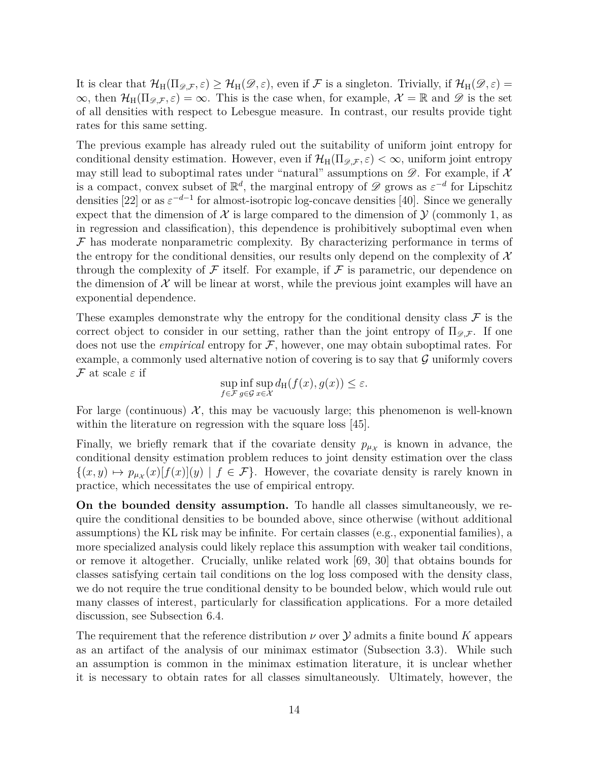It is clear that  $\mathcal{H}_{H}(\Pi_{\mathscr{D},\mathcal{F}},\varepsilon) \geq \mathcal{H}_{H}(\mathscr{D},\varepsilon)$ , even if F is a singleton. Trivially, if  $\mathcal{H}_{H}(\mathscr{D},\varepsilon)$  $\infty$ , then  $\mathcal{H}_{H}(\Pi_{\mathscr{D},\mathcal{F}},\varepsilon)=\infty$ . This is the case when, for example,  $\mathcal{X}=\mathbb{R}$  and  $\mathscr{D}$  is the set of all densities with respect to Lebesgue measure. In contrast, our results provide tight rates for this same setting.

The previous example has already ruled out the suitability of uniform joint entropy for conditional density estimation. However, even if  $\mathcal{H}_{H}(\Pi_{\mathscr{D},\mathcal{F}},\varepsilon)<\infty$ , uniform joint entropy may still lead to suboptimal rates under "natural" assumptions on  $\mathscr{D}$ . For example, if X is a compact, convex subset of  $\mathbb{R}^d$ , the marginal entropy of  $\mathscr{D}$  grows as  $\varepsilon^{-d}$  for Lipschitz densities [\[22\]](#page-28-5) or as  $\varepsilon^{-d-1}$  for almost-isotropic log-concave densities [\[40\]](#page-30-4). Since we generally expect that the dimension of  $\mathcal X$  is large compared to the dimension of  $\mathcal Y$  (commonly 1, as in regression and classification), this dependence is prohibitively suboptimal even when  $\mathcal F$  has moderate nonparametric complexity. By characterizing performance in terms of the entropy for the conditional densities, our results only depend on the complexity of  $\mathcal{X}$ through the complexity of  $\mathcal F$  itself. For example, if  $\mathcal F$  is parametric, our dependence on the dimension of  $\mathcal X$  will be linear at worst, while the previous joint examples will have an exponential dependence.

These examples demonstrate why the entropy for the conditional density class  $\mathcal F$  is the correct object to consider in our setting, rather than the joint entropy of  $\Pi_{\mathscr{D},\mathcal{F}}$ . If one does not use the *empirical* entropy for F, however, one may obtain suboptimal rates. For example, a commonly used alternative notion of covering is to say that  $\mathcal G$  uniformly covers F at scale *ε* if

$$
\sup_{f \in \mathcal{F}} \inf_{g \in \mathcal{G}} \sup_{x \in \mathcal{X}} d_H(f(x), g(x)) \le \varepsilon.
$$

For large (continuous)  $\mathcal{X}$ , this may be vacuously large; this phenomenon is well-known within the literature on regression with the square loss [\[45\]](#page-30-5).

Finally, we briefly remark that if the covariate density  $p_{\mu\chi}$  is known in advance, the conditional density estimation problem reduces to joint density estimation over the class  $\{(x, y) \mapsto p_{\mu_X}(x)[f(x)](y) \mid f \in \mathcal{F}\}.$  However, the covariate density is rarely known in practice, which necessitates the use of empirical entropy.

**On the bounded density assumption.** To handle all classes simultaneously, we require the conditional densities to be bounded above, since otherwise (without additional assumptions) the KL risk may be infinite. For certain classes (e.g., exponential families), a more specialized analysis could likely replace this assumption with weaker tail conditions, or remove it altogether. Crucially, unlike related work [\[69,](#page-32-2) [30\]](#page-29-2) that obtains bounds for classes satisfying certain tail conditions on the log loss composed with the density class, we do not require the true conditional density to be bounded below, which would rule out many classes of interest, particularly for classification applications. For a more detailed discussion, see [Subsection 6.4.](#page-26-0)

The requirement that the reference distribution *ν* over Y admits a finite bound *K* appears as an artifact of the analysis of our minimax estimator [\(Subsection 3.3\)](#page-7-0). While such an assumption is common in the minimax estimation literature, it is unclear whether it is necessary to obtain rates for all classes simultaneously. Ultimately, however, the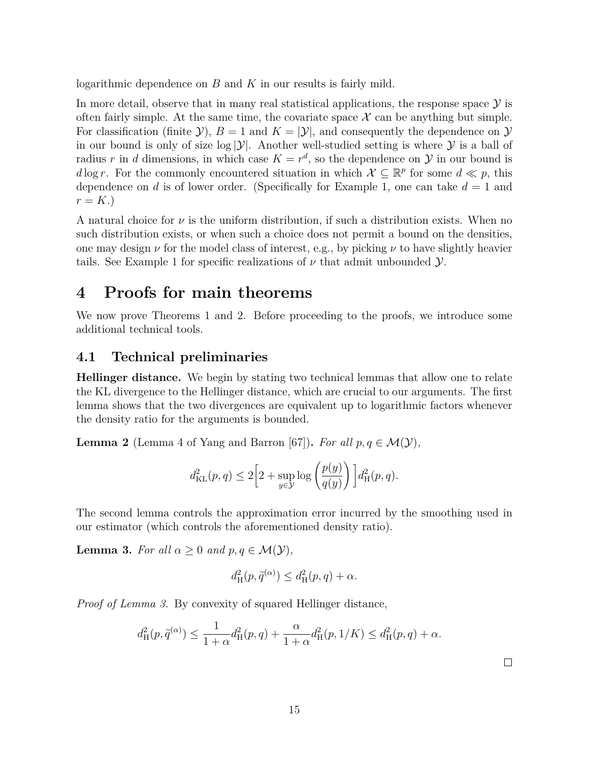logarithmic dependence on *B* and *K* in our results is fairly mild.

In more detail, observe that in many real statistical applications, the response space  $\mathcal Y$  is often fairly simple. At the same time, the covariate space  $\mathcal X$  can be anything but simple. For classification (finite  $\mathcal{Y}$ ),  $B = 1$  and  $K = |\mathcal{Y}|$ , and consequently the dependence on  $\mathcal{Y}$ in our bound is only of size  $log |\mathcal{Y}|$ . Another well-studied setting is where  $\mathcal Y$  is a ball of radius *r* in *d* dimensions, in which case  $K = r^d$ , so the dependence on  $\mathcal Y$  in our bound is *d* log *r*. For the commonly encountered situation in which  $\mathcal{X} \subseteq \mathbb{R}^p$  for some  $d \ll p$ , this dependence on *d* is of lower order. (Specifically for [Example 1,](#page-9-0) one can take  $d = 1$  and  $r = K.$ 

A natural choice for *ν* is the uniform distribution, if such a distribution exists. When no such distribution exists, or when such a choice does not permit a bound on the densities, one may design  $\nu$  for the model class of interest, e.g., by picking  $\nu$  to have slightly heavier tails. See [Example 1](#page-9-0) for specific realizations of  $\nu$  that admit unbounded  $\mathcal{Y}$ .

# <span id="page-14-0"></span>**4 Proofs for main theorems**

We now prove [Theorems 1](#page-7-1) and [2.](#page-7-2) Before proceeding to the proofs, we introduce some additional technical tools.

### <span id="page-14-1"></span>**4.1 Technical preliminaries**

**Hellinger distance.** We begin by stating two technical lemmas that allow one to relate the KL divergence to the Hellinger distance, which are crucial to our arguments. The first lemma shows that the two divergences are equivalent up to logarithmic factors whenever the density ratio for the arguments is bounded.

<span id="page-14-3"></span>**Lemma 2** (Lemma 4 of Yang and Barron [\[67\]](#page-31-2)). *For all*  $p, q \in \mathcal{M}(\mathcal{Y})$ ,

$$
d_{\text{KL}}^2(p,q) \le 2\Big[2+\sup_{y\in\mathcal{Y}}\log\left(\frac{p(y)}{q(y)}\right)\Big]d_{\text{H}}^2(p,q).
$$

The second lemma controls the approximation error incurred by the smoothing used in our estimator (which controls the aforementioned density ratio).

<span id="page-14-2"></span>**Lemma 3.** *For all*  $\alpha \geq 0$  *and*  $p, q \in \mathcal{M}(\mathcal{Y}),$ 

$$
d_{\mathrm{H}}^{2}(p, \tilde{q}^{(\alpha)}) \leq d_{\mathrm{H}}^{2}(p, q) + \alpha.
$$

*Proof of [Lemma 3.](#page-14-2)* By convexity of squared Hellinger distance,

$$
d_{\rm H}^2(p, \tilde{q}^{(\alpha)}) \le \frac{1}{1+\alpha} d_{\rm H}^2(p,q) + \frac{\alpha}{1+\alpha} d_{\rm H}^2(p,1/K) \le d_{\rm H}^2(p,q) + \alpha.
$$

 $\Box$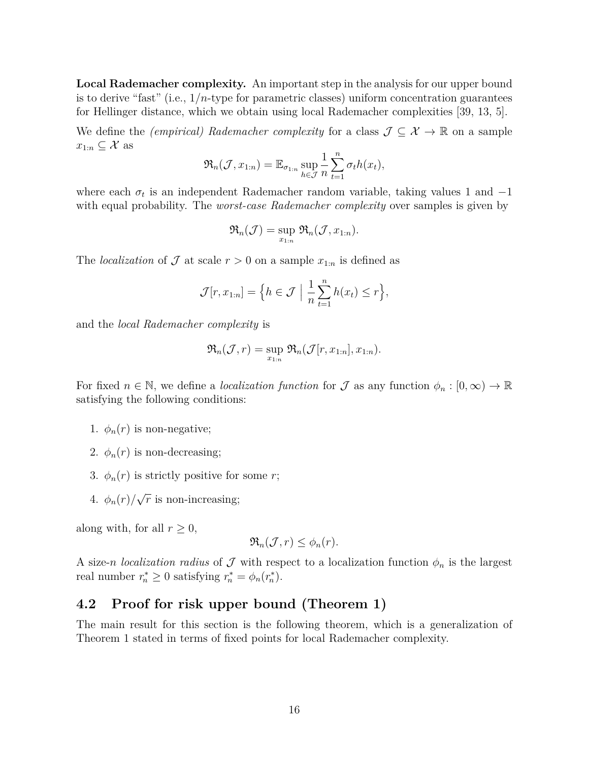**Local Rademacher complexity.** An important step in the analysis for our upper bound is to derive "fast" (i.e.,  $1/n$ -type for parametric classes) uniform concentration guarantees for Hellinger distance, which we obtain using local Rademacher complexities [\[39,](#page-30-6) [13,](#page-28-6) [5\]](#page-27-3).

We define the *(empirical) Rademacher complexity* for a class  $\mathcal{J} \subseteq \mathcal{X} \to \mathbb{R}$  on a sample  $x_{1:n} \subseteq \mathcal{X}$  as

$$
\mathfrak{R}_n(\mathcal{J}, x_{1:n}) = \mathbb{E}_{\sigma_{1:n}} \sup_{h \in \mathcal{J}} \frac{1}{n} \sum_{t=1}^n \sigma_t h(x_t),
$$

where each  $\sigma_t$  is an independent Rademacher random variable, taking values 1 and  $-1$ with equal probability. The *worst-case Rademacher complexity* over samples is given by

$$
\mathfrak{R}_n(\mathcal{J}) = \sup_{x_{1:n}} \mathfrak{R}_n(\mathcal{J}, x_{1:n}).
$$

The *localization* of  $\mathcal J$  at scale  $r > 0$  on a sample  $x_{1:n}$  is defined as

$$
\mathcal{J}[r, x_{1:n}] = \Big\{ h \in \mathcal{J} \mid \frac{1}{n} \sum_{t=1}^{n} h(x_t) \leq r \Big\},\
$$

and the *local Rademacher complexity* is

$$
\mathfrak{R}_n(\mathcal{J},r) = \sup_{x_{1:n}} \mathfrak{R}_n(\mathcal{J}[r,x_{1:n}],x_{1:n}).
$$

For fixed  $n \in \mathbb{N}$ , we define a *localization function* for  $\mathcal J$  as any function  $\phi_n : [0, \infty) \to \mathbb{R}$ satisfying the following conditions:

- 1.  $\phi_n(r)$  is non-negative;
- 2.  $\phi_n(r)$  is non-decreasing;
- 3.  $\phi_n(r)$  is strictly positive for some *r*;
- 4. *φn*(*r*)*/* √  $\bar{r}$  is non-increasing;

along with, for all  $r > 0$ ,

$$
\mathfrak{R}_n(\mathcal{J},r) \le \phi_n(r).
$$

A size-*n localization radius* of  $\mathcal J$  with respect to a localization function  $\phi_n$  is the largest real number  $r_n^* \geq 0$  satisfying  $r_n^* = \phi_n(r_n^*).$ 

### <span id="page-15-0"></span>**4.2 Proof for risk upper bound [\(Theorem 1\)](#page-7-1)**

<span id="page-15-1"></span>The main result for this section is the following theorem, which is a generalization of [Theorem 1](#page-7-1) stated in terms of fixed points for local Rademacher complexity.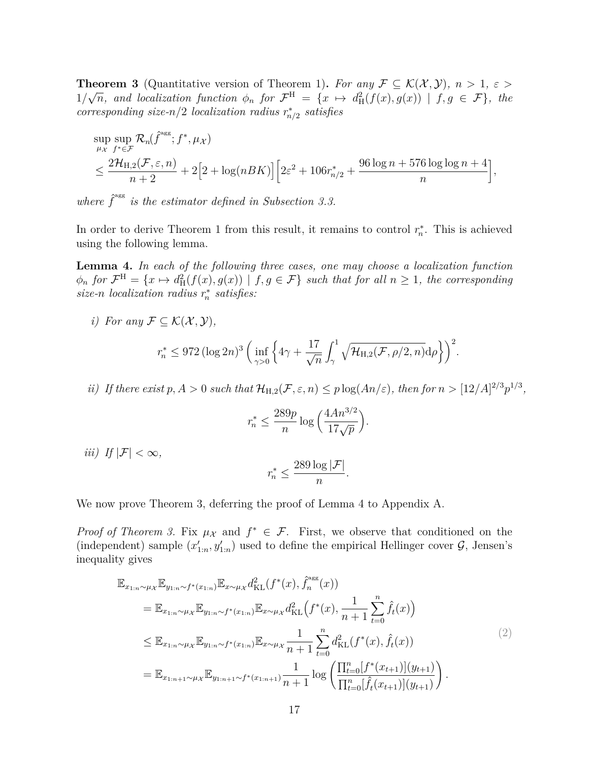**Theorem 3** (Quantitative version of [Theorem 1\)](#page-7-1). For any  $\mathcal{F} \subseteq \mathcal{K}(\mathcal{X}, \mathcal{Y})$ ,  $n > 1$ ,  $\varepsilon > 1$ 1*/* √  $\overline{n}$ *, and localization function*  $\phi_n$  *for*  $\mathcal{F}^H$  = { $x \mapsto d_H^2(f(x), g(x))$  |  $f, g \in \mathcal{F}$ }*, the corresponding size-* $n/2$  *<i>localization radius*  $r_{n/2}^*$  *satisfies* 

$$
\sup_{\mu_X} \sup_{f^* \in \mathcal{F}} \mathcal{R}_n(\hat{f}^{\text{agg}}; f^*, \mu_X) \n\leq \frac{2\mathcal{H}_{H,2}(\mathcal{F}, \varepsilon, n)}{n+2} + 2\Big[2 + \log(nBK)\Big] \Big[2\varepsilon^2 + 106r_{n/2}^* + \frac{96\log n + 576\log\log n + 4}{n}\Big],
$$

*where*  $\hat{f}^{\text{agg}}$  *is the estimator defined in [Subsection 3.3.](#page-7-0)* 

In order to derive [Theorem 1](#page-7-1) from this result, it remains to control  $r_n^*$ . This is achieved using the following lemma.

<span id="page-16-0"></span>**Lemma 4.** *In each of the following three cases, one may choose a localization function*  $\phi_n$  *for*  $\mathcal{F}^H = \{x \mapsto d_H^2(f(x), g(x)) \mid f, g \in \mathcal{F}\}$  *such that for all*  $n \geq 1$ *, the corresponding size-n localization radius r* ∗ *n satisfies:*

*i) For any*  $\mathcal{F} \subset \mathcal{K}(\mathcal{X}, \mathcal{Y})$ ,

$$
r_n^* \le 972 \left(\log 2n\right)^3 \left(\inf_{\gamma>0} \left\{4\gamma + \frac{17}{\sqrt{n}} \int_{\gamma}^1 \sqrt{\mathcal{H}_{H,2}(\mathcal{F}, \rho/2, n)} d\rho\right\}\right)^2.
$$

*ii*) *If there exist*  $p, A > 0$  *such that*  $\mathcal{H}_{H,2}(\mathcal{F}, \varepsilon, n) \leq p \log(An/\varepsilon)$ , then for  $n > [12/A]^{2/3}p^{1/3}$ ,

$$
r_n^* \le \frac{289p}{n} \log \left( \frac{4An^{3/2}}{17\sqrt{p}} \right).
$$

*iii*) *If*  $|\mathcal{F}| < \infty$ ,

$$
r_n^* \le \frac{289 \log |\mathcal{F}|}{n}.
$$

We now prove [Theorem 3,](#page-15-1) deferring the proof of [Lemma 4](#page-16-0) to [Appendix A.](#page-32-0)

*Proof of [Theorem 3.](#page-15-1)* Fix  $\mu_X$  and  $f^* \in \mathcal{F}$ . First, we observe that conditioned on the (independent) sample  $(x'_{1:n}, y'_{1:n})$  used to define the empirical Hellinger cover  $\mathcal{G}$ , Jensen's inequality gives

<span id="page-16-1"></span>
$$
\mathbb{E}_{x_{1:n} \sim \mu_X} \mathbb{E}_{y_{1:n} \sim f^*(x_{1:n})} \mathbb{E}_{x \sim \mu_X} d_{\text{KL}}^2(f^*(x), \hat{f}_n^{\text{agg}}(x)) \n= \mathbb{E}_{x_{1:n} \sim \mu_X} \mathbb{E}_{y_{1:n} \sim f^*(x_{1:n})} \mathbb{E}_{x \sim \mu_X} d_{\text{KL}}^2(f^*(x), \frac{1}{n+1} \sum_{t=0}^n \hat{f}_t(x)) \n\leq \mathbb{E}_{x_{1:n} \sim \mu_X} \mathbb{E}_{y_{1:n} \sim f^*(x_{1:n})} \mathbb{E}_{x \sim \mu_X} \frac{1}{n+1} \sum_{t=0}^n d_{\text{KL}}^2(f^*(x), \hat{f}_t(x)) \n= \mathbb{E}_{x_{1:n+1} \sim \mu_X} \mathbb{E}_{y_{1:n+1} \sim f^*(x_{1:n+1})} \frac{1}{n+1} \log \left( \frac{\prod_{t=0}^n [f^*(x_{t+1})](y_{t+1})}{\prod_{t=0}^n [f_t(x_{t+1})](y_{t+1})} \right).
$$
\n(2)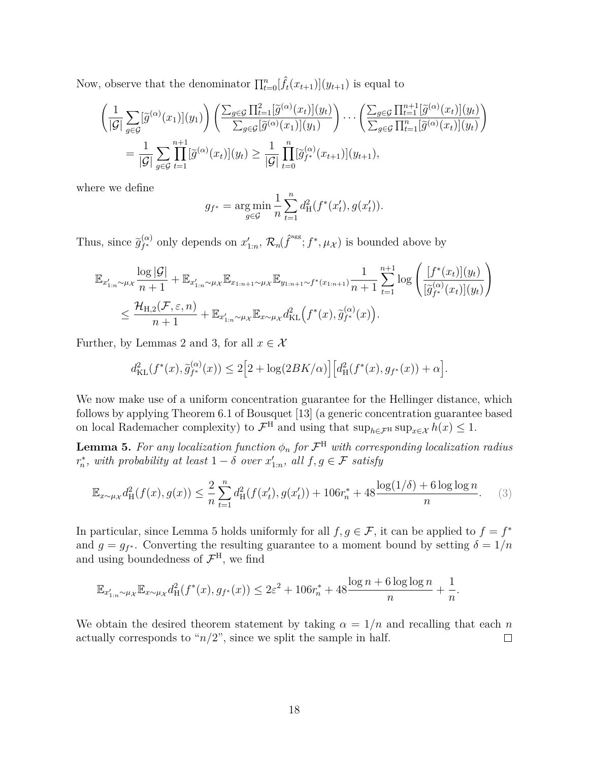Now, observe that the denominator  $\prod_{t=0}^{n}[\hat{f}_t(x_{t+1})](y_{t+1})$  is equal to

$$
\left(\frac{1}{|\mathcal{G}|}\sum_{g\in\mathcal{G}}[\tilde{g}^{(\alpha)}(x_1)](y_1)\right)\left(\frac{\sum_{g\in\mathcal{G}}\prod_{t=1}^2[\tilde{g}^{(\alpha)}(x_t)](y_t)}{\sum_{g\in\mathcal{G}}[\tilde{g}^{(\alpha)}(x_1)](y_1)}\right)\cdots\left(\frac{\sum_{g\in\mathcal{G}}\prod_{t=1}^{n+1}[\tilde{g}^{(\alpha)}(x_t)](y_t)}{\sum_{g\in\mathcal{G}}\prod_{t=1}^n[\tilde{g}^{(\alpha)}(x_t)](y_t)}\right)
$$
\n
$$
=\frac{1}{|\mathcal{G}|}\sum_{g\in\mathcal{G}}\prod_{t=1}^{n+1}[\tilde{g}^{(\alpha)}(x_t)](y_t) \ge \frac{1}{|\mathcal{G}|}\prod_{t=0}^n[\tilde{g}^{(\alpha)}_f(x_{t+1})](y_{t+1}),
$$

where we define

$$
g_{f^*} = \underset{g \in \mathcal{G}}{\arg \min} \frac{1}{n} \sum_{t=1}^n d_{\mathrm{H}}^2(f^*(x_t'), g(x_t')).
$$

Thus, since  $\tilde{g}_{f^*}^{(\alpha)}$  $f_t^{(\alpha)}$  only depends on  $x'_{1:n}$ ,  $\mathcal{R}_n(\hat{f}^{\text{agg}}; f^*, \mu_{\mathcal{X}})$  is bounded above by

$$
\mathbb{E}_{x'_{1:n} \sim \mu_X} \frac{\log |\mathcal{G}|}{n+1} + \mathbb{E}_{x'_{1:n} \sim \mu_X} \mathbb{E}_{x_{1:n+1} \sim \mu_X} \mathbb{E}_{y_{1:n+1} \sim f^*(x_{1:n+1})} \frac{1}{n+1} \sum_{t=1}^{n+1} \log \left( \frac{[f^*(x_t)](y_t)}{[\tilde{g}_{f^*}^{(\alpha)}(x_t)](y_t)} \right) \leq \frac{\mathcal{H}_{H,2}(\mathcal{F}, \varepsilon, n)}{n+1} + \mathbb{E}_{x'_{1:n} \sim \mu_X} \mathbb{E}_{x \sim \mu_X} d_{\text{KL}}^2(f^*(x), \tilde{g}_{f^*}^{(\alpha)}(x)).
$$

Further, by [Lemmas 2](#page-14-3) and [3,](#page-14-2) for all  $x \in \mathcal{X}$ 

$$
d_{\text{KL}}^2(f^*(x), \tilde{g}_{f^*}^{(\alpha)}(x)) \le 2\Big[2 + \log(2BK/\alpha)\Big]\Big[d_{\text{H}}^2(f^*(x), g_{f^*}(x)) + \alpha\Big].
$$

We now make use of a uniform concentration guarantee for the Hellinger distance, which follows by applying Theorem 6.1 of Bousquet [\[13\]](#page-28-6) (a generic concentration guarantee based on local Rademacher complexity) to  $\mathcal{F}^H$  and using that  $\sup_{h \in \mathcal{F}^H} \sup_{x \in \mathcal{X}} h(x) \leq 1$ .

<span id="page-17-1"></span>**Lemma 5.** For any localization function  $\phi_n$  for  $\mathcal{F}^H$  with corresponding localization radius  $r_n^*$ , with probability at least  $1 - \delta$  over  $x'_{1:n}$ , all  $f, g \in \mathcal{F}$  satisfy

$$
\mathbb{E}_{x \sim \mu_{\mathcal{X}}} d_{\mathcal{H}}^2(f(x), g(x)) \le \frac{2}{n} \sum_{t=1}^n d_{\mathcal{H}}^2(f(x_t'), g(x_t')) + 106r_n^* + 48 \frac{\log(1/\delta) + 6 \log \log n}{n}.
$$
 (3)

In particular, since [Lemma 5](#page-17-1) holds uniformly for all  $f, g \in \mathcal{F}$ , it can be applied to  $f = f^*$ and  $g = g_{f^*}$ . Converting the resulting guarantee to a moment bound by setting  $\delta = 1/n$ and using boundedness of  $\mathcal{F}^{\text{H}}$ , we find

$$
\mathbb{E}_{x'_{1:n}\sim\mu_{\mathcal{X}}}\mathbb{E}_{x\sim\mu_{\mathcal{X}}}d_{\mathrm{H}}^2(f^*(x), g_{f^*}(x)) \le 2\varepsilon^2 + 106r_n^* + 48\frac{\log n + 6\log\log n}{n} + \frac{1}{n}.
$$

<span id="page-17-0"></span>We obtain the desired theorem statement by taking  $\alpha = 1/n$  and recalling that each *n* actually corresponds to " $n/2$ ", since we split the sample in half.  $\Box$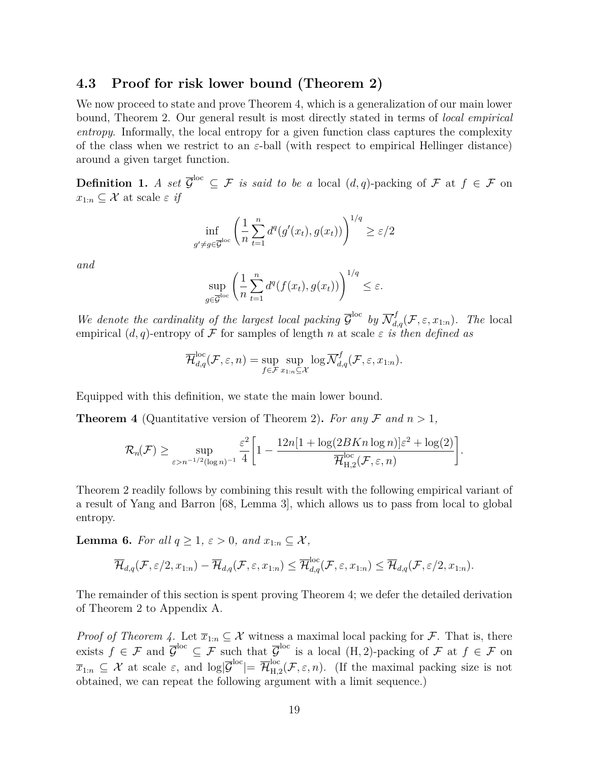#### **4.3 Proof for risk lower bound [\(Theorem 2\)](#page-7-2)**

We now proceed to state and prove [Theorem 4,](#page-18-0) which is a generalization of our main lower bound, [Theorem 2.](#page-7-2) Our general result is most directly stated in terms of *local empirical entropy*. Informally, the local entropy for a given function class captures the complexity of the class when we restrict to an *ε*-ball (with respect to empirical Hellinger distance) around a given target function.

**Definition 1.** *A set*  $\overline{\mathcal{G}}^{\text{loc}} \subseteq \mathcal{F}$  *is said to be a* local  $(d, q)$ -packing of  $\mathcal{F}$  at  $f \in \mathcal{F}$  on  $x_{1:n} \subseteq \mathcal{X}$  at scale  $\varepsilon$  *if* 

$$
\inf_{g' \neq g \in \overline{\mathcal{G}}^{\text{loc}}} \left( \frac{1}{n} \sum_{t=1}^{n} d^q(g'(x_t), g(x_t)) \right)^{1/q} \ge \varepsilon/2
$$

*and*

$$
\sup_{g \in \overline{\mathcal{G}}^{\text{loc}}} \left( \frac{1}{n} \sum_{t=1}^{n} d^q(f(x_t), g(x_t)) \right)^{1/q} \le \varepsilon.
$$

We denote the cardinality of the largest local packing  $\overline{\mathcal{G}}^{\text{loc}}$  by  $\overline{\mathcal{N}}_{d,q}^f(\mathcal{F},\varepsilon,x_{1:n})$ . The local empirical  $(d, q)$ -entropy of F for samples of length *n* at scale  $\varepsilon$  *is then defined as* 

$$
\overline{\mathcal{H}}_{d,q}^{\text{loc}}(\mathcal{F},\varepsilon,n)=\sup_{f\in\mathcal{F}}\sup_{x_{1:n}\subseteq\mathcal{X}}\log\overline{\mathcal{N}}_{d,q}^f(\mathcal{F},\varepsilon,x_{1:n}).
$$

<span id="page-18-0"></span>Equipped with this definition, we state the main lower bound.

**Theorem 4** (Quantitative version of [Theorem 2\)](#page-7-2). For any  $\mathcal{F}$  and  $n > 1$ ,

$$
\mathcal{R}_n(\mathcal{F}) \geq \sup_{\varepsilon > n^{-1/2}(\log n)^{-1}} \frac{\varepsilon^2}{4} \left[ 1 - \frac{12n[1 + \log(2BKn\log n)]\varepsilon^2 + \log(2)}{\overline{\mathcal{H}}_{\mathrm{H},2}^{\mathrm{loc}}(\mathcal{F},\varepsilon,n)} \right].
$$

[Theorem 2](#page-7-2) readily follows by combining this result with the following empirical variant of a result of Yang and Barron [\[68,](#page-32-1) Lemma 3], which allows us to pass from local to global entropy.

<span id="page-18-1"></span>**Lemma 6.** *For all*  $q \geq 1$ ,  $\varepsilon > 0$ , and  $x_{1:n} \subseteq \mathcal{X}$ ,

$$
\overline{\mathcal{H}}_{d,q}(\mathcal{F},\varepsilon/2,x_{1:n})-\overline{\mathcal{H}}_{d,q}(\mathcal{F},\varepsilon,x_{1:n})\leq \overline{\mathcal{H}}_{d,q}^{\text{loc}}(\mathcal{F},\varepsilon,x_{1:n})\leq \overline{\mathcal{H}}_{d,q}(\mathcal{F},\varepsilon/2,x_{1:n}).
$$

The remainder of this section is spent proving [Theorem 4;](#page-18-0) we defer the detailed derivation of [Theorem 2](#page-7-2) to [Appendix A.](#page-32-0)

*Proof of [Theorem 4.](#page-18-0)* Let  $\overline{x}_{1:n} \subseteq \mathcal{X}$  witness a maximal local packing for  $\mathcal{F}$ . That is, there exists  $f \in \mathcal{F}$  and  $\overline{\mathcal{G}}^{\text{loc}} \subseteq \mathcal{F}$  such that  $\overline{\mathcal{G}}^{\text{loc}}$  is a local (H, 2)-packing of  $\mathcal{F}$  at  $f \in \mathcal{F}$  on  $\overline{x}_{1:n} \subseteq \mathcal{X}$  at scale  $\varepsilon$ , and  $log|\overline{\mathcal{G}}^{\rm loc}| = \overline{\mathcal{H}}_{\rm H,2}^{\rm loc}$  $H_{H,2}^{loc}(\mathcal{F},\varepsilon,n)$ . (If the maximal packing size is not obtained, we can repeat the following argument with a limit sequence.)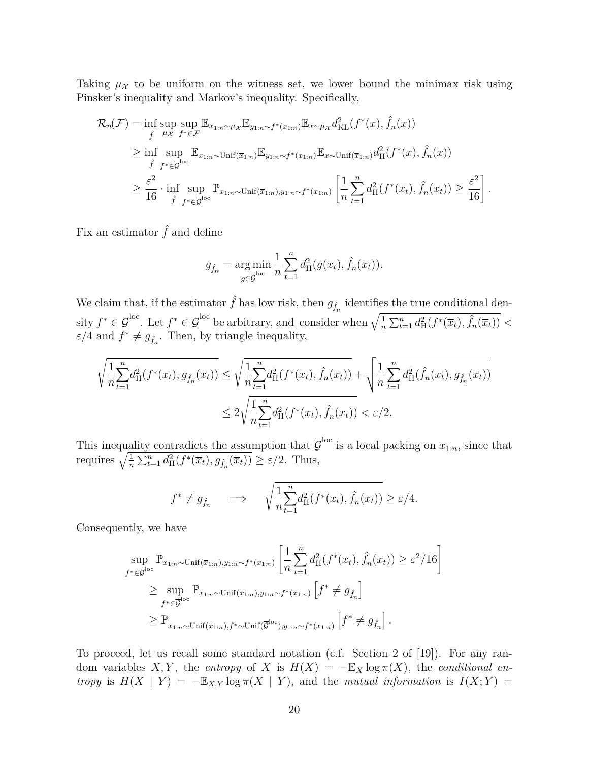Taking  $\mu_X$  to be uniform on the witness set, we lower bound the minimax risk using Pinsker's inequality and Markov's inequality. Specifically,

$$
\mathcal{R}_{n}(\mathcal{F}) = \inf_{\hat{f}} \sup_{\mu_{\mathcal{X}}} \sup_{f^* \in \mathcal{F}} \mathbb{E}_{x_{1:n} \sim \mu_{\mathcal{X}}} \mathbb{E}_{y_{1:n} \sim f^*(x_{1:n})} \mathbb{E}_{x \sim \mu_{\mathcal{X}}} d_{\text{KL}}^2(f^*(x), \hat{f}_n(x))
$$
\n
$$
\geq \inf_{\hat{f}} \sup_{f^* \in \overline{\mathcal{G}}^{\text{loc}}} \mathbb{E}_{x_{1:n} \sim \text{Unif}(\overline{x}_{1:n})} \mathbb{E}_{y_{1:n} \sim f^*(x_{1:n})} \mathbb{E}_{x \sim \text{Unif}(\overline{x}_{1:n})} d_H^2(f^*(x), \hat{f}_n(x))
$$
\n
$$
\geq \frac{\varepsilon^2}{16} \cdot \inf_{\hat{f}} \sup_{f^* \in \overline{\mathcal{G}}^{\text{loc}}} \mathbb{P}_{x_{1:n} \sim \text{Unif}(\overline{x}_{1:n}), y_{1:n} \sim f^*(x_{1:n})} \left[ \frac{1}{n} \sum_{t=1}^n d_H^2(f^*(\overline{x}_t), \hat{f}_n(\overline{x}_t)) \geq \frac{\varepsilon^2}{16} \right].
$$

Fix an estimator  $\hat{f}$  and define

$$
g_{\hat{f}_n} = \underset{g \in \overline{\mathcal{G}}^{\text{loc}}}{\arg \min} \frac{1}{n} \sum_{t=1}^n d_{\text{H}}^2(g(\overline{x}_t), \hat{f}_n(\overline{x}_t)).
$$

We claim that, if the estimator  $\hat{f}$  has low risk, then  $g_{\hat{f}_n}$  identifies the true conditional den*n* sity  $f^* \in \overline{\mathcal{G}}^{\text{loc}}$ . Let  $f^* \in \overline{\mathcal{G}}^{\text{loc}}$  be arbitrary, and consider when  $\sqrt{\frac{1}{n}}$  $\frac{1}{n} \sum_{t=1}^{n} d_H^2(f^*(\overline{x}_t), \hat{f}_n(\overline{x}_t))$  <  $\varepsilon/4$  and  $f^* \neq g_{\hat{f}_n}$ . Then, by triangle inequality,

$$
\sqrt{\frac{1}{n} \sum_{t=1}^{n} d_{\mathrm{H}}^{2}(f^{*}(\overline{x}_{t}), g_{\hat{f}_{n}}(\overline{x}_{t}))} \leq \sqrt{\frac{1}{n} \sum_{t=1}^{n} d_{\mathrm{H}}^{2}(f^{*}(\overline{x}_{t}), \hat{f}_{n}(\overline{x}_{t}))} + \sqrt{\frac{1}{n} \sum_{t=1}^{n} d_{\mathrm{H}}^{2}(\hat{f}_{n}(\overline{x}_{t}), g_{\hat{f}_{n}}(\overline{x}_{t}))}
$$
\n
$$
\leq 2 \sqrt{\frac{1}{n} \sum_{t=1}^{n} d_{\mathrm{H}}^{2}(f^{*}(\overline{x}_{t}), \hat{f}_{n}(\overline{x}_{t}))} < \varepsilon/2.
$$

This inequality contradicts the assumption that  $\overline{\mathcal{G}}^{\text{loc}}$  is a local packing on  $\overline{x}_{1:n}$ , since that requires  $\sqrt{\frac{1}{n} \sum_{t=1}^{n} d_H^2(f^*(\overline{x}_t), g_{\hat{f}_n}(\overline{x}_t))} \ge \varepsilon/2$ . Thus,

$$
f^* \neq g_{\hat{f}_n}
$$
  $\implies$   $\sqrt{\frac{1}{n} \sum_{t=1}^n d_H^2(f^*(\overline{x}_t), \hat{f}_n(\overline{x}_t))} \geq \varepsilon/4.$ 

Consequently, we have

$$
\sup_{f^*\in\overline{\mathcal{G}}^{\text{loc}}} \mathbb{P}_{x_{1:n}\sim\text{Unif}(\overline{x}_{1:n}),y_{1:n}\sim f^*(x_{1:n})} \left[ \frac{1}{n} \sum_{t=1}^n d_H^2(f^*(\overline{x}_t), \hat{f}_n(\overline{x}_t)) \ge \varepsilon^2/16 \right]
$$
\n
$$
\ge \sup_{f^*\in\overline{\mathcal{G}}^{\text{loc}}} \mathbb{P}_{x_{1:n}\sim\text{Unif}(\overline{x}_{1:n}),y_{1:n}\sim f^*(x_{1:n})} \left[ f^* \ne g_{\hat{f}_n} \right]
$$
\n
$$
\ge \mathbb{P}_{x_{1:n}\sim\text{Unif}(\overline{x}_{1:n}),f^*\sim\text{Unif}(\overline{\mathcal{G}}^{\text{loc}}),y_{1:n}\sim f^*(x_{1:n})} \left[ f^* \ne g_{\hat{f}_n} \right].
$$

To proceed, let us recall some standard notation (c.f. Section 2 of [\[19\]](#page-28-7)). For any random variables *X,Y*, the *entropy* of *X* is  $H(X) = -\mathbb{E}_X \log \pi(X)$ , the *conditional entropy* is  $H(X | Y) = -\mathbb{E}_{X,Y} \log \pi(X | Y)$ , and the *mutual information* is  $I(X; Y) =$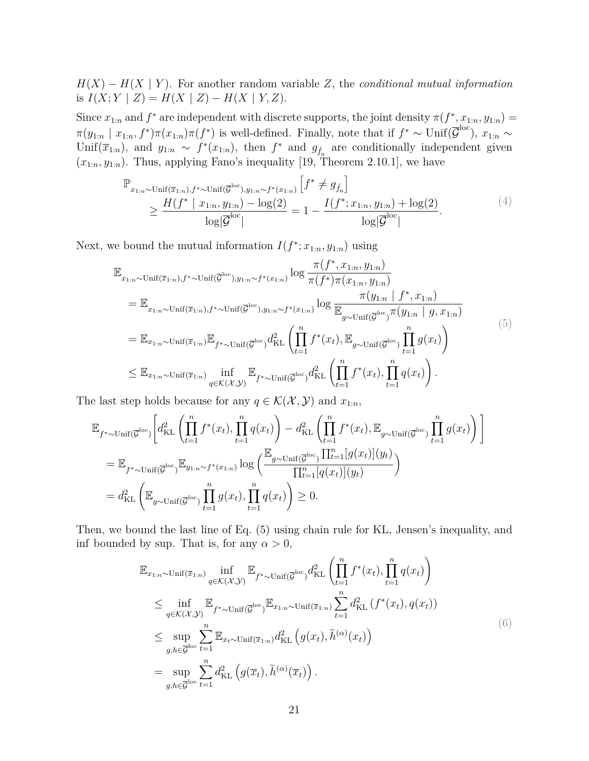$H(X) - H(X | Y)$ . For another random variable *Z*, the *conditional mutual information* is  $I(X; Y | Z) = H(X | Z) - H(X | Y, Z)$ .

Since  $x_{1:n}$  and  $f^*$  are independent with discrete supports, the joint density  $\pi(f^*, x_{1:n}, y_{1:n}) =$  $\pi(y_{1:n} \mid x_{1:n}, f^*) \pi(x_{1:n}) \pi(f^*)$  is well-defined. Finally, note that if  $f^* \sim \text{Unif}(\overline{\mathcal{G}}^{\text{loc}})$ ,  $x_{1:n} \sim$ Unif( $\bar{x}_{1:n}$ ), and  $y_{1:n} \sim f^*(x_{1:n})$ , then  $f^*$  and  $g_{\hat{f}_n}$  are conditionally independent given  $(x_{1:n}, y_{1:n})$ . Thus, applying Fano's inequality [\[19,](#page-28-7) Theorem 2.10.1], we have

<span id="page-20-2"></span>
$$
\mathbb{P}_{x_{1:n} \sim \text{Unif}(\overline{x}_{1:n}), f^* \sim \text{Unif}(\overline{G}^{\text{loc}}), y_{1:n} \sim f^*(x_{1:n})} \left[ f^* \neq g_{\hat{f}_n} \right] \n\geq \frac{H(f^* \mid x_{1:n}, y_{1:n}) - \log(2)}{\log|\overline{G}^{\text{loc}}|} = 1 - \frac{I(f^*; x_{1:n}, y_{1:n}) + \log(2)}{\log|\overline{G}^{\text{loc}}|}.
$$
\n(4)

Next, we bound the mutual information  $I(f^*; x_{1:n}, y_{1:n})$  using

<span id="page-20-0"></span>
$$
\mathbb{E}_{x_{1:n}\sim\text{Unif}(\overline{x}_{1:n}),f^*\sim\text{Unif}(\overline{G}^{\text{loc}}),y_{1:n}\sim f^*(x_{1:n})}\log\frac{\pi(f^*,x_{1:n},y_{1:n})}{\pi(f^*)\pi(x_{1:n},y_{1:n})}\n= \mathbb{E}_{x_{1:n}\sim\text{Unif}(\overline{x}_{1:n}),f^*\sim\text{Unif}(\overline{G}^{\text{loc}}),y_{1:n}\sim f^*(x_{1:n})}\frac{\pi(y_{1:n} \mid f^*,x_{1:n})}{\mathbb{E}_{g\sim\text{Unif}(\overline{G}^{\text{loc}})}\pi(y_{1:n} \mid g,x_{1:n})}\n= \mathbb{E}_{x_{1:n}\sim\text{Unif}(\overline{x}_{1:n})}\mathbb{E}_{f^*\sim\text{Unif}(\overline{G}^{\text{loc}})}d_{\text{KL}}^2\left(\prod_{t=1}^n f^*(x_t), \mathbb{E}_{g\sim\text{Unif}(\overline{G}^{\text{loc}})}\prod_{t=1}^n g(x_t)\right)\n\leq \mathbb{E}_{x_{1:n}\sim\text{Unif}(\overline{x}_{1:n})}\inf_{q\in\mathcal{K}(\mathcal{X},\mathcal{Y})} \mathbb{E}_{f^*\sim\text{Unif}(\overline{G}^{\text{loc}})}d_{\text{KL}}^2\left(\prod_{t=1}^n f^*(x_t), \prod_{t=1}^n g(x_t)\right).
$$
\n(5)

The last step holds because for any  $q \in \mathcal{K}(\mathcal{X}, \mathcal{Y})$  and  $x_{1:n}$ ,

$$
\mathbb{E}_{f^*\sim \text{Unif}(\overline{\mathcal{G}}^{\text{loc}})} \bigg[ d_{\text{KL}}^2 \left( \prod_{t=1}^n f^*(x_t), \prod_{t=1}^n q(x_t) \right) - d_{\text{KL}}^2 \left( \prod_{t=1}^n f^*(x_t), \mathbb{E}_{g\sim \text{Unif}(\overline{\mathcal{G}}^{\text{loc}})} \prod_{t=1}^n g(x_t) \right) \bigg]
$$
\n
$$
= \mathbb{E}_{f^*\sim \text{Unif}(\overline{\mathcal{G}}^{\text{loc}})} \mathbb{E}_{y_{1:n}\sim f^*(x_{1:n})} \log \left( \frac{\mathbb{E}_{g\sim \text{Unif}(\overline{\mathcal{G}}^{\text{loc}})} \prod_{t=1}^n [g(x_t)](y_t)}{\prod_{t=1}^n [q(x_t)](y_t)} \right)
$$
\n
$$
= d_{\text{KL}}^2 \left( \mathbb{E}_{g\sim \text{Unif}(\overline{\mathcal{G}}^{\text{loc}})} \prod_{t=1}^n g(x_t), \prod_{t=1}^n q(x_t) \right) \ge 0.
$$

Then, we bound the last line of [Eq. \(5\)](#page-20-0) using chain rule for KL, Jensen's inequality, and inf bounded by sup. That is, for any  $\alpha > 0$ ,

<span id="page-20-1"></span>
$$
\mathbb{E}_{x_{1:n}\sim\text{Unif}(\overline{x}_{1:n})}\inf_{q\in\mathcal{K}(\mathcal{X},\mathcal{Y})}\mathbb{E}_{f^*\sim\text{Unif}(\overline{G}^{\text{loc}})}d_{\text{KL}}^2\left(\prod_{t=1}^n f^*(x_t), \prod_{t=1}^n q(x_t)\right)
$$
\n
$$
\leq \inf_{q\in\mathcal{K}(\mathcal{X},\mathcal{Y})}\mathbb{E}_{f^*\sim\text{Unif}(\overline{G}^{\text{loc}})}\mathbb{E}_{x_{1:n}\sim\text{Unif}(\overline{x}_{1:n})}\sum_{t=1}^n d_{\text{KL}}^2\left(f^*(x_t), q(x_t)\right)
$$
\n
$$
\leq \sup_{g,h\in\overline{G}^{\text{loc}}} \sum_{t=1}^n \mathbb{E}_{x_t\sim\text{Unif}(\overline{x}_{1:n})}d_{\text{KL}}^2\left(g(x_t), \widetilde{h}^{(\alpha)}(x_t)\right)
$$
\n
$$
= \sup_{g,h\in\overline{G}^{\text{loc}}} \sum_{t=1}^n d_{\text{KL}}^2\left(g(\overline{x}_t), \widetilde{h}^{(\alpha)}(\overline{x}_t)\right).
$$
\n(6)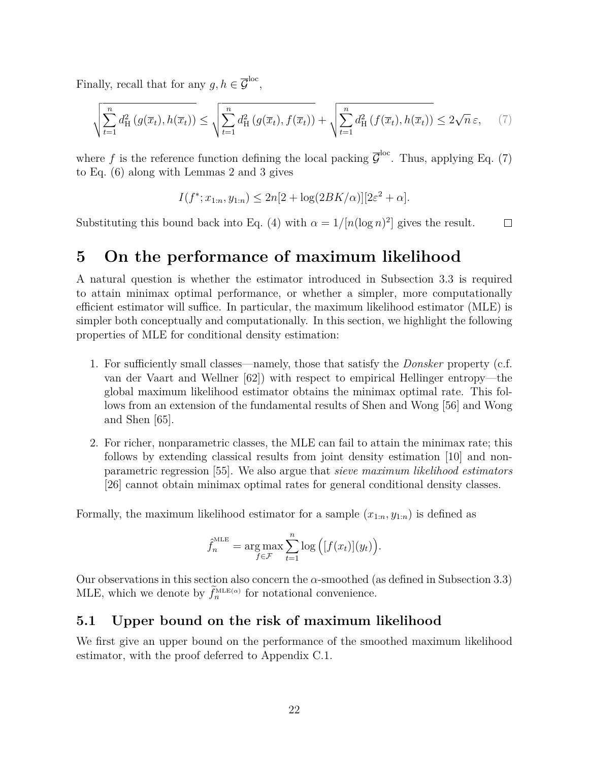Finally, recall that for any  $g, h \in \overline{\mathcal{G}}^{\text{loc}}$ ,

<span id="page-21-2"></span>
$$
\sqrt{\sum_{t=1}^{n} d_{\mathrm{H}}^{2} \left(g(\overline{x}_{t}), h(\overline{x}_{t})\right)} \leq \sqrt{\sum_{t=1}^{n} d_{\mathrm{H}}^{2} \left(g(\overline{x}_{t}), f(\overline{x}_{t})\right)} + \sqrt{\sum_{t=1}^{n} d_{\mathrm{H}}^{2} \left(f(\overline{x}_{t}), h(\overline{x}_{t})\right)} \leq 2\sqrt{n} \,\varepsilon,\qquad(7)
$$

where f is the reference function defining the local packing  $\overline{\mathcal{G}}^{\text{loc}}$ . Thus, applying [Eq. \(7\)](#page-21-2) to [Eq. \(6\)](#page-20-1) along with [Lemmas 2](#page-14-3) and [3](#page-14-2) gives

$$
I(f^*; x_{1:n}, y_{1:n}) \le 2n[2 + \log(2BK/\alpha)][2\varepsilon^2 + \alpha].
$$

Substituting this bound back into [Eq. \(4\)](#page-20-2) with  $\alpha = 1/[n(\log n)^2]$  gives the result.  $\Box$ 

# <span id="page-21-0"></span>**5 On the performance of maximum likelihood**

A natural question is whether the estimator introduced in [Subsection 3.3](#page-7-0) is required to attain minimax optimal performance, or whether a simpler, more computationally efficient estimator will suffice. In particular, the maximum likelihood estimator (MLE) is simpler both conceptually and computationally. In this section, we highlight the following properties of MLE for conditional density estimation:

- 1. For sufficiently small classes—namely, those that satisfy the *Donsker* property (c.f. van der Vaart and Wellner [\[62\]](#page-31-4)) with respect to empirical Hellinger entropy—the global maximum likelihood estimator obtains the minimax optimal rate. This follows from an extension of the fundamental results of Shen and Wong [\[56\]](#page-31-5) and Wong and Shen [\[65\]](#page-31-3).
- 2. For richer, nonparametric classes, the MLE can fail to attain the minimax rate; this follows by extending classical results from joint density estimation [\[10\]](#page-28-8) and nonparametric regression [\[55\]](#page-31-6). We also argue that *sieve maximum likelihood estimators* [\[26\]](#page-29-3) cannot obtain minimax optimal rates for general conditional density classes.

Formally, the maximum likelihood estimator for a sample  $(x_{1:n}, y_{1:n})$  is defined as

$$
\hat{f}_n^{\text{MLE}} = \underset{f \in \mathcal{F}}{\arg \max} \sum_{t=1}^n \log \left( [f(x_t)](y_t) \right).
$$

Our observations in this section also concern the *α*-smoothed (as defined in [Subsection 3.3\)](#page-7-0) MLE, which we denote by  $f_n^{\text{MLE}(\alpha)}$  for notational convenience.

#### <span id="page-21-1"></span>**5.1 Upper bound on the risk of maximum likelihood**

<span id="page-21-3"></span>We first give an upper bound on the performance of the smoothed maximum likelihood estimator, with the proof deferred to [Appendix C.1.](#page-39-0)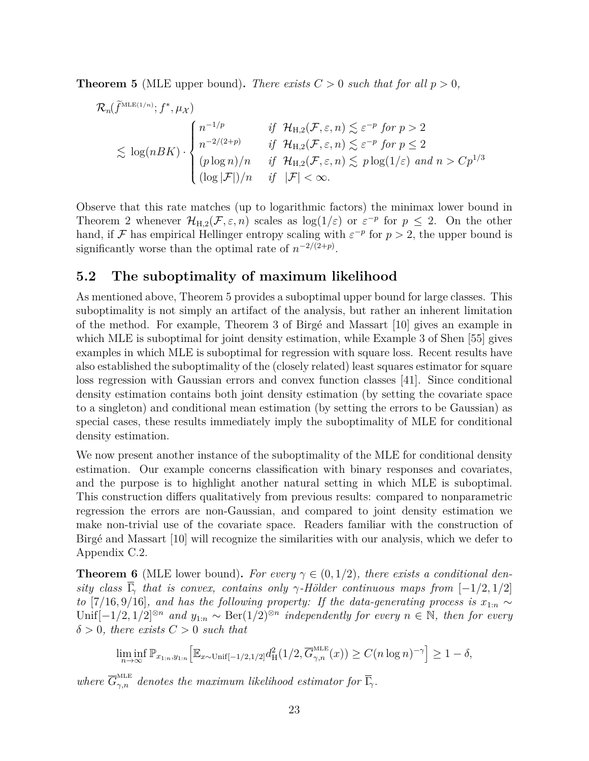**Theorem 5** (MLE upper bound). *There exists*  $C > 0$  *such that for all*  $p > 0$ ,

$$
\mathcal{R}_n(\tilde{f}^{\text{MLE}(1/n)}; f^*, \mu_{\mathcal{X}})
$$
\n
$$
\lesssim \log(nBK) \cdot \begin{cases}\n n^{-1/p} & \text{if } \mathcal{H}_{H,2}(\mathcal{F}, \varepsilon, n) \lesssim \varepsilon^{-p} \text{ for } p > 2 \\
 n^{-2/(2+p)} & \text{if } \mathcal{H}_{H,2}(\mathcal{F}, \varepsilon, n) \lesssim \varepsilon^{-p} \text{ for } p \le 2 \\
 (p \log n)/n & \text{if } \mathcal{H}_{H,2}(\mathcal{F}, \varepsilon, n) \lesssim p \log(1/\varepsilon) \text{ and } n > Cp^{1/3} \\
 (\log |\mathcal{F}|)/n & \text{if } |\mathcal{F}| < \infty.\n\end{cases}
$$

Observe that this rate matches (up to logarithmic factors) the minimax lower bound in [Theorem 2](#page-7-2) whenever  $\mathcal{H}_{H,2}(\mathcal{F},\varepsilon,n)$  scales as  $\log(1/\varepsilon)$  or  $\varepsilon^{-p}$  for  $p \leq 2$ . On the other hand, if F has empirical Hellinger entropy scaling with  $\varepsilon^{-p}$  for  $p > 2$ , the upper bound is significantly worse than the optimal rate of  $n^{-2/(2+p)}$ .

#### <span id="page-22-0"></span>**5.2 The suboptimality of maximum likelihood**

As mentioned above, [Theorem 5](#page-21-3) provides a suboptimal upper bound for large classes. This suboptimality is not simply an artifact of the analysis, but rather an inherent limitation of the method. For example, Theorem 3 of Birgé and Massart [\[10\]](#page-28-8) gives an example in which MLE is suboptimal for joint density estimation, while Example 3 of Shen [\[55\]](#page-31-6) gives examples in which MLE is suboptimal for regression with square loss. Recent results have also established the suboptimality of the (closely related) least squares estimator for square loss regression with Gaussian errors and convex function classes [\[41\]](#page-30-7). Since conditional density estimation contains both joint density estimation (by setting the covariate space to a singleton) and conditional mean estimation (by setting the errors to be Gaussian) as special cases, these results immediately imply the suboptimality of MLE for conditional density estimation.

We now present another instance of the suboptimality of the MLE for conditional density estimation. Our example concerns classification with binary responses and covariates, and the purpose is to highlight another natural setting in which MLE is suboptimal. This construction differs qualitatively from previous results: compared to nonparametric regression the errors are non-Gaussian, and compared to joint density estimation we make non-trivial use of the covariate space. Readers familiar with the construction of Birgé and Massart [\[10\]](#page-28-8) will recognize the similarities with our analysis, which we defer to [Appendix C.2.](#page-40-0)

<span id="page-22-1"></span>**Theorem 6** (MLE lower bound). For every  $\gamma \in (0,1/2)$ , there exists a conditional den*sity class*  $\overline{\Gamma}$ <sup>*f*</sup> *that is convex, contains only*  $\gamma$ *-Hölder continuous maps from* [−1/2*,* 1/2] *to* [7/16*,* 9/16]*, and has the following property: If the data-generating process is*  $x_{1:n}$  ∼ Unif $[-1/2, 1/2]$ <sup>⊗*n*</sup> and  $y_{1:n}$  ∼ Ber $(1/2)$ <sup>⊗*n*</sup> independently for every  $n \in \mathbb{N}$ , then for every  $\delta > 0$ *, there exists*  $C > 0$  *such that* 

$$
\liminf_{n\to\infty} \mathbb{P}_{x_{1:n},y_{1:n}} \Big[ \mathbb{E}_{x \sim \text{Unif}[-1/2,1/2]} d_{\text{H}}^2(1/2, \overline{G}_{\gamma,n}^{\text{MLE}}(x)) \ge C(n\log n)^{-\gamma} \Big] \ge 1 - \delta,
$$

*where*  $\overline{G}_{\gamma,n}^{\text{MLE}}$  *denotes the maximum likelihood estimator for*  $\overline{\Gamma}_{\!\gamma}$ *.*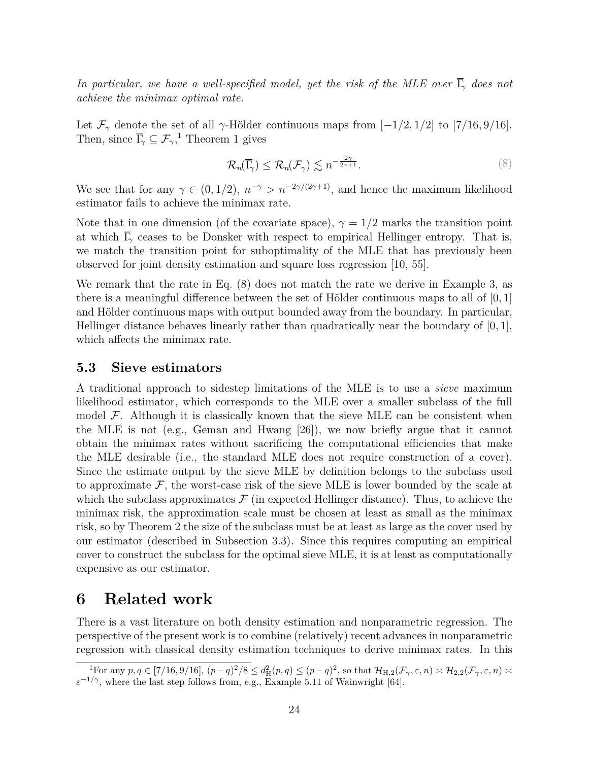*In particular, we have a well-specified model, yet the risk of the MLE over* Γ*<sup>γ</sup> does not achieve the minimax optimal rate.*

Let  $\mathcal{F}_{\gamma}$  denote the set of all *γ*-Hölder continuous maps from [−1/2*,* 1/2] to [7/16*,* 9/16]. Then, since  $\overline{\Gamma}_{\!\gamma} \subseteq \mathcal{F}_{\gamma}$ ,<sup>1</sup> [Theorem 1](#page-7-1) gives

<span id="page-23-2"></span>
$$
\mathcal{R}_n(\overline{\Gamma}_{\!\gamma}) \le \mathcal{R}_n(\mathcal{F}_{\gamma}) \lesssim n^{-\frac{2\gamma}{2\gamma+1}}.\tag{8}
$$

We see that for any  $\gamma \in (0, 1/2), n^{-\gamma} > n^{-2\gamma/(2\gamma+1)}$ , and hence the maximum likelihood estimator fails to achieve the minimax rate.

Note that in one dimension (of the covariate space),  $\gamma = 1/2$  marks the transition point at which  $\Gamma_\gamma$  ceases to be Donsker with respect to empirical Hellinger entropy. That is, we match the transition point for suboptimality of the MLE that has previously been observed for joint density estimation and square loss regression [\[10,](#page-28-8) [55\]](#page-31-6).

We remark that the rate in [Eq. \(8\)](#page-23-2) does not match the rate we derive in [Example 3,](#page-11-0) as there is a meaningful difference between the set of Hölder continuous maps to all of [0*,* 1] and Hölder continuous maps with output bounded away from the boundary. In particular, Hellinger distance behaves linearly rather than quadratically near the boundary of [0*,* 1], which affects the minimax rate.

#### <span id="page-23-0"></span>**5.3 Sieve estimators**

A traditional approach to sidestep limitations of the MLE is to use a *sieve* maximum likelihood estimator, which corresponds to the MLE over a smaller subclass of the full model  $\mathcal F$ . Although it is classically known that the sieve MLE can be consistent when the MLE is not (e.g., Geman and Hwang [\[26\]](#page-29-3)), we now briefly argue that it cannot obtain the minimax rates without sacrificing the computational efficiencies that make the MLE desirable (i.e., the standard MLE does not require construction of a cover). Since the estimate output by the sieve MLE by definition belongs to the subclass used to approximate  $\mathcal{F}$ , the worst-case risk of the sieve MLE is lower bounded by the scale at which the subclass approximates  $\mathcal F$  (in expected Hellinger distance). Thus, to achieve the minimax risk, the approximation scale must be chosen at least as small as the minimax risk, so by [Theorem 2](#page-7-2) the size of the subclass must be at least as large as the cover used by our estimator (described in [Subsection 3.3\)](#page-7-0). Since this requires computing an empirical cover to construct the subclass for the optimal sieve MLE, it is at least as computationally expensive as our estimator.

### <span id="page-23-1"></span>**6 Related work**

There is a vast literature on both density estimation and nonparametric regression. The perspective of the present work is to combine (relatively) recent advances in nonparametric regression with classical density estimation techniques to derive minimax rates. In this

 $\mathbb{P}^1$ For any  $p, q \in [7/16, 9/16], (p-q)^2/8 \leq d_H^2(p, q) \leq (p-q)^2$ , so that  $\mathcal{H}_{H,2}(\mathcal{F}_{\gamma}, \varepsilon, n) \asymp \mathcal{H}_{2,2}(\mathcal{F}_{\gamma}, \varepsilon, n) \asymp$  $\varepsilon^{-1/\gamma}$ , where the last step follows from, e.g., Example 5.11 of Wainwright [\[64\]](#page-31-7).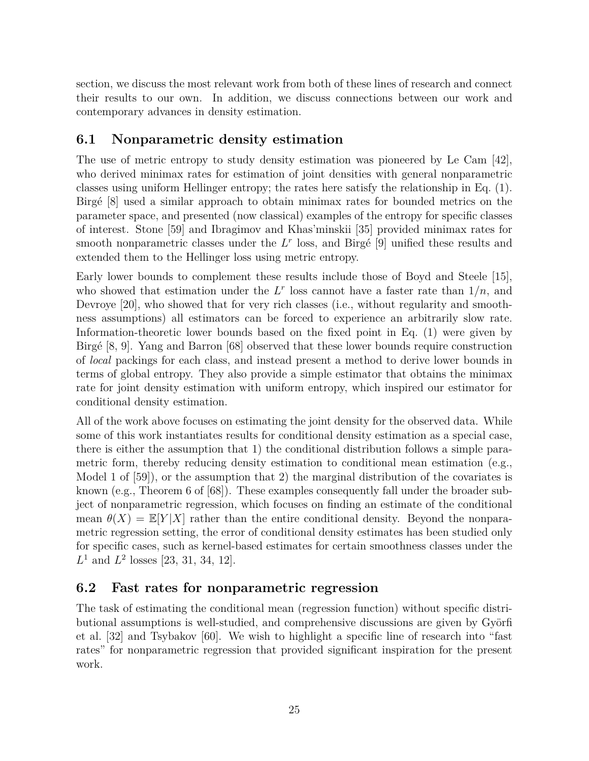section, we discuss the most relevant work from both of these lines of research and connect their results to our own. In addition, we discuss connections between our work and contemporary advances in density estimation.

### <span id="page-24-0"></span>**6.1 Nonparametric density estimation**

The use of metric entropy to study density estimation was pioneered by Le Cam [\[42\]](#page-30-1), who derived minimax rates for estimation of joint densities with general nonparametric classes using uniform Hellinger entropy; the rates here satisfy the relationship in [Eq. \(1\).](#page-2-0) Birgé [\[8\]](#page-28-0) used a similar approach to obtain minimax rates for bounded metrics on the parameter space, and presented (now classical) examples of the entropy for specific classes of interest. Stone [\[59\]](#page-31-8) and Ibragimov and Khas'minskii [\[35\]](#page-29-1) provided minimax rates for smooth nonparametric classes under the  $L^r$  loss, and Birgé [\[9\]](#page-28-1) unified these results and extended them to the Hellinger loss using metric entropy.

Early lower bounds to complement these results include those of Boyd and Steele [\[15\]](#page-28-9), who showed that estimation under the  $L^r$  loss cannot have a faster rate than  $1/n$ , and Devroye [\[20\]](#page-28-10), who showed that for very rich classes (i.e., without regularity and smoothness assumptions) all estimators can be forced to experience an arbitrarily slow rate. Information-theoretic lower bounds based on the fixed point in [Eq. \(1\)](#page-2-0) were given by Birgé [\[8,](#page-28-0) [9\]](#page-28-1). Yang and Barron [\[68\]](#page-32-1) observed that these lower bounds require construction of *local* packings for each class, and instead present a method to derive lower bounds in terms of global entropy. They also provide a simple estimator that obtains the minimax rate for joint density estimation with uniform entropy, which inspired our estimator for conditional density estimation.

All of the work above focuses on estimating the joint density for the observed data. While some of this work instantiates results for conditional density estimation as a special case, there is either the assumption that 1) the conditional distribution follows a simple parametric form, thereby reducing density estimation to conditional mean estimation (e.g., Model 1 of [\[59\]](#page-31-8)), or the assumption that 2) the marginal distribution of the covariates is known (e.g., Theorem 6 of [\[68\]](#page-32-1)). These examples consequently fall under the broader subject of nonparametric regression, which focuses on finding an estimate of the conditional mean  $\theta(X) = \mathbb{E}[Y|X]$  rather than the entire conditional density. Beyond the nonparametric regression setting, the error of conditional density estimates has been studied only for specific cases, such as kernel-based estimates for certain smoothness classes under the  $L^1$  and  $L^2$  losses [\[23,](#page-29-4) [31,](#page-29-5) [34,](#page-29-6) [12\]](#page-28-11).

### <span id="page-24-1"></span>**6.2 Fast rates for nonparametric regression**

The task of estimating the conditional mean (regression function) without specific distributional assumptions is well-studied, and comprehensive discussions are given by Györfi et al. [\[32\]](#page-29-7) and Tsybakov [\[60\]](#page-31-9). We wish to highlight a specific line of research into "fast rates" for nonparametric regression that provided significant inspiration for the present work.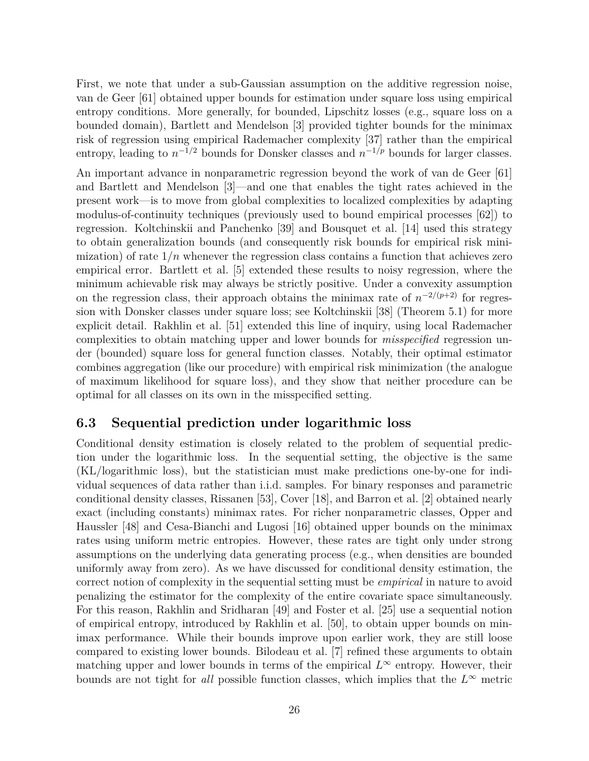First, we note that under a sub-Gaussian assumption on the additive regression noise, van de Geer [\[61\]](#page-31-0) obtained upper bounds for estimation under square loss using empirical entropy conditions. More generally, for bounded, Lipschitz losses (e.g., square loss on a bounded domain), Bartlett and Mendelson [\[3\]](#page-27-0) provided tighter bounds for the minimax risk of regression using empirical Rademacher complexity [\[37\]](#page-30-8) rather than the empirical entropy, leading to  $n^{-1/2}$  bounds for Donsker classes and  $n^{-1/p}$  bounds for larger classes.

An important advance in nonparametric regression beyond the work of van de Geer [\[61\]](#page-31-0) and Bartlett and Mendelson [\[3\]](#page-27-0)—and one that enables the tight rates achieved in the present work—is to move from global complexities to localized complexities by adapting modulus-of-continuity techniques (previously used to bound empirical processes [\[62\]](#page-31-4)) to regression. Koltchinskii and Panchenko [\[39\]](#page-30-6) and Bousquet et al. [\[14\]](#page-28-12) used this strategy to obtain generalization bounds (and consequently risk bounds for empirical risk minimization) of rate  $1/n$  whenever the regression class contains a function that achieves zero empirical error. Bartlett et al. [\[5\]](#page-27-3) extended these results to noisy regression, where the minimum achievable risk may always be strictly positive. Under a convexity assumption on the regression class, their approach obtains the minimax rate of  $n^{-2/(p+2)}$  for regression with Donsker classes under square loss; see Koltchinskii [\[38\]](#page-30-9) (Theorem 5.1) for more explicit detail. Rakhlin et al. [\[51\]](#page-30-0) extended this line of inquiry, using local Rademacher complexities to obtain matching upper and lower bounds for *misspecified* regression under (bounded) square loss for general function classes. Notably, their optimal estimator combines aggregation (like our procedure) with empirical risk minimization (the analogue of maximum likelihood for square loss), and they show that neither procedure can be optimal for all classes on its own in the misspecified setting.

#### <span id="page-25-0"></span>**6.3 Sequential prediction under logarithmic loss**

Conditional density estimation is closely related to the problem of sequential prediction under the logarithmic loss. In the sequential setting, the objective is the same (KL/logarithmic loss), but the statistician must make predictions one-by-one for individual sequences of data rather than i.i.d. samples. For binary responses and parametric conditional density classes, Rissanen [\[53\]](#page-31-10), Cover [\[18\]](#page-28-13), and Barron et al. [\[2\]](#page-27-4) obtained nearly exact (including constants) minimax rates. For richer nonparametric classes, Opper and Haussler [\[48\]](#page-30-10) and Cesa-Bianchi and Lugosi [\[16\]](#page-28-14) obtained upper bounds on the minimax rates using uniform metric entropies. However, these rates are tight only under strong assumptions on the underlying data generating process (e.g., when densities are bounded uniformly away from zero). As we have discussed for conditional density estimation, the correct notion of complexity in the sequential setting must be *empirical* in nature to avoid penalizing the estimator for the complexity of the entire covariate space simultaneously. For this reason, Rakhlin and Sridharan [\[49\]](#page-30-11) and Foster et al. [\[25\]](#page-29-8) use a sequential notion of empirical entropy, introduced by Rakhlin et al. [\[50\]](#page-30-12), to obtain upper bounds on minimax performance. While their bounds improve upon earlier work, they are still loose compared to existing lower bounds. Bilodeau et al. [\[7\]](#page-28-2) refined these arguments to obtain matching upper and lower bounds in terms of the empirical  $L^{\infty}$  entropy. However, their bounds are not tight for *all* possible function classes, which implies that the  $L^{\infty}$  metric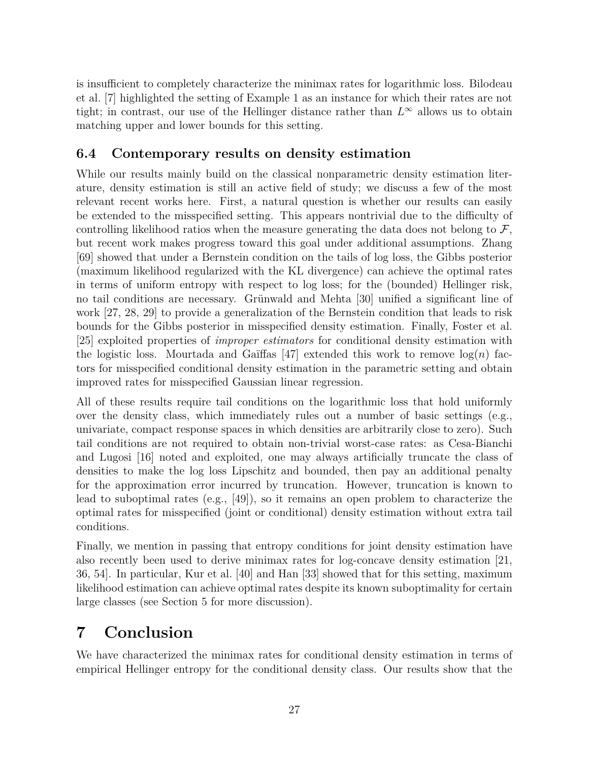is insufficient to completely characterize the minimax rates for logarithmic loss. Bilodeau et al. [\[7\]](#page-28-2) highlighted the setting of [Example 1](#page-9-0) as an instance for which their rates are not tight; in contrast, our use of the Hellinger distance rather than  $L^{\infty}$  allows us to obtain matching upper and lower bounds for this setting.

### <span id="page-26-0"></span>**6.4 Contemporary results on density estimation**

While our results mainly build on the classical nonparametric density estimation literature, density estimation is still an active field of study; we discuss a few of the most relevant recent works here. First, a natural question is whether our results can easily be extended to the misspecified setting. This appears nontrivial due to the difficulty of controlling likelihood ratios when the measure generating the data does not belong to  $\mathcal{F}$ , but recent work makes progress toward this goal under additional assumptions. Zhang [\[69\]](#page-32-2) showed that under a Bernstein condition on the tails of log loss, the Gibbs posterior (maximum likelihood regularized with the KL divergence) can achieve the optimal rates in terms of uniform entropy with respect to log loss; for the (bounded) Hellinger risk, no tail conditions are necessary. Grünwald and Mehta [\[30\]](#page-29-2) unified a significant line of work [\[27,](#page-29-9) [28,](#page-29-10) [29\]](#page-29-11) to provide a generalization of the Bernstein condition that leads to risk bounds for the Gibbs posterior in misspecified density estimation. Finally, Foster et al. [\[25\]](#page-29-8) exploited properties of *improper estimators* for conditional density estimation with the logistic loss. Mourtada and Gaïffas [\[47\]](#page-30-13) extended this work to remove  $log(n)$  factors for misspecified conditional density estimation in the parametric setting and obtain improved rates for misspecified Gaussian linear regression.

All of these results require tail conditions on the logarithmic loss that hold uniformly over the density class, which immediately rules out a number of basic settings (e.g., univariate, compact response spaces in which densities are arbitrarily close to zero). Such tail conditions are not required to obtain non-trivial worst-case rates: as Cesa-Bianchi and Lugosi [\[16\]](#page-28-14) noted and exploited, one may always artificially truncate the class of densities to make the log loss Lipschitz and bounded, then pay an additional penalty for the approximation error incurred by truncation. However, truncation is known to lead to suboptimal rates (e.g., [\[49\]](#page-30-11)), so it remains an open problem to characterize the optimal rates for misspecified (joint or conditional) density estimation without extra tail conditions.

Finally, we mention in passing that entropy conditions for joint density estimation have also recently been used to derive minimax rates for log-concave density estimation [\[21,](#page-28-15) [36,](#page-29-12) [54\]](#page-31-11). In particular, Kur et al. [\[40\]](#page-30-4) and Han [\[33\]](#page-29-13) showed that for this setting, maximum likelihood estimation can achieve optimal rates despite its known suboptimality for certain large classes (see [Section 5](#page-21-0) for more discussion).

# <span id="page-26-1"></span>**7 Conclusion**

We have characterized the minimax rates for conditional density estimation in terms of empirical Hellinger entropy for the conditional density class. Our results show that the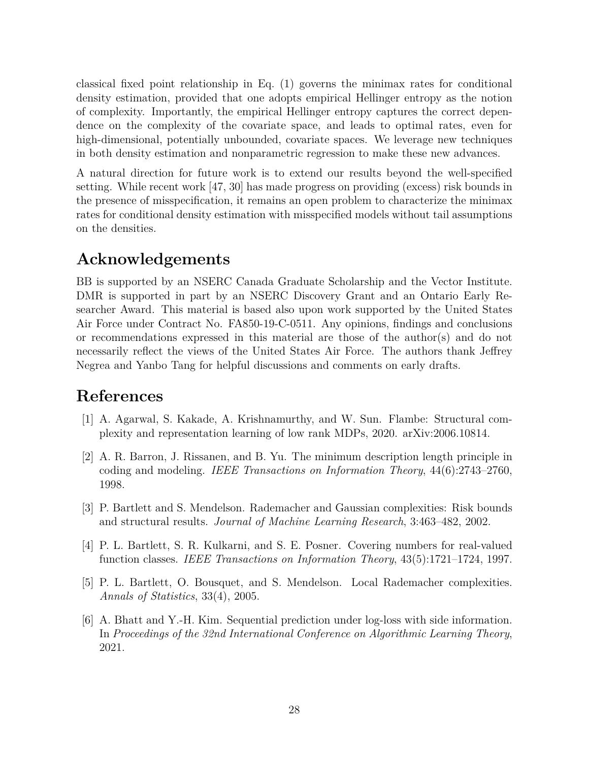classical fixed point relationship in [Eq. \(1\)](#page-2-0) governs the minimax rates for conditional density estimation, provided that one adopts empirical Hellinger entropy as the notion of complexity. Importantly, the empirical Hellinger entropy captures the correct dependence on the complexity of the covariate space, and leads to optimal rates, even for high-dimensional, potentially unbounded, covariate spaces. We leverage new techniques in both density estimation and nonparametric regression to make these new advances.

A natural direction for future work is to extend our results beyond the well-specified setting. While recent work [\[47,](#page-30-13) [30\]](#page-29-2) has made progress on providing (excess) risk bounds in the presence of misspecification, it remains an open problem to characterize the minimax rates for conditional density estimation with misspecified models without tail assumptions on the densities.

# **Acknowledgements**

BB is supported by an NSERC Canada Graduate Scholarship and the Vector Institute. DMR is supported in part by an NSERC Discovery Grant and an Ontario Early Researcher Award. This material is based also upon work supported by the United States Air Force under Contract No. FA850-19-C-0511. Any opinions, findings and conclusions or recommendations expressed in this material are those of the author(s) and do not necessarily reflect the views of the United States Air Force. The authors thank Jeffrey Negrea and Yanbo Tang for helpful discussions and comments on early drafts.

# **References**

- <span id="page-27-1"></span>[1] A. Agarwal, S. Kakade, A. Krishnamurthy, and W. Sun. Flambe: Structural complexity and representation learning of low rank MDPs, 2020. arXiv:2006.10814.
- <span id="page-27-4"></span>[2] A. R. Barron, J. Rissanen, and B. Yu. The minimum description length principle in coding and modeling. *IEEE Transactions on Information Theory*, 44(6):2743–2760, 1998.
- <span id="page-27-0"></span>[3] P. Bartlett and S. Mendelson. Rademacher and Gaussian complexities: Risk bounds and structural results. *Journal of Machine Learning Research*, 3:463–482, 2002.
- <span id="page-27-5"></span>[4] P. L. Bartlett, S. R. Kulkarni, and S. E. Posner. Covering numbers for real-valued function classes. *IEEE Transactions on Information Theory*, 43(5):1721–1724, 1997.
- <span id="page-27-3"></span>[5] P. L. Bartlett, O. Bousquet, and S. Mendelson. Local Rademacher complexities. *Annals of Statistics*, 33(4), 2005.
- <span id="page-27-2"></span>[6] A. Bhatt and Y.-H. Kim. Sequential prediction under log-loss with side information. In *Proceedings of the 32nd International Conference on Algorithmic Learning Theory*, 2021.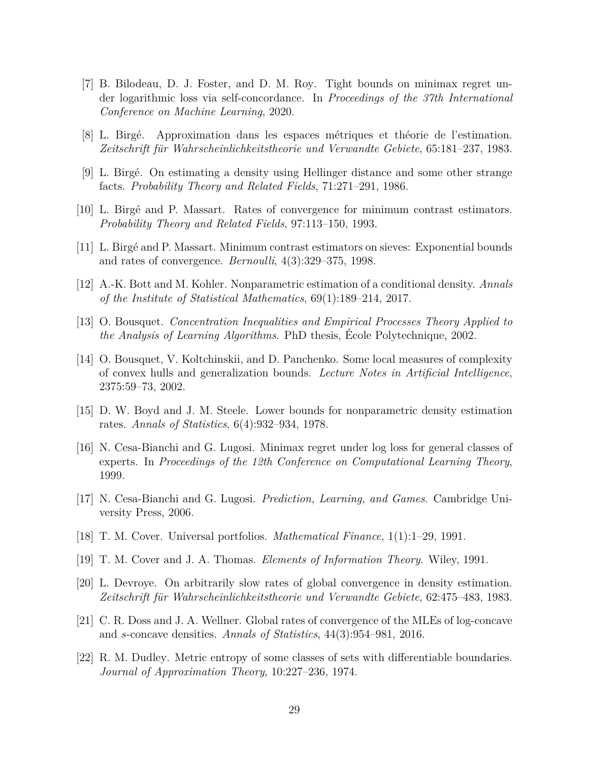- <span id="page-28-2"></span>[7] B. Bilodeau, D. J. Foster, and D. M. Roy. Tight bounds on minimax regret under logarithmic loss via self-concordance. In *Proceedings of the 37th International Conference on Machine Learning*, 2020.
- <span id="page-28-0"></span>[8] L. Birgé. Approximation dans les espaces métriques et théorie de l'estimation. *Zeitschrift für Wahrscheinlichkeitstheorie und Verwandte Gebiete*, 65:181–237, 1983.
- <span id="page-28-1"></span>[9] L. Birgé. On estimating a density using Hellinger distance and some other strange facts. *Probability Theory and Related Fields*, 71:271–291, 1986.
- <span id="page-28-8"></span>[10] L. Birgé and P. Massart. Rates of convergence for minimum contrast estimators. *Probability Theory and Related Fields*, 97:113–150, 1993.
- <span id="page-28-4"></span>[11] L. Birgé and P. Massart. Minimum contrast estimators on sieves: Exponential bounds and rates of convergence. *Bernoulli*, 4(3):329–375, 1998.
- <span id="page-28-11"></span>[12] A.-K. Bott and M. Kohler. Nonparametric estimation of a conditional density. *Annals of the Institute of Statistical Mathematics*, 69(1):189–214, 2017.
- <span id="page-28-6"></span>[13] O. Bousquet. *Concentration Inequalities and Empirical Processes Theory Applied to the Analysis of Learning Algorithms*. PhD thesis, École Polytechnique, 2002.
- <span id="page-28-12"></span>[14] O. Bousquet, V. Koltchinskii, and D. Panchenko. Some local measures of complexity of convex hulls and generalization bounds. *Lecture Notes in Artificial Intelligence*, 2375:59–73, 2002.
- <span id="page-28-9"></span>[15] D. W. Boyd and J. M. Steele. Lower bounds for nonparametric density estimation rates. *Annals of Statistics*, 6(4):932–934, 1978.
- <span id="page-28-14"></span>[16] N. Cesa-Bianchi and G. Lugosi. Minimax regret under log loss for general classes of experts. In *Proceedings of the 12th Conference on Computational Learning Theory*, 1999.
- <span id="page-28-3"></span>[17] N. Cesa-Bianchi and G. Lugosi. *Prediction, Learning, and Games*. Cambridge University Press, 2006.
- <span id="page-28-13"></span>[18] T. M. Cover. Universal portfolios. *Mathematical Finance*, 1(1):1–29, 1991.
- <span id="page-28-7"></span>[19] T. M. Cover and J. A. Thomas. *Elements of Information Theory*. Wiley, 1991.
- <span id="page-28-10"></span>[20] L. Devroye. On arbitrarily slow rates of global convergence in density estimation. *Zeitschrift für Wahrscheinlichkeitstheorie und Verwandte Gebiete*, 62:475–483, 1983.
- <span id="page-28-15"></span>[21] C. R. Doss and J. A. Wellner. Global rates of convergence of the MLEs of log-concave and *s*-concave densities. *Annals of Statistics*, 44(3):954–981, 2016.
- <span id="page-28-5"></span>[22] R. M. Dudley. Metric entropy of some classes of sets with differentiable boundaries. *Journal of Approximation Theory*, 10:227–236, 1974.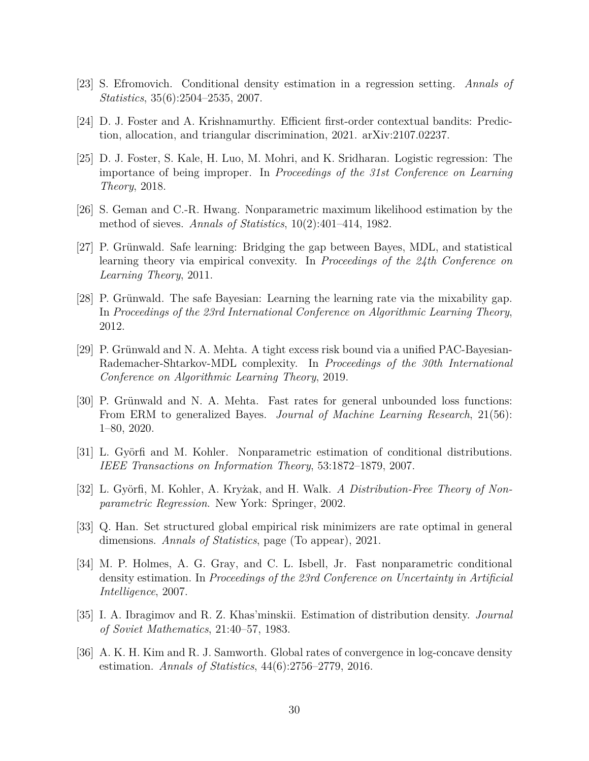- <span id="page-29-4"></span>[23] S. Efromovich. Conditional density estimation in a regression setting. *Annals of Statistics*, 35(6):2504–2535, 2007.
- <span id="page-29-0"></span>[24] D. J. Foster and A. Krishnamurthy. Efficient first-order contextual bandits: Prediction, allocation, and triangular discrimination, 2021. arXiv:2107.02237.
- <span id="page-29-8"></span>[25] D. J. Foster, S. Kale, H. Luo, M. Mohri, and K. Sridharan. Logistic regression: The importance of being improper. In *Proceedings of the 31st Conference on Learning Theory*, 2018.
- <span id="page-29-3"></span>[26] S. Geman and C.-R. Hwang. Nonparametric maximum likelihood estimation by the method of sieves. *Annals of Statistics*, 10(2):401–414, 1982.
- <span id="page-29-9"></span>[27] P. Grünwald. Safe learning: Bridging the gap between Bayes, MDL, and statistical learning theory via empirical convexity. In *Proceedings of the 24th Conference on Learning Theory*, 2011.
- <span id="page-29-10"></span>[28] P. Grünwald. The safe Bayesian: Learning the learning rate via the mixability gap. In *Proceedings of the 23rd International Conference on Algorithmic Learning Theory*, 2012.
- <span id="page-29-11"></span>[29] P. Grünwald and N. A. Mehta. A tight excess risk bound via a unified PAC-Bayesian-Rademacher-Shtarkov-MDL complexity. In *Proceedings of the 30th International Conference on Algorithmic Learning Theory*, 2019.
- <span id="page-29-2"></span>[30] P. Grünwald and N. A. Mehta. Fast rates for general unbounded loss functions: From ERM to generalized Bayes. *Journal of Machine Learning Research*, 21(56): 1–80, 2020.
- <span id="page-29-5"></span>[31] L. Györfi and M. Kohler. Nonparametric estimation of conditional distributions. *IEEE Transactions on Information Theory*, 53:1872–1879, 2007.
- <span id="page-29-7"></span>[32] L. Györfi, M. Kohler, A. Kryżak, and H. Walk. *A Distribution-Free Theory of Nonparametric Regression*. New York: Springer, 2002.
- <span id="page-29-13"></span>[33] Q. Han. Set structured global empirical risk minimizers are rate optimal in general dimensions. *Annals of Statistics*, page (To appear), 2021.
- <span id="page-29-6"></span>[34] M. P. Holmes, A. G. Gray, and C. L. Isbell, Jr. Fast nonparametric conditional density estimation. In *Proceedings of the 23rd Conference on Uncertainty in Artificial Intelligence*, 2007.
- <span id="page-29-1"></span>[35] I. A. Ibragimov and R. Z. Khas'minskii. Estimation of distribution density. *Journal of Soviet Mathematics*, 21:40–57, 1983.
- <span id="page-29-12"></span>[36] A. K. H. Kim and R. J. Samworth. Global rates of convergence in log-concave density estimation. *Annals of Statistics*, 44(6):2756–2779, 2016.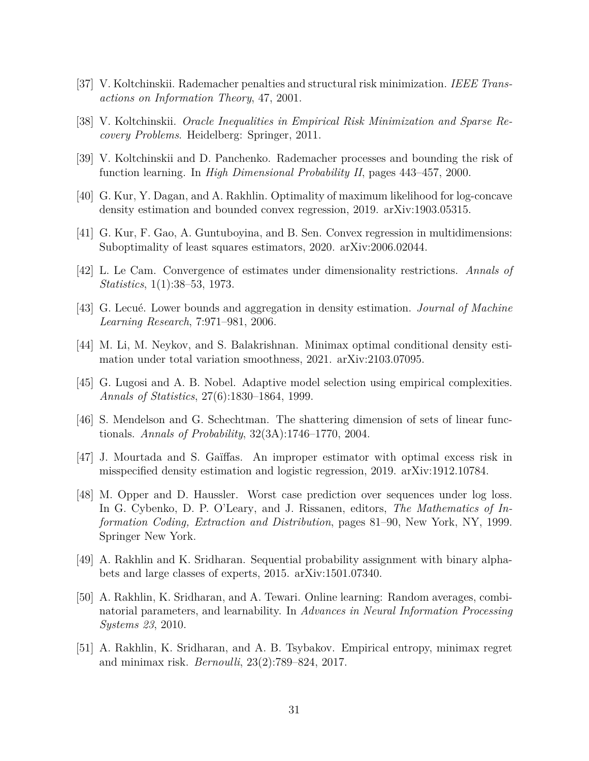- <span id="page-30-8"></span>[37] V. Koltchinskii. Rademacher penalties and structural risk minimization. *IEEE Transactions on Information Theory*, 47, 2001.
- <span id="page-30-9"></span>[38] V. Koltchinskii. *Oracle Inequalities in Empirical Risk Minimization and Sparse Recovery Problems*. Heidelberg: Springer, 2011.
- <span id="page-30-6"></span>[39] V. Koltchinskii and D. Panchenko. Rademacher processes and bounding the risk of function learning. In *High Dimensional Probability II*, pages 443–457, 2000.
- <span id="page-30-4"></span>[40] G. Kur, Y. Dagan, and A. Rakhlin. Optimality of maximum likelihood for log-concave density estimation and bounded convex regression, 2019. arXiv:1903.05315.
- <span id="page-30-7"></span>[41] G. Kur, F. Gao, A. Guntuboyina, and B. Sen. Convex regression in multidimensions: Suboptimality of least squares estimators, 2020. arXiv:2006.02044.
- <span id="page-30-1"></span>[42] L. Le Cam. Convergence of estimates under dimensionality restrictions. *Annals of Statistics*, 1(1):38–53, 1973.
- <span id="page-30-2"></span>[43] G. Lecué. Lower bounds and aggregation in density estimation. *Journal of Machine Learning Research*, 7:971–981, 2006.
- <span id="page-30-3"></span>[44] M. Li, M. Neykov, and S. Balakrishnan. Minimax optimal conditional density estimation under total variation smoothness, 2021. arXiv:2103.07095.
- <span id="page-30-5"></span>[45] G. Lugosi and A. B. Nobel. Adaptive model selection using empirical complexities. *Annals of Statistics*, 27(6):1830–1864, 1999.
- <span id="page-30-14"></span>[46] S. Mendelson and G. Schechtman. The shattering dimension of sets of linear functionals. *Annals of Probability*, 32(3A):1746–1770, 2004.
- <span id="page-30-13"></span>[47] J. Mourtada and S. Gaïffas. An improper estimator with optimal excess risk in misspecified density estimation and logistic regression, 2019. arXiv:1912.10784.
- <span id="page-30-10"></span>[48] M. Opper and D. Haussler. Worst case prediction over sequences under log loss. In G. Cybenko, D. P. O'Leary, and J. Rissanen, editors, *The Mathematics of Information Coding, Extraction and Distribution*, pages 81–90, New York, NY, 1999. Springer New York.
- <span id="page-30-11"></span>[49] A. Rakhlin and K. Sridharan. Sequential probability assignment with binary alphabets and large classes of experts, 2015. arXiv:1501.07340.
- <span id="page-30-12"></span>[50] A. Rakhlin, K. Sridharan, and A. Tewari. Online learning: Random averages, combinatorial parameters, and learnability. In *Advances in Neural Information Processing Systems 23*, 2010.
- <span id="page-30-0"></span>[51] A. Rakhlin, K. Sridharan, and A. B. Tsybakov. Empirical entropy, minimax regret and minimax risk. *Bernoulli*, 23(2):789–824, 2017.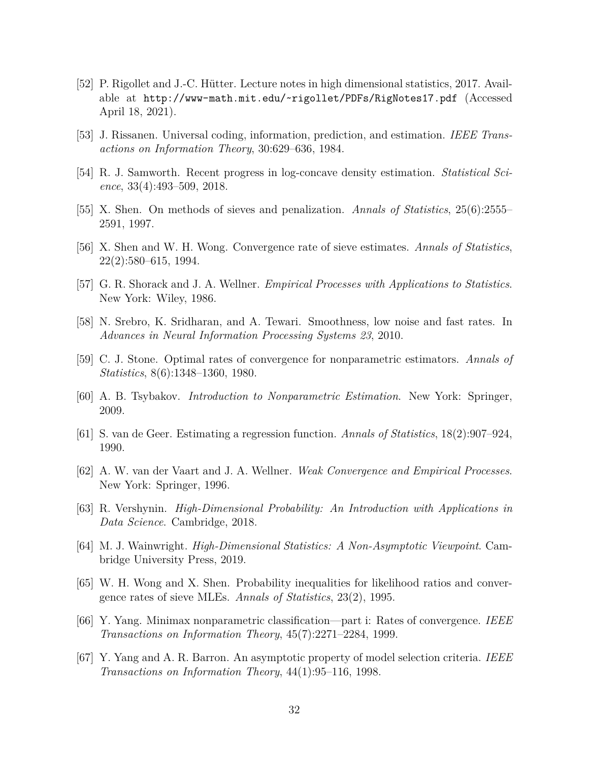- <span id="page-31-14"></span>[52] P. Rigollet and J.-C. Hütter. Lecture notes in high dimensional statistics, 2017. Available at <http://www-math.mit.edu/~rigollet/PDFs/RigNotes17.pdf> (Accessed April 18, 2021).
- <span id="page-31-10"></span>[53] J. Rissanen. Universal coding, information, prediction, and estimation. *IEEE Transactions on Information Theory*, 30:629–636, 1984.
- <span id="page-31-11"></span>[54] R. J. Samworth. Recent progress in log-concave density estimation. *Statistical Science*, 33(4):493–509, 2018.
- <span id="page-31-6"></span>[55] X. Shen. On methods of sieves and penalization. *Annals of Statistics*, 25(6):2555– 2591, 1997.
- <span id="page-31-5"></span>[56] X. Shen and W. H. Wong. Convergence rate of sieve estimates. *Annals of Statistics*, 22(2):580–615, 1994.
- <span id="page-31-15"></span>[57] G. R. Shorack and J. A. Wellner. *Empirical Processes with Applications to Statistics*. New York: Wiley, 1986.
- <span id="page-31-12"></span>[58] N. Srebro, K. Sridharan, and A. Tewari. Smoothness, low noise and fast rates. In *Advances in Neural Information Processing Systems 23*, 2010.
- <span id="page-31-8"></span>[59] C. J. Stone. Optimal rates of convergence for nonparametric estimators. *Annals of Statistics*, 8(6):1348–1360, 1980.
- <span id="page-31-9"></span>[60] A. B. Tsybakov. *Introduction to Nonparametric Estimation*. New York: Springer, 2009.
- <span id="page-31-0"></span>[61] S. van de Geer. Estimating a regression function. *Annals of Statistics*, 18(2):907–924, 1990.
- <span id="page-31-4"></span>[62] A. W. van der Vaart and J. A. Wellner. *Weak Convergence and Empirical Processes*. New York: Springer, 1996.
- <span id="page-31-13"></span>[63] R. Vershynin. *High-Dimensional Probability: An Introduction with Applications in Data Science*. Cambridge, 2018.
- <span id="page-31-7"></span>[64] M. J. Wainwright. *High-Dimensional Statistics: A Non-Asymptotic Viewpoint*. Cambridge University Press, 2019.
- <span id="page-31-3"></span>[65] W. H. Wong and X. Shen. Probability inequalities for likelihood ratios and convergence rates of sieve MLEs. *Annals of Statistics*, 23(2), 1995.
- <span id="page-31-1"></span>[66] Y. Yang. Minimax nonparametric classification—part i: Rates of convergence. *IEEE Transactions on Information Theory*, 45(7):2271–2284, 1999.
- <span id="page-31-2"></span>[67] Y. Yang and A. R. Barron. An asymptotic property of model selection criteria. *IEEE Transactions on Information Theory*, 44(1):95–116, 1998.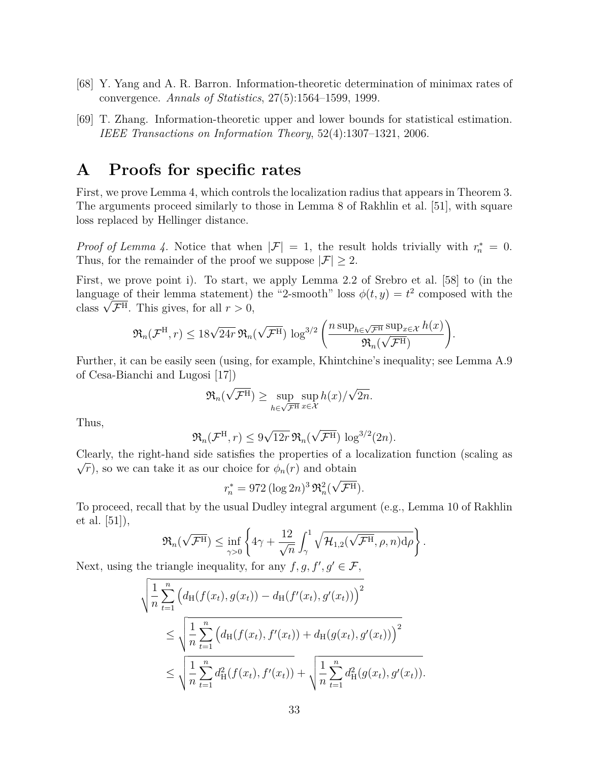- <span id="page-32-1"></span>[68] Y. Yang and A. R. Barron. Information-theoretic determination of minimax rates of convergence. *Annals of Statistics*, 27(5):1564–1599, 1999.
- <span id="page-32-2"></span>[69] T. Zhang. Information-theoretic upper and lower bounds for statistical estimation. *IEEE Transactions on Information Theory*, 52(4):1307–1321, 2006.

# <span id="page-32-0"></span>**A Proofs for specific rates**

First, we prove [Lemma 4,](#page-16-0) which controls the localization radius that appears in [Theorem 3.](#page-15-1) The arguments proceed similarly to those in Lemma 8 of Rakhlin et al. [\[51\]](#page-30-0), with square loss replaced by Hellinger distance.

*Proof of [Lemma 4.](#page-16-0)* Notice that when  $|\mathcal{F}| = 1$ , the result holds trivially with  $r_n^* = 0$ . Thus, for the remainder of the proof we suppose  $|\mathcal{F}| \geq 2$ .

First, we prove point i). To start, we apply Lemma 2.2 of Srebro et al. [\[58\]](#page-31-12) to (in the language of their lemma statement) the "2-smooth" loss  $\phi(t, y) = t^2$  composed with the anguage of their lemma statement)<br>class  $\sqrt{\mathcal{F}^{\text{H}}}$ . This gives, for all  $r > 0$ ,

$$
\mathfrak{R}_n(\mathcal{F}^\text{H},r) \leq 18\sqrt{24r} \, \mathfrak{R}_n(\sqrt{\mathcal{F}^\text{H}}) \, \log^{3/2}\bigg(\frac{n \sup_{h \in \sqrt{\mathcal{F}^\text{H}}} \sup_{x \in \mathcal{X}} h(x)}{\mathfrak{R}_n(\sqrt{\mathcal{F}^\text{H}})}\bigg).
$$

Further, it can be easily seen (using, for example, Khintchine's inequality; see Lemma A.9 of Cesa-Bianchi and Lugosi [\[17\]](#page-28-3))

$$
\Re_n(\sqrt{\mathcal{F}^{\mathrm{H}}}) \geq \sup_{h \in \sqrt{\mathcal{F}^{\mathrm{H}}}} \sup_{x \in \mathcal{X}} h(x)/\sqrt{2n}.
$$

Thus,

$$
\mathfrak{R}_n(\mathcal{F}^{\mathrm{H}},r) \leq 9\sqrt{12r} \, \mathfrak{R}_n(\sqrt{\mathcal{F}^{\mathrm{H}}}) \, \log^{3/2}(2n).
$$

Clearly, the right-hand side satisfies the properties of a localization function (scaling as *r*), so we can take it as our choice for  $\phi_n(r)$  and obtain

$$
r_n^* = 972 \left(\log 2n\right)^3 \mathfrak{R}_n^2 \left(\sqrt{\mathcal{F}^{\mathrm{H}}}\right).
$$

To proceed, recall that by the usual Dudley integral argument (e.g., Lemma 10 of Rakhlin et al. [\[51\]](#page-30-0)),

$$
\mathfrak{R}_n(\sqrt{\mathcal{F}^H}) \leq \inf_{\gamma>0} \left\{ 4\gamma + \frac{12}{\sqrt{n}} \int_{\gamma}^1 \sqrt{\mathcal{H}_{1,2}(\sqrt{\mathcal{F}^H}, \rho, n) d\rho} \right\}.
$$

Next, using the triangle inequality, for any  $f, g, f', g' \in \mathcal{F}$ ,

$$
\sqrt{\frac{1}{n} \sum_{t=1}^{n} (d_{\mathrm{H}}(f(x_t), g(x_t)) - d_{\mathrm{H}}(f'(x_t), g'(x_t)))^{2}} \le \sqrt{\frac{1}{n} \sum_{t=1}^{n} (d_{\mathrm{H}}(f(x_t), f'(x_t)) + d_{\mathrm{H}}(g(x_t), g'(x_t)))^{2}} \le \sqrt{\frac{1}{n} \sum_{t=1}^{n} d_{\mathrm{H}}^{2}(f(x_t), f'(x_t)) + \sqrt{\frac{1}{n} \sum_{t=1}^{n} d_{\mathrm{H}}^{2}(g(x_t), g'(x_t))}}.
$$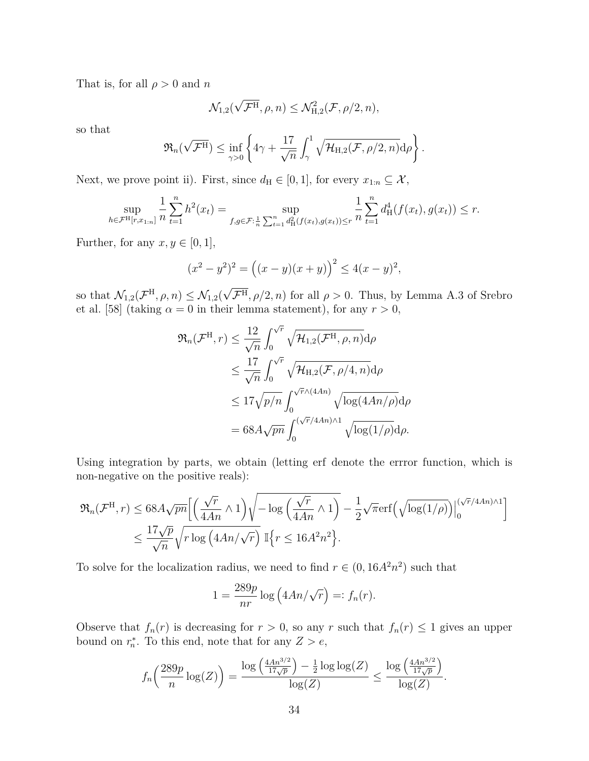That is, for all  $\rho > 0$  and *n* 

$$
\mathcal{N}_{1,2}(\sqrt{\mathcal{F}^{\mathrm{H}}}, \rho, n) \leq \mathcal{N}_{\mathrm{H}, 2}^2(\mathcal{F}, \rho/2, n),
$$

so that

$$
\Re_n(\sqrt{\mathcal{F}^H}) \leq \inf_{\gamma>0} \left\{ 4\gamma + \frac{17}{\sqrt{n}} \int_{\gamma}^1 \sqrt{\mathcal{H}_{H,2}(\mathcal{F}, \rho/2, n)} d\rho \right\}.
$$

Next, we prove point ii). First, since  $d_H \in [0, 1]$ , for every  $x_{1:n} \subseteq \mathcal{X}$ ,

$$
\sup_{h \in \mathcal{F}^{\mathcal{H}}[r,x_{1:n}]} \frac{1}{n} \sum_{t=1}^{n} h^{2}(x_{t}) = \sup_{f,g \in \mathcal{F}:\frac{1}{n} \sum_{t=1}^{n} d_{\mathcal{H}}^{2}(f(x_{t}), g(x_{t})) \leq r} \frac{1}{n} \sum_{t=1}^{n} d_{\mathcal{H}}^{4}(f(x_{t}), g(x_{t})) \leq r.
$$

Further, for any  $x, y \in [0, 1]$ ,

$$
(x^{2} - y^{2})^{2} = ((x - y)(x + y))^{2} \le 4(x - y)^{2},
$$

so that  $\mathcal{N}_{1,2}(\mathcal{F}^H, \rho, n) \leq \mathcal{N}_{1,2}(\rho)$  $\mathcal{F}^{\text{H}}, \rho/2, n)$  for all  $\rho > 0$ . Thus, by Lemma A.3 of Srebro et al. [\[58\]](#page-31-12) (taking  $\alpha = 0$  in their lemma statement), for any  $r > 0$ ,

$$
\mathfrak{R}_n(\mathcal{F}^{\mathrm{H}}, r) \leq \frac{12}{\sqrt{n}} \int_0^{\sqrt{r}} \sqrt{\mathcal{H}_{1,2}(\mathcal{F}^{\mathrm{H}}, \rho, n)} \mathrm{d}\rho
$$
  
\n
$$
\leq \frac{17}{\sqrt{n}} \int_0^{\sqrt{r}} \sqrt{\mathcal{H}_{\mathrm{H},2}(\mathcal{F}, \rho/4, n)} \mathrm{d}\rho
$$
  
\n
$$
\leq 17 \sqrt{p/n} \int_0^{\sqrt{r} \wedge (4An)} \sqrt{\log(4An/\rho)} \mathrm{d}\rho
$$
  
\n
$$
= 68A\sqrt{pn} \int_0^{(\sqrt{r}/4An)\wedge 1} \sqrt{\log(1/\rho)} \mathrm{d}\rho.
$$

Using integration by parts, we obtain (letting erf denote the errror function, which is non-negative on the positive reals):

$$
\mathfrak{R}_n(\mathcal{F}^{\mathrm{H}},r) \leq 68A\sqrt{pn} \Big[ \Big(\frac{\sqrt{r}}{4An} \wedge 1\Big) \sqrt{-\log\Big(\frac{\sqrt{r}}{4An} \wedge 1\Big)} - \frac{1}{2} \sqrt{\pi} \mathrm{erf} \Big(\sqrt{\log(1/\rho)}\Big) \Big|_0^{(\sqrt{r}/4An)\wedge 1} \Big]
$$
  

$$
\leq \frac{17\sqrt{p}}{\sqrt{n}} \sqrt{r \log\Big(4An/\sqrt{r}\Big)} \mathbb{I}\Big\{r \leq 16A^2n^2\Big\}.
$$

To solve for the localization radius, we need to find  $r \in (0, 16A^2n^2)$  such that

$$
1 = \frac{289p}{nr} \log \left( 4An/\sqrt{r} \right) =: f_n(r).
$$

Observe that  $f_n(r)$  is decreasing for  $r > 0$ , so any  $r$  such that  $f_n(r) \leq 1$  gives an upper bound on  $r_n^*$ . To this end, note that for any  $Z > e$ ,

$$
f_n\left(\frac{289p}{n}\log(Z)\right) = \frac{\log\left(\frac{4An^{3/2}}{17\sqrt{p}}\right) - \frac{1}{2}\log\log(Z)}{\log(Z)} \le \frac{\log\left(\frac{4An^{3/2}}{17\sqrt{p}}\right)}{\log(Z)}.
$$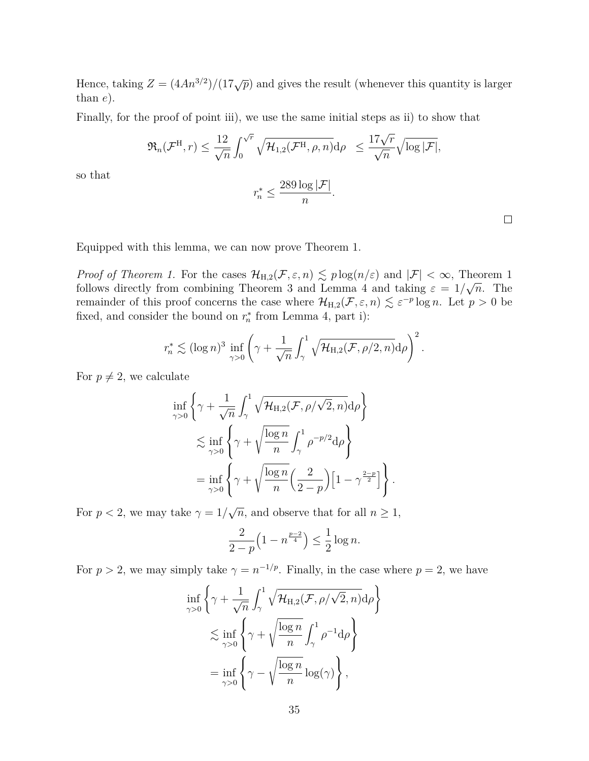Hence, taking  $Z = (4An^{3/2})/(17\sqrt{p})$  and gives the result (whenever this quantity is larger than *e*).

Finally, for the proof of point iii), we use the same initial steps as ii) to show that

$$
\mathfrak{R}_n(\mathcal{F}^{\mathrm{H}}, r) \le \frac{12}{\sqrt{n}} \int_0^{\sqrt{r}} \sqrt{\mathcal{H}_{1,2}(\mathcal{F}^{\mathrm{H}}, \rho, n)} \mathrm{d}\rho \le \frac{17\sqrt{r}}{\sqrt{n}} \sqrt{\log |\mathcal{F}|},
$$
  
 
$$
\ast \le 289 \log |\mathcal{F}|
$$

so that

$$
r_n^* \le \frac{289 \log |\mathcal{F}|}{n}.
$$

 $\Box$ 

Equipped with this lemma, we can now prove [Theorem 1.](#page-7-1)

*Proof of [Theorem 1.](#page-7-1)* For the cases  $\mathcal{H}_{H,2}(\mathcal{F}, \varepsilon, n) \lesssim p \log(n/\varepsilon)$  and  $|\mathcal{F}| < \infty$ , [Theorem 1](#page-7-1) follows directly from combining [Theorem 3](#page-15-1) and [Lemma 4](#page-16-0) and taking  $\varepsilon = 1/\sqrt{n}$ . The remainder of this proof concerns the case where  $\mathcal{H}_{H,2}(\mathcal{F},\varepsilon,n) \lesssim \varepsilon^{-p} \log n$ . Let  $p > 0$  be fixed, and consider the bound on  $r_n^*$  from [Lemma 4,](#page-16-0) part i):

$$
r_n^* \lesssim (\log n)^3 \inf_{\gamma>0} \left(\gamma + \frac{1}{\sqrt{n}} \int_{\gamma}^1 \sqrt{\mathcal{H}_{H,2}(\mathcal{F}, \rho/2, n)} d\rho \right)^2.
$$

For  $p \neq 2$ , we calculate

$$
\inf_{\gamma>0} \left\{ \gamma + \frac{1}{\sqrt{n}} \int_{\gamma}^{1} \sqrt{\mathcal{H}_{H,2}(\mathcal{F}, \rho/\sqrt{2}, n)} d\rho \right\}
$$
  

$$
\lesssim \inf_{\gamma>0} \left\{ \gamma + \sqrt{\frac{\log n}{n}} \int_{\gamma}^{1} \rho^{-p/2} d\rho \right\}
$$
  

$$
= \inf_{\gamma>0} \left\{ \gamma + \sqrt{\frac{\log n}{n}} \left( \frac{2}{2-p} \right) \left[ 1 - \gamma^{\frac{2-p}{2}} \right] \right\}.
$$

For  $p < 2$ , we may take  $\gamma = 1/2$  $\overline{n}$ , and observe that for all  $n \geq 1$ ,

$$
\frac{2}{2-p}\left(1-n^{\frac{p-2}{4}}\right) \le \frac{1}{2}\log n.
$$

For  $p > 2$ , we may simply take  $\gamma = n^{-1/p}$ . Finally, in the case where  $p = 2$ , we have

$$
\inf_{\gamma>0} \left\{ \gamma + \frac{1}{\sqrt{n}} \int_{\gamma}^{1} \sqrt{\mathcal{H}_{H,2}(\mathcal{F}, \rho/\sqrt{2}, n)} d\rho \right\}
$$
  
\$\leq\$ 
$$
\inf_{\gamma>0} \left\{ \gamma + \sqrt{\frac{\log n}{n}} \int_{\gamma}^{1} \rho^{-1} d\rho \right\}
$$
  
=
$$
\inf_{\gamma>0} \left\{ \gamma - \sqrt{\frac{\log n}{n}} \log(\gamma) \right\},
$$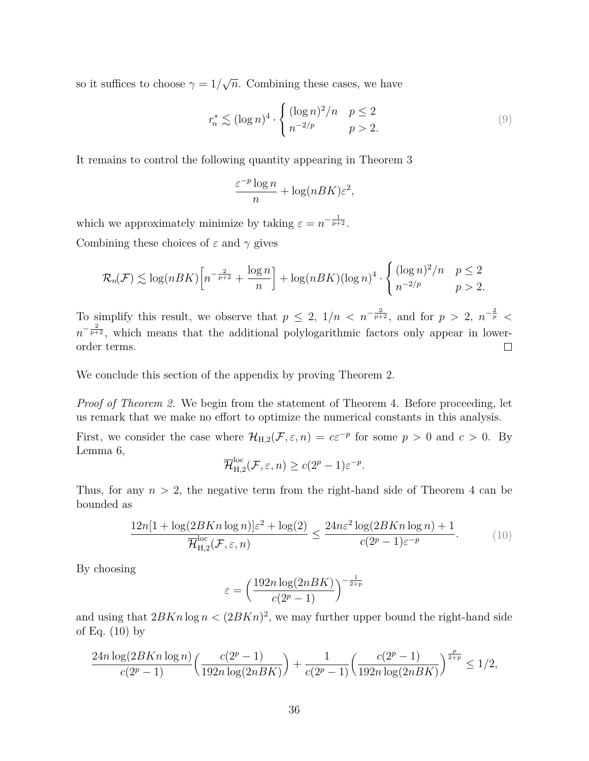so it suffices to choose  $\gamma = 1/$ √ *n*. Combining these cases, we have

<span id="page-35-1"></span>
$$
r_n^* \lesssim (\log n)^4 \cdot \begin{cases} (\log n)^2/n & p \le 2\\ n^{-2/p} & p > 2. \end{cases}
$$
 (9)

It remains to control the following quantity appearing in [Theorem 3](#page-15-1)

$$
\frac{\varepsilon^{-p}\log n}{n} + \log(nBK)\varepsilon^2,
$$

which we approximately minimize by taking  $\varepsilon = n^{-\frac{1}{p+2}}$ . Combining these choices of *ε* and *γ* gives

$$
\mathcal{R}_n(\mathcal{F}) \lesssim \log(nBK) \left[ n^{-\frac{2}{p+2}} + \frac{\log n}{n} \right] + \log(nBK) (\log n)^4 \cdot \begin{cases} (\log n)^2/n & p \le 2 \\ n^{-2/p} & p > 2. \end{cases}
$$

To simplify this result, we observe that  $p \leq 2$ ,  $1/n \leq n^{-\frac{2}{p+2}}$ , and for  $p > 2$ ,  $n^{-\frac{2}{p}} <$  $n^{-\frac{2}{p+2}}$ , which means that the additional polylogarithmic factors only appear in lowerorder terms.  $\Box$ 

We conclude this section of the appendix by proving [Theorem 2.](#page-7-2)

*Proof of [Theorem 2.](#page-7-2)* We begin from the statement of [Theorem 4.](#page-18-0) Before proceeding, let us remark that we make no effort to optimize the numerical constants in this analysis.

First, we consider the case where  $\mathcal{H}_{H,2}(\mathcal{F}, \varepsilon, n) = c\varepsilon^{-p}$  for some  $p > 0$  and  $c > 0$ . By [Lemma 6,](#page-18-1)

$$
\overline{\mathcal{H}}_{H,2}^{\text{loc}}(\mathcal{F}, \varepsilon, n) \ge c(2^p - 1)\varepsilon^{-p}.
$$

Thus, for any  $n > 2$ , the negative term from the right-hand side of [Theorem 4](#page-18-0) can be bounded as

<span id="page-35-0"></span>
$$
\frac{12n[1+\log(2BKn\log n)]\varepsilon^2 + \log(2)}{\overline{\mathcal{H}}_{\mathrm{H},2}^{\mathrm{loc}}(\mathcal{F},\varepsilon,n)} \le \frac{24n\varepsilon^2\log(2BKn\log n) + 1}{c(2^p - 1)\varepsilon^{-p}}.\tag{10}
$$

By choosing

$$
\varepsilon = \left(\frac{192n \log(2nBK)}{c(2^p - 1)}\right)^{-\frac{1}{2+p}}
$$

and using that  $2BKn \log n < (2BKn)^2$ , we may further upper bound the right-hand side of [Eq. \(10\)](#page-35-0) by

$$
\frac{24n \log(2BKn\log n)}{c(2^p-1)} \Big(\frac{c(2^p-1)}{192 n \log (2nBK)}\Big) + \frac{1}{c(2^p-1)} \Big(\frac{c(2^p-1)}{192 n \log (2nBK)}\Big)^{\frac{p}{2+p}} \leq 1/2,
$$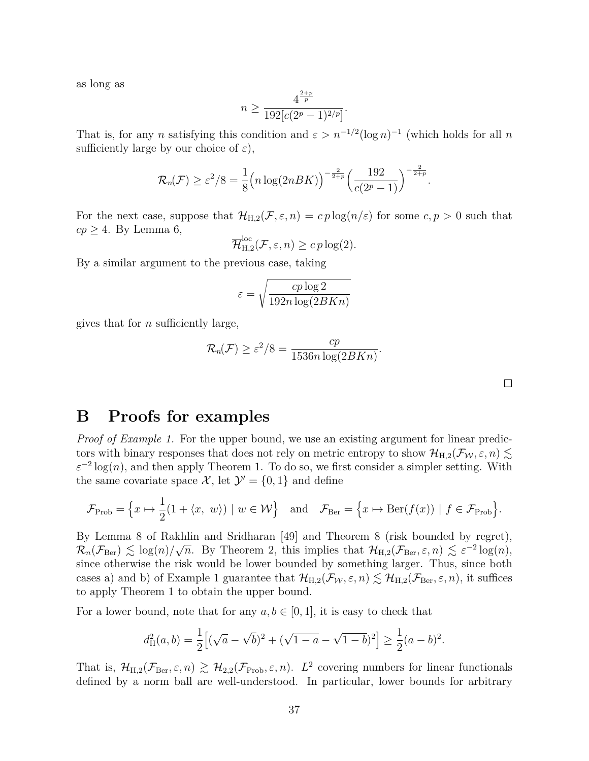as long as

$$
n \ge \frac{4^{\frac{2+p}{p}}}{192[c(2^p-1)^{2/p}]}.
$$

That is, for any *n* satisfying this condition and  $\varepsilon > n^{-1/2} (\log n)^{-1}$  (which holds for all *n* sufficiently large by our choice of  $\varepsilon$ ),

$$
\mathcal{R}_n(\mathcal{F}) \ge \varepsilon^2/8 = \frac{1}{8} \Big( n \log(2nBK) \Big)^{-\frac{2}{2+p}} \Big( \frac{192}{c(2^p-1)} \Big)^{-\frac{2}{2+p}}.
$$

For the next case, suppose that  $\mathcal{H}_{H,2}(\mathcal{F},\varepsilon,n) = cp \log(n/\varepsilon)$  for some  $c, p > 0$  such that  $cp \geq 4$ . By [Lemma 6,](#page-18-1)

$$
\overline{\mathcal{H}}_{\mathrm{H},2}^{\mathrm{loc}}(\mathcal{F},\varepsilon,n)\geq c\,p\log(2).
$$

By a similar argument to the previous case, taking

$$
\varepsilon = \sqrt{\frac{cp \log 2}{192n \log(2BKn)}}
$$

gives that for *n* sufficiently large,

$$
\mathcal{R}_n(\mathcal{F}) \ge \varepsilon^2/8 = \frac{cp}{1536n \log(2BKn)}.
$$

## <span id="page-36-0"></span>**B Proofs for examples**

*Proof of [Example 1.](#page-9-0)* For the upper bound, we use an existing argument for linear predictors with binary responses that does not rely on metric entropy to show  $\mathcal{H}_{H,2}(\mathcal{F}_{\mathcal{W}},\varepsilon,n) \lesssim$  $\varepsilon^{-2} \log(n)$ , and then apply [Theorem 1.](#page-7-1) To do so, we first consider a simpler setting. With the same covariate space  $\mathcal{X}$ , let  $\mathcal{Y}' = \{0, 1\}$  and define

$$
\mathcal{F}_{\text{Prob}} = \left\{ x \mapsto \frac{1}{2} (1 + \langle x, w \rangle) \mid w \in \mathcal{W} \right\} \quad \text{and} \quad \mathcal{F}_{\text{Ber}} = \left\{ x \mapsto \text{Ber}(f(x)) \mid f \in \mathcal{F}_{\text{Prob}} \right\}.
$$

By Lemma 8 of Rakhlin and Sridharan [\[49\]](#page-30-11) and [Theorem 8](#page-50-0) (risk bounded by regret),  $\mathcal{R}_n(\mathcal{F}_{\text{Ber}}) \lesssim \log(n)/\sqrt{n}$ . By [Theorem 2,](#page-7-2) this implies that  $\mathcal{H}_{H,2}(\mathcal{F}_{\text{Ber}}, \varepsilon, n) \lesssim \varepsilon^{-2} \log(n)$ , since otherwise the risk would be lower bounded by something larger. Thus, since both cases a) and b) of [Example 1](#page-9-0) guarantee that  $\mathcal{H}_{H,2}(\mathcal{F}_{W},\varepsilon,n) \lesssim \mathcal{H}_{H,2}(\mathcal{F}_{Ber},\varepsilon,n)$ , it suffices to apply [Theorem 1](#page-7-1) to obtain the upper bound.

For a lower bound, note that for any  $a, b \in [0, 1]$ , it is easy to check that

$$
d_{\mathrm{H}}^{2}(a,b) = \frac{1}{2} \left[ (\sqrt{a} - \sqrt{b})^{2} + (\sqrt{1 - a} - \sqrt{1 - b})^{2} \right] \ge \frac{1}{2}(a - b)^{2}.
$$

That is,  $\mathcal{H}_{H,2}(\mathcal{F}_{\text{Ber}}, \varepsilon, n) \gtrsim \mathcal{H}_{2,2}(\mathcal{F}_{\text{Prob}}, \varepsilon, n)$ . *L*<sup>2</sup> covering numbers for linear functionals defined by a norm ball are well-understood. In particular, lower bounds for arbitrary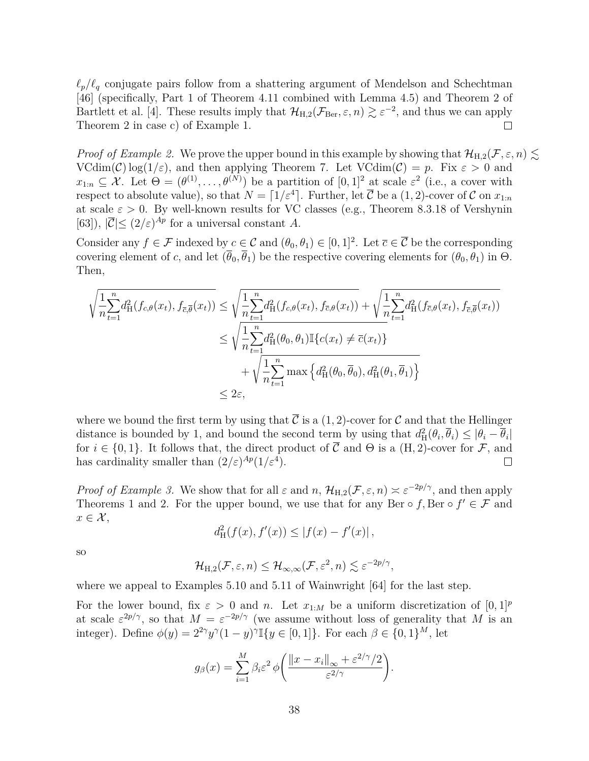$\ell_p/\ell_q$  conjugate pairs follow from a shattering argument of Mendelson and Schechtman [\[46\]](#page-30-14) (specifically, Part 1 of Theorem 4.11 combined with Lemma 4.5) and Theorem 2 of Bartlett et al. [\[4\]](#page-27-5). These results imply that  $\mathcal{H}_{H,2}(\mathcal{F}_{Ber},\varepsilon,n)\gtrsim \varepsilon^{-2}$ , and thus we can apply [Theorem 2](#page-7-2) in case c) of [Example 1.](#page-9-0)  $\Box$ 

*Proof of [Example 2.](#page-10-0)* We prove the upper bound in this example by showing that  $\mathcal{H}_{H,2}(\mathcal{F},\varepsilon,n) \lesssim$ VCdim(C) log( $1/\varepsilon$ ), and then applying [Theorem 7.](#page-48-0) Let VCdim(C) = *p*. Fix  $\varepsilon > 0$  and  $x_{1:n} \subseteq \mathcal{X}$ . Let  $\Theta = (\theta^{(1)}, \ldots, \theta^{(N)})$  be a partition of  $[0,1]^2$  at scale  $\varepsilon^2$  (i.e., a cover with respect to absolute value), so that  $N = \lceil 1/\varepsilon^4 \rceil$ . Further, let  $\overline{\mathcal{C}}$  be a  $(1, 2)$ -cover of  $\mathcal{C}$  on  $x_{1:n}$ at scale  $\varepsilon > 0$ . By well-known results for VC classes (e.g., Theorem 8.3.18 of Vershynin [\[63\]](#page-31-13)),  $|\overline{C}| \leq (2/\varepsilon)^{Ap}$  for a universal constant *A*.

Consider any  $f \in \mathcal{F}$  indexed by  $c \in \mathcal{C}$  and  $(\theta_0, \theta_1) \in [0, 1]^2$ . Let  $\overline{c} \in \overline{\mathcal{C}}$  be the corresponding covering element of *c*, and let  $(\bar{\theta}_0, \bar{\theta}_1)$  be the respective covering elements for  $(\theta_0, \theta_1)$  in  $\Theta$ . Then,

$$
\sqrt{\frac{1}{n}\sum_{t=1}^{n}d_{\mathrm{H}}^{2}(f_{c,\theta}(x_{t}),f_{\overline{c},\overline{\theta}}(x_{t}))} \leq \sqrt{\frac{1}{n}\sum_{t=1}^{n}d_{\mathrm{H}}^{2}(f_{c,\theta}(x_{t}),f_{\overline{c},\theta}(x_{t}))} + \sqrt{\frac{1}{n}\sum_{t=1}^{n}d_{\mathrm{H}}^{2}(f_{\overline{c},\theta}(x_{t}),f_{\overline{c},\overline{\theta}}(x_{t}))}
$$
\n
$$
\leq \sqrt{\frac{1}{n}\sum_{t=1}^{n}d_{\mathrm{H}}^{2}(\theta_{0},\theta_{1})\mathbb{I}\{c(x_{t}) \neq \overline{c}(x_{t})\}}
$$
\n
$$
+ \sqrt{\frac{1}{n}\sum_{t=1}^{n}\max\left\{d_{\mathrm{H}}^{2}(\theta_{0},\overline{\theta}_{0}),d_{\mathrm{H}}^{2}(\theta_{1},\overline{\theta}_{1})\right\}}
$$
\n
$$
\leq 2\varepsilon,
$$

where we bound the first term by using that  $\overline{C}$  is a  $(1, 2)$ -cover for C and that the Hellinger distance is bounded by 1, and bound the second term by using that  $d_H^2(\theta_i, \overline{\theta}_i) \leq |\theta_i - \overline{\theta}_i|$ for  $i \in \{0,1\}$ . It follows that, the direct product of  $\overline{\mathcal{C}}$  and  $\Theta$  is a  $(H, 2)$ -cover for  $\mathcal{F}$ , and has cardinality smaller than  $(2/\varepsilon)^{Ap} (1/\varepsilon^4)$ .  $\Box$ 

*Proof of [Example 3.](#page-11-0)* We show that for all  $\varepsilon$  and  $n$ ,  $\mathcal{H}_{H,2}(\mathcal{F}, \varepsilon, n) \approx \varepsilon^{-2p/\gamma}$ , and then apply [Theorems 1](#page-7-1) and [2.](#page-7-2) For the upper bound, we use that for any Ber  $\circ$  *f*, Ber  $\circ$  *f'*  $\in \mathcal{F}$  and  $x \in \mathcal{X},$ 

$$
d_{\mathrm{H}}^{2}(f(x), f'(x)) \leq |f(x) - f'(x)|,
$$

so

$$
\mathcal{H}_{H,2}(\mathcal{F},\varepsilon,n) \leq \mathcal{H}_{\infty,\infty}(\mathcal{F},\varepsilon^2,n) \lesssim \varepsilon^{-2p/\gamma},
$$

where we appeal to Examples 5.10 and 5.11 of Wainwright [\[64\]](#page-31-7) for the last step.

For the lower bound, fix  $\varepsilon > 0$  and *n*. Let  $x_{1:M}$  be a uniform discretization of  $[0,1]^p$ at scale  $\varepsilon^{2p/\gamma}$ , so that  $M = \varepsilon^{-2p/\gamma}$  (we assume without loss of generality that M is an integer). Define  $\phi(y) = 2^{2\gamma} y^{\gamma} (1 - y)^{\gamma} \mathbb{I}\{y \in [0, 1]\}.$  For each  $\beta \in \{0, 1\}^M$ , let

$$
g_{\beta}(x) = \sum_{i=1}^{M} \beta_i \varepsilon^2 \phi\left(\frac{\|x - x_i\|_{\infty} + \varepsilon^{2/\gamma}/2}{\varepsilon^{2/\gamma}}\right).
$$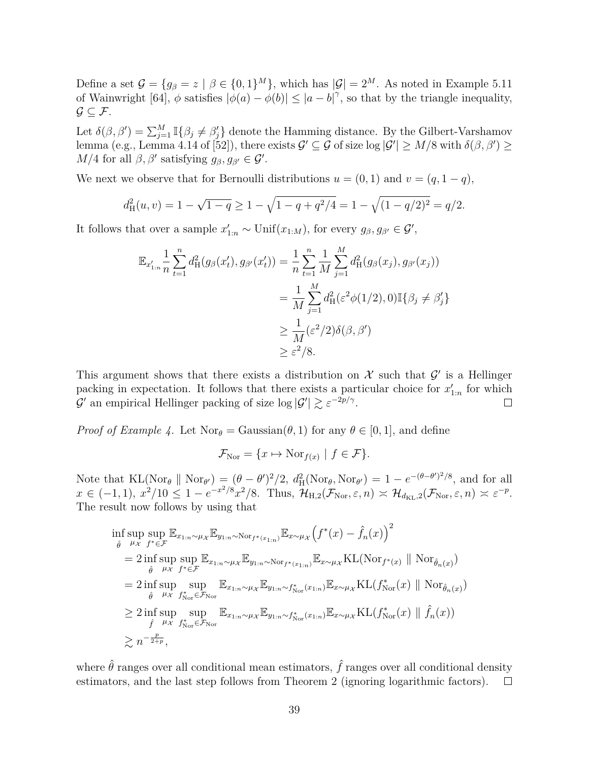Define a set  $\mathcal{G} = \{g_\beta = z \mid \beta \in \{0,1\}^M\}$ , which has  $|\mathcal{G}| = 2^M$ . As noted in Example 5.11 of Wainwright  $[64]$ ,  $\phi$  satisfies  $|\dot{\phi}(a) - \dot{\phi}(b)| \leq |a - b|^{\gamma}$ , so that by the triangle inequality,  $\mathcal{G} \subseteq \mathcal{F}$ .

Let  $\delta(\beta, \beta') = \sum_{j=1}^{M} \mathbb{I}\{\beta_j \neq \beta'_j\}$  denote the Hamming distance. By the Gilbert-Varshamov lemma (e.g., Lemma 4.14 of [\[52\]](#page-31-14)), there exists  $\mathcal{G}' \subseteq \mathcal{G}$  of size log  $|\mathcal{G}'| \geq M/8$  with  $\delta(\beta, \beta') \geq$ *M*/4 for all  $\beta$ ,  $\beta'$  satisfying  $g_{\beta}, g_{\beta'} \in \mathcal{G}'$ .

We next we observe that for Bernoulli distributions  $u = (0, 1)$  and  $v = (q, 1 - q)$ ,

$$
d_{\mathrm{H}}^{2}(u,v) = 1 - \sqrt{1 - q} \ge 1 - \sqrt{1 - q + q^{2}/4} = 1 - \sqrt{(1 - q/2)^{2}} = q/2.
$$

It follows that over a sample  $x'_{1:n} \sim \text{Unif}(x_{1:M})$ , for every  $g_{\beta}, g_{\beta'} \in \mathcal{G}'$ ,

$$
\mathbb{E}_{x'_{1:n}} \frac{1}{n} \sum_{t=1}^{n} d_{\mathrm{H}}^{2}(g_{\beta}(x'_{t}), g_{\beta'}(x'_{t})) = \frac{1}{n} \sum_{t=1}^{n} \frac{1}{M} \sum_{j=1}^{M} d_{\mathrm{H}}^{2}(g_{\beta}(x_{j}), g_{\beta'}(x_{j}))
$$
  
\n
$$
= \frac{1}{M} \sum_{j=1}^{M} d_{\mathrm{H}}^{2}(\varepsilon^{2} \phi(1/2), 0) \mathbb{I} \{\beta_{j} \neq \beta'_{j}\}
$$
  
\n
$$
\geq \frac{1}{M} (\varepsilon^{2}/2) \delta(\beta, \beta')
$$
  
\n
$$
\geq \varepsilon^{2}/8.
$$

This argument shows that there exists a distribution on  $\mathcal X$  such that  $\mathcal G'$  is a Hellinger packing in expectation. It follows that there exists a particular choice for  $x'_{1:n}$  for which  $\mathcal{G}'$  an empirical Hellinger packing of size  $\log |\mathcal{G}'| \gtrsim \varepsilon^{-2p/\gamma}$ .

*Proof of [Example 4.](#page-12-1)* Let  $\text{Nor}_{\theta} = \text{Gaussian}(\theta, 1)$  for any  $\theta \in [0, 1]$ , and define

$$
\mathcal{F}_{\text{Nor}} = \{x \mapsto \text{Nor}_{f(x)} \mid f \in \mathcal{F}\}.
$$

Note that  $KL(Nor_{\theta} \parallel Nor_{\theta'}) = (\theta - \theta')^2/2$ ,  $d_H^2(Nor_{\theta}, Nor_{\theta'}) = 1 - e^{-(\theta - \theta')^2/8}$ , and for all  $x \in (-1, 1), x^2/10 \leq 1 - e^{-x^2/8}x^2/8$ . Thus,  $\mathcal{H}_{H,2}(\mathcal{F}_{\text{Nor}}, \varepsilon, n) \asymp \mathcal{H}_{d_{\text{KL}},2}(\mathcal{F}_{\text{Nor}}, \varepsilon, n) \asymp \varepsilon^{-p}$ . The result now follows by using that

$$
\inf_{\hat{\theta}} \sup_{\mu_X} \sup_{f^* \in \mathcal{F}} \mathbb{E}_{x_{1:n} \sim \mu_X} \mathbb{E}_{y_{1:n} \sim \text{Nor}_{f^*(x_{1:n})}} \mathbb{E}_{x \sim \mu_X} (f^*(x) - \hat{f}_n(x))^2
$$
\n
$$
= 2 \inf_{\hat{\theta}} \sup_{\mu_X} \sup_{f^* \in \mathcal{F}} \mathbb{E}_{x_{1:n} \sim \mu_X} \mathbb{E}_{y_{1:n} \sim \text{Nor}_{f^*(x_{1:n})}} \mathbb{E}_{x \sim \mu_X} \text{KL}(\text{Nor}_{f^*(x)} \parallel \text{Nor}_{\hat{\theta}_n(x)})
$$
\n
$$
= 2 \inf_{\hat{\theta}} \sup_{\mu_X} \sup_{f^*_{\text{Nor}} \in \mathcal{F}_{\text{Nor}}} \mathbb{E}_{x_{1:n} \sim \mu_X} \mathbb{E}_{y_{1:n} \sim f^*_{\text{Nor}}(x_{1:n})} \mathbb{E}_{x \sim \mu_X} \text{KL}(f^*_{\text{Nor}}(x) \parallel \text{Nor}_{\hat{\theta}_n(x)})
$$
\n
$$
\geq 2 \inf_{\hat{f}} \sup_{\mu_X} \sup_{f^*_{\text{Nor}} \in \mathcal{F}_{\text{Nor}}} \mathbb{E}_{x_{1:n} \sim \mu_X} \mathbb{E}_{y_{1:n} \sim f^*_{\text{Nor}}(x_{1:n})} \mathbb{E}_{x \sim \mu_X} \text{KL}(f^*_{\text{Nor}}(x) \parallel \hat{f}_n(x))
$$
\n
$$
\geq n^{-\frac{p}{2+p}},
$$

<span id="page-38-0"></span>where  $\hat{\theta}$  ranges over all conditional mean estimators,  $\hat{f}$  ranges over all conditional density estimators, and the last step follows from [Theorem 2](#page-7-2) (ignoring logarithmic factors).  $\Box$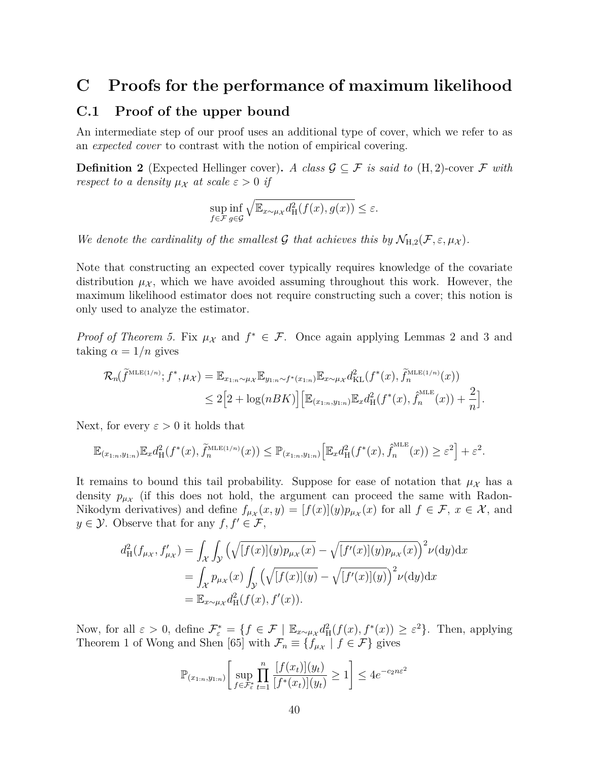## **C Proofs for the performance of maximum likelihood**

#### <span id="page-39-0"></span>**C.1 Proof of the upper bound**

An intermediate step of our proof uses an additional type of cover, which we refer to as an *expected cover* to contrast with the notion of empirical covering.

**Definition 2** (Expected Hellinger cover). A class  $\mathcal{G} \subseteq \mathcal{F}$  is said to (H, 2)-cover  $\mathcal{F}$  with *respect to a density*  $\mu_X$  *at scale*  $\varepsilon > 0$  *if* 

$$
\sup_{f \in \mathcal{F}} \inf_{g \in \mathcal{G}} \sqrt{\mathbb{E}_{x \sim \mu_{\mathcal{X}}} d_{\mathrm{H}}^2(f(x), g(x))} \le \varepsilon.
$$

*We denote the cardinality of the smallest* G *that achieves this by*  $\mathcal{N}_{H,2}(\mathcal{F},\varepsilon,\mu_{\mathcal{X}})$ *.* 

Note that constructing an expected cover typically requires knowledge of the covariate distribution  $\mu_{\mathcal{X}}$ , which we have avoided assuming throughout this work. However, the maximum likelihood estimator does not require constructing such a cover; this notion is only used to analyze the estimator.

*Proof of [Theorem 5.](#page-21-3)* Fix  $\mu_X$  and  $f^* \in \mathcal{F}$ . Once again applying [Lemmas 2](#page-14-3) and [3](#page-14-2) and taking  $\alpha = 1/n$  gives

$$
\mathcal{R}_{n}(\tilde{f}^{\text{MLE}(1/n)}; f^{*}, \mu_{\mathcal{X}}) = \mathbb{E}_{x_{1:n} \sim \mu_{\mathcal{X}}} \mathbb{E}_{y_{1:n} \sim f^{*}(x_{1:n})} \mathbb{E}_{x \sim \mu_{\mathcal{X}}} d_{\text{KL}}^{2}(f^{*}(x), \tilde{f}_{n}^{\text{MLE}(1/n)}(x))
$$
  
\n
$$
\leq 2 \Big[ 2 + \log(nBK) \Big] \Big[ \mathbb{E}_{(x_{1:n}, y_{1:n})} \mathbb{E}_{x} d_{\text{H}}^{2}(f^{*}(x), \hat{f}_{n}^{\text{MLE}}(x)) + \frac{2}{n} \Big]
$$

*.*

Next, for every  $\varepsilon > 0$  it holds that

$$
\mathbb{E}_{(x_{1:n},y_{1:n})}\mathbb{E}_{x}d_{\mathrm{H}}^{2}(f^{*}(x),\tilde{f}_{n}^{\mathrm{MLE}(1/n)}(x)) \leq \mathbb{P}_{(x_{1:n},y_{1:n})}\Big[\mathbb{E}_{x}d_{\mathrm{H}}^{2}(f^{*}(x),\hat{f}_{n}^{\mathrm{MLE}}(x)) \geq \varepsilon^{2}\Big] + \varepsilon^{2}.
$$

It remains to bound this tail probability. Suppose for ease of notation that  $\mu_{\mathcal{X}}$  has a density  $p_{\mu\chi}$  (if this does not hold, the argument can proceed the same with Radon-Nikodym derivatives) and define  $f_{\mu\chi}(x, y) = [f(x)](y)p_{\mu\chi}(x)$  for all  $f \in \mathcal{F}$ ,  $x \in \mathcal{X}$ , and  $y \in \mathcal{Y}$ . Observe that for any  $f, f' \in \mathcal{F}$ ,

$$
d_{\mathrm{H}}^2(f_{\mu\chi}, f'_{\mu\chi}) = \int_{\mathcal{X}} \int_{\mathcal{Y}} \left( \sqrt{[f(x)](y) p_{\mu\chi}(x)} - \sqrt{[f'(x)](y) p_{\mu\chi}(x)} \right)^2 \nu(\mathrm{d}y) \mathrm{d}x
$$
  
\n
$$
= \int_{\mathcal{X}} p_{\mu\chi}(x) \int_{\mathcal{Y}} \left( \sqrt{[f(x)](y)} - \sqrt{[f'(x)](y)} \right)^2 \nu(\mathrm{d}y) \mathrm{d}x
$$
  
\n
$$
= \mathbb{E}_{x \sim \mu\chi} d_{\mathrm{H}}^2(f(x), f'(x)).
$$

Now, for all  $\varepsilon > 0$ , define  $\mathcal{F}_{\varepsilon}^* = \{f \in \mathcal{F} \mid \mathbb{E}_{x \sim \mu_X} d_H^2(f(x), f^*(x)) \geq \varepsilon^2\}$ . Then, applying Theorem 1 of Wong and Shen [\[65\]](#page-31-3) with  $\mathcal{F}_n \equiv \{f_{\mu\chi} \mid f \in \mathcal{F}\}\$  gives

$$
\mathbb{P}_{(x_{1:n}, y_{1:n})} \left[ \sup_{f \in \mathcal{F}_{\varepsilon}^*} \prod_{t=1}^n \frac{[f(x_t)](y_t)}{[f^*(x_t)](y_t)} \ge 1 \right] \le 4e^{-c_2 n \varepsilon^2}
$$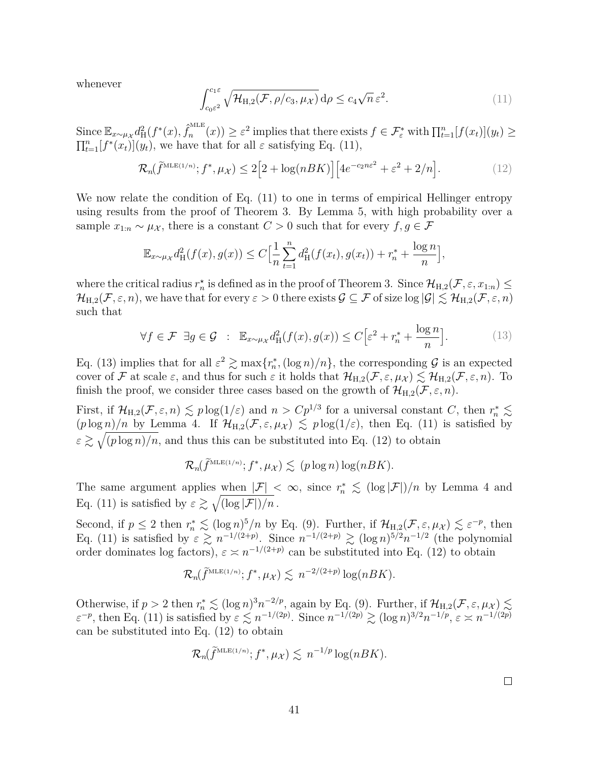whenever

<span id="page-40-1"></span>
$$
\int_{c_0 \varepsilon^2}^{c_1 \varepsilon} \sqrt{\mathcal{H}_{H,2}(\mathcal{F}, \rho/c_3, \mu \chi)} d\rho \le c_4 \sqrt{n} \,\varepsilon^2. \tag{11}
$$

Since  $\mathbb{E}_{x \sim \mu_X} d^2_{\text{H}}(f^*(x), \hat{f}^{\text{MLE}}_n)$  $\sum_{n}^{\text{MLE}}(x)$ )  $\geq \varepsilon^2$  implies that there exists  $f \in \mathcal{F}_{\varepsilon}^*$  with  $\prod_{t=1}^n [f(x_t)](y_t) \geq$  $\prod_{t=1}^{n} [f^*(x_t)](y_t)$ , we have that for all  $\varepsilon$  satisfying [Eq. \(11\),](#page-40-1)

<span id="page-40-3"></span>
$$
\mathcal{R}_n(\tilde{f}^{\text{MLE}(1/n)}; f^*, \mu \chi) \le 2\Big[2 + \log(nBK)\Big]\Big[4e^{-c_2n\epsilon^2} + \epsilon^2 + 2/n\Big].\tag{12}
$$

We now relate the condition of [Eq. \(11\)](#page-40-1) to one in terms of empirical Hellinger entropy using results from the proof of [Theorem 3.](#page-15-1) By [Lemma 5,](#page-17-1) with high probability over a sample  $x_{1:n} \sim \mu_X$ , there is a constant  $C > 0$  such that for every  $f, g \in \mathcal{F}$ 

$$
\mathbb{E}_{x \sim \mu_{\mathcal{X}}} d_{\mathrm{H}}^2(f(x), g(x)) \le C \Big[ \frac{1}{n} \sum_{t=1}^n d_{\mathrm{H}}^2(f(x_t), g(x_t)) + r_n^* + \frac{\log n}{n} \Big],
$$

where the critical radius  $r_n^*$  is defined as in the proof of [Theorem 3.](#page-15-1) Since  $\mathcal{H}_{H,2}(\mathcal{F},\varepsilon,x_{1:n}) \leq$  $\mathcal{H}_{H,2}(\mathcal{F},\varepsilon,n)$ , we have that for every  $\varepsilon > 0$  there exists  $\mathcal{G} \subseteq \mathcal{F}$  of size  $\log |\mathcal{G}| \lesssim \mathcal{H}_{H,2}(\mathcal{F},\varepsilon,n)$ such that

<span id="page-40-2"></span>
$$
\forall f \in \mathcal{F} \; \exists g \in \mathcal{G} \; : \; \mathbb{E}_{x \sim \mu_{\mathcal{X}}} d_{\mathcal{H}}^2(f(x), g(x)) \le C \Big[ \varepsilon^2 + r_n^* + \frac{\log n}{n} \Big]. \tag{13}
$$

[Eq. \(13\)](#page-40-2) implies that for all  $\varepsilon^2 \gtrsim \max\{r_n^*, (\log n)/n\}$ , the corresponding G is an expected cover of F at scale  $\varepsilon$ , and thus for such  $\varepsilon$  it holds that  $\mathcal{H}_{H,2}(\mathcal{F}, \varepsilon, \mu_\mathcal{X}) \lesssim \mathcal{H}_{H,2}(\mathcal{F}, \varepsilon, n)$ . To finish the proof, we consider three cases based on the growth of  $\mathcal{H}_{H,2}(\mathcal{F},\varepsilon,n)$ .

First, if  $\mathcal{H}_{H,2}(\mathcal{F},\varepsilon,n) \lesssim p \log(1/\varepsilon)$  and  $n > Cp^{1/3}$  for a universal constant *C*, then  $r_n^* \lesssim$  $(p \log n)/n$  by [Lemma 4.](#page-16-0) If  $\mathcal{H}_{H,2}(\mathcal{F}, \varepsilon, \mu_{\mathcal{X}}) \leq p \log(1/\varepsilon)$ , then [Eq. \(11\)](#page-40-1) is satisfied by  $\varepsilon \gtrsim \sqrt{(p \log n)/n}$ , and thus this can be substituted into [Eq. \(12\)](#page-40-3) to obtain

 $\mathcal{R}_n(\tilde{f}^{\text{MLE}(1/n)}; f^*, \mu_{\mathcal{X}}) \lesssim (p \log n) \log(nBK).$ 

The same argument applies when  $|\mathcal{F}| < \infty$ , since  $r_n^* \lesssim (\log |\mathcal{F}|)/n$  by [Lemma 4](#page-16-0) and [Eq. \(11\)](#page-40-1) is satisfied by  $\varepsilon \gtrsim \sqrt{\frac{\log |\mathcal{F}|}{n}}$ .

Second, if  $p \leq 2$  then  $r_n^* \lesssim (\log n)^5/n$  by [Eq. \(9\).](#page-35-1) Further, if  $\mathcal{H}_{H,2}(\mathcal{F}, \varepsilon, \mu_{\mathcal{X}}) \lesssim \varepsilon^{-p}$ , then [Eq. \(11\)](#page-40-1) is satisfied by  $\varepsilon \geq n^{-1/(2+p)}$ . Since  $n^{-1/(2+p)} \geq (\log n)^{5/2} n^{-1/2}$  (the polynomial order dominates log factors),  $\varepsilon \asymp n^{-1/(2+p)}$  can be substituted into [Eq. \(12\)](#page-40-3) to obtain

$$
\mathcal{R}_n(\tilde{f}^{\text{MLE}(1/n)}; f^*, \mu_{\mathcal{X}}) \lesssim n^{-2/(2+p)} \log(nBK).
$$

<span id="page-40-0"></span>Otherwise, if  $p > 2$  then  $r_n^* \lesssim (\log n)^3 n^{-2/p}$ , again by [Eq. \(9\).](#page-35-1) Further, if  $\mathcal{H}_{H,2}(\mathcal{F}, \varepsilon, \mu_\mathcal{X}) \lesssim$  $\varepsilon^{-p}$ , then [Eq. \(11\)](#page-40-1) is satisfied by  $\varepsilon \lesssim n^{-1/(2p)}$ . Since  $n^{-1/(2p)} \gtrsim (\log n)^{3/2} n^{-1/p}$ ,  $\varepsilon \asymp n^{-1/(2p)}$ can be substituted into [Eq. \(12\)](#page-40-3) to obtain

$$
\mathcal{R}_n(\tilde{f}^{\text{MLE}(1/n)}; f^*, \mu_{\mathcal{X}}) \lesssim n^{-1/p} \log(nBK).
$$

 $\Box$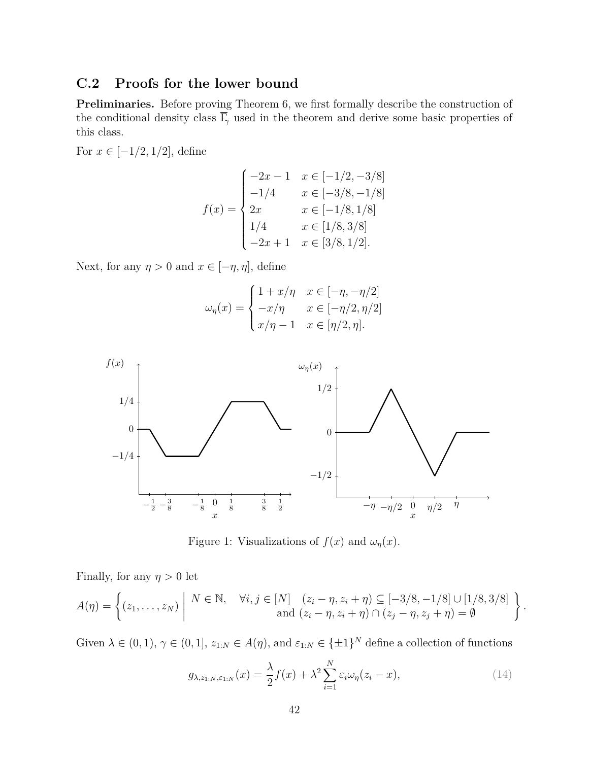### **C.2 Proofs for the lower bound**

**Preliminaries.** Before proving [Theorem 6,](#page-22-1) we first formally describe the construction of the conditional density class  $\overline{\Gamma}_{\gamma}$  used in the theorem and derive some basic properties of this class.

For  $x \in [-1/2, 1/2]$ , define

$$
f(x) = \begin{cases}\n-2x - 1 & x \in [-1/2, -3/8] \\
-1/4 & x \in [-3/8, -1/8] \\
2x & x \in [-1/8, 1/8] \\
1/4 & x \in [1/8, 3/8] \\
-2x + 1 & x \in [3/8, 1/2].\n\end{cases}
$$

Next, for any  $\eta > 0$  and  $x \in [-\eta, \eta]$ , define

$$
\omega_{\eta}(x) = \begin{cases} 1 + x/\eta & x \in [-\eta, -\eta/2] \\ -x/\eta & x \in [-\eta/2, \eta/2] \\ x/\eta - 1 & x \in [\eta/2, \eta]. \end{cases}
$$



Figure 1: Visualizations of  $f(x)$  and  $\omega_{\eta}(x)$ .

Finally, for any  $\eta > 0$  let

$$
A(\eta) = \left\{ (z_1, \ldots, z_N) \middle| \begin{array}{l} N \in \mathbb{N}, & \forall i, j \in [N] \\ \text{and } (z_i - \eta, z_i + \eta) \subseteq [-3/8, -1/8] \cup [1/8, 3/8] \\ \text{and } (z_i - \eta, z_i + \eta) \cap (z_j - \eta, z_j + \eta) = \emptyset \end{array} \right\}.
$$

Given  $\lambda \in (0,1)$ ,  $\gamma \in (0,1]$ ,  $z_{1:N} \in A(\eta)$ , and  $\varepsilon_{1:N} \in \{\pm 1\}^N$  define a collection of functions

<span id="page-41-0"></span>
$$
g_{\lambda, z_{1:N}, \varepsilon_{1:N}}(x) = \frac{\lambda}{2} f(x) + \lambda^2 \sum_{i=1}^N \varepsilon_i \omega_\eta(z_i - x), \tag{14}
$$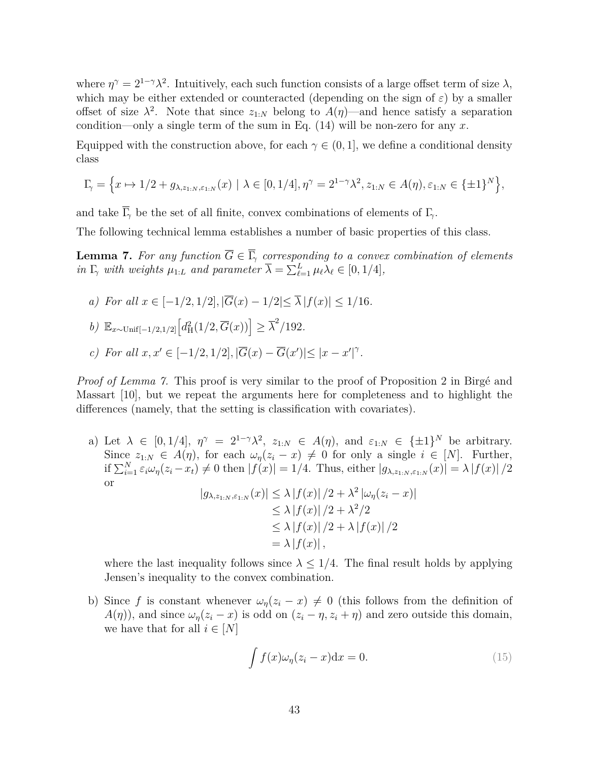where  $\eta^{\gamma} = 2^{1-\gamma}\lambda^2$ . Intuitively, each such function consists of a large offset term of size  $\lambda$ , which may be either extended or counteracted (depending on the sign of  $\varepsilon$ ) by a smaller offset of size  $\lambda^2$ . Note that since  $z_{1:N}$  belong to  $A(\eta)$ —and hence satisfy a separation condition—only a single term of the sum in [Eq. \(14\)](#page-41-0) will be non-zero for any *x*.

Equipped with the construction above, for each  $\gamma \in (0,1]$ , we define a conditional density class

$$
\Gamma_{\!\gamma} = \left\{ x \mapsto 1/2 + g_{\lambda, z_{1:N}, \varepsilon_{1:N}}(x) \mid \lambda \in [0, 1/4], \eta^{\gamma} = 2^{1-\gamma} \lambda^2, z_{1:N} \in A(\eta), \varepsilon_{1:N} \in \{\pm 1\}^N \right\},\
$$

and take  $\overline{\Gamma}_\gamma$  be the set of all finite, convex combinations of elements of  $\Gamma_\gamma$ .

The following technical lemma establishes a number of basic properties of this class.

<span id="page-42-0"></span>**Lemma 7.** For any function  $\overline{G} \in \overline{\Gamma}_\gamma$  corresponding to a convex combination of elements *in*  $\Gamma_{\gamma}$  *with weights*  $\mu_{1:L}$  *and parameter*  $\overline{\lambda} = \sum_{\ell=1}^{L} \mu_{\ell} \lambda_{\ell} \in [0, 1/4]$ *,* 

*a) For all*  $x \in [-1/2, 1/2]$ ,  $|\overline{G}(x) - 1/2| \leq \overline{\lambda} |f(x)| \leq 1/16$ *. b*)  $\mathbb{E}_{x \sim \text{Unif}[-1/2,1/2]}[d_{\text{H}}^2(1/2,\overline{G}(x))] \geq \overline{\lambda}^2/192$ . *c) For all*  $x, x' \in [-1/2, 1/2], |\overline{G}(x) - \overline{G}(x')| \leq |x - x'|^{\gamma}$ .

*Proof of [Lemma 7.](#page-42-0)* This proof is very similar to the proof of Proposition 2 in Birgé and Massart [\[10\]](#page-28-8), but we repeat the arguments here for completeness and to highlight the differences (namely, that the setting is classification with covariates).

a) Let  $\lambda \in [0, 1/4], \eta^{\gamma} = 2^{1-\gamma}\lambda^2$ ,  $z_{1:N} \in A(\eta)$ , and  $\varepsilon_{1:N} \in {\pm 1}^N$  be arbitrary. Since  $z_{1:N} \in A(\eta)$ , for each  $\omega_{\eta}(z_i - x) \neq 0$  for only a single  $i \in [N]$ . Further, if  $\sum_{i=1}^{N} \varepsilon_i \omega_{\eta}(z_i - x_t) \neq 0$  then  $|f(x)| = 1/4$ . Thus, either  $|g_{\lambda, z_1, N, \varepsilon_1, N}(x)| = \lambda |f(x)|/2$ or |*ωη*(*z<sup>i</sup>* − *x*)|

$$
|g_{\lambda,z_{1:N},\varepsilon_{1:N}}(x)| \leq \lambda |f(x)|/2 + \lambda^2 |\omega_{\eta}(z_i - x)|
$$
  
\n
$$
\leq \lambda |f(x)|/2 + \lambda^2/2
$$
  
\n
$$
\leq \lambda |f(x)|/2 + \lambda |f(x)|/2
$$
  
\n
$$
= \lambda |f(x)|,
$$

where the last inequality follows since  $\lambda \leq 1/4$ . The final result holds by applying Jensen's inequality to the convex combination.

b) Since f is constant whenever  $\omega_{\eta}(z_i - x) \neq 0$  (this follows from the definition of *A*(*η*)), and since  $\omega_{\eta}(z_i - x)$  is odd on  $(z_i - \eta, z_i + \eta)$  and zero outside this domain, we have that for all  $i \in [N]$ 

<span id="page-42-1"></span>
$$
\int f(x)\omega_{\eta}(z_i - x)dx = 0.
$$
\n(15)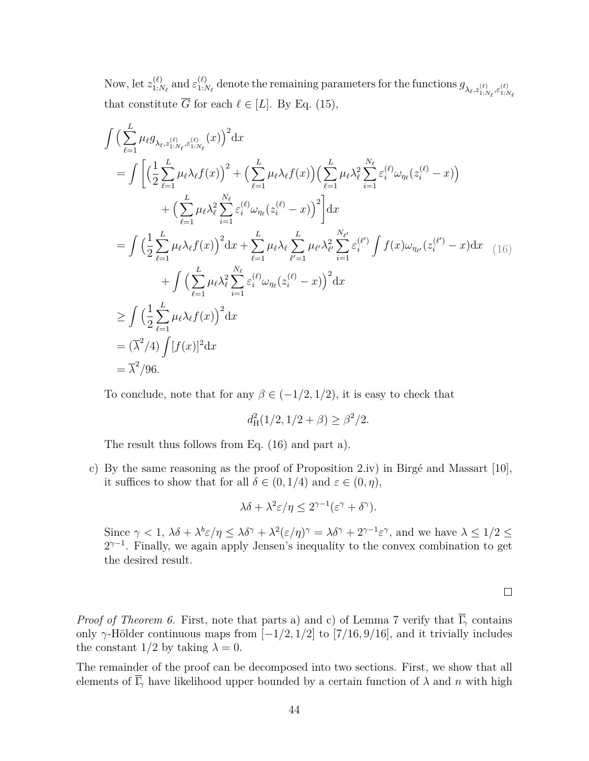Now, let  $z_{1:\Lambda}^{(\ell)}$  $_{1:N_{\ell}}^{(\ell)}$  and  $\varepsilon_{1:I}^{(\ell)}$  $\sum_{i=N_\ell}^{(\ell)}$  denote the remaining parameters for the functions  $g_{\lambda_\ell, z^{(\ell)}_{1:N_\ell}, \varepsilon^{(\ell)}_{1:N_\ell}}$ that constitute  $\overline{G}$  for each  $\ell \in [L]$ . By [Eq. \(15\),](#page-42-1)

<span id="page-43-0"></span>
$$
\int \left(\sum_{\ell=1}^{L} \mu_{\ell} g_{\lambda_{\ell}, z_{1:N_{\ell}}^{(\ell)}, \varepsilon_{1:N_{\ell}}^{(\ell)}}(x)\right)^{2} dx
$$
\n=
$$
\int \left[\left(\frac{1}{2} \sum_{\ell=1}^{L} \mu_{\ell} \lambda_{\ell} f(x)\right)^{2} + \left(\sum_{\ell=1}^{L} \mu_{\ell} \lambda_{\ell} f(x)\right) \left(\sum_{\ell=1}^{L} \mu_{\ell} \lambda_{\ell}^{2} \sum_{i=1}^{N_{\ell}} \varepsilon_{i}^{(\ell)} \omega_{\eta_{\ell}}(z_{i}^{(\ell)} - x)\right) + \left(\sum_{\ell=1}^{L} \mu_{\ell} \lambda_{\ell}^{2} \sum_{i=1}^{N_{\ell}} \varepsilon_{i}^{(\ell)} \omega_{\eta_{\ell}}(z_{i}^{(\ell)} - x)\right)^{2}\right] dx
$$
\n=
$$
\int \left(\frac{1}{2} \sum_{\ell=1}^{L} \mu_{\ell} \lambda_{\ell} f(x)\right)^{2} dx + \sum_{\ell=1}^{L} \mu_{\ell} \lambda_{\ell} \sum_{\ell'=1}^{L} \mu_{\ell} \lambda_{\ell}^{2} \sum_{i=1}^{N_{\ell'}} \varepsilon_{i}^{(\ell)} \int f(x) \omega_{\eta_{\ell'}}(z_{i}^{(\ell)} - x) dx \quad (16)
$$
\n
$$
+ \int \left(\sum_{\ell=1}^{L} \mu_{\ell} \lambda_{\ell}^{2} \sum_{i=1}^{N_{\ell}} \varepsilon_{i}^{(\ell)} \omega_{\eta_{\ell}}(z_{i}^{(\ell)} - x)\right)^{2} dx
$$
\n
$$
\geq \int \left(\frac{1}{2} \sum_{\ell=1}^{L} \mu_{\ell} \lambda_{\ell} f(x)\right)^{2} dx
$$
\n=
$$
(\overline{\lambda}^{2}/4) \int [f(x)]^{2} dx
$$
\n=
$$
\overline{\lambda}^{2}/96.
$$

To conclude, note that for any  $\beta \in (-1/2, 1/2)$ , it is easy to check that

$$
d_{\rm H}^2(1/2, 1/2+\beta) \ge \beta^2/2.
$$

The result thus follows from [Eq. \(16\)](#page-43-0) and part a).

c) By the same reasoning as the proof of Proposition 2.iv) in Birgé and Massart [\[10\]](#page-28-8), it suffices to show that for all  $\delta \in (0, 1/4)$  and  $\varepsilon \in (0, \eta)$ ,

$$
\lambda \delta + \lambda^2 \varepsilon / \eta \le 2^{\gamma - 1} (\varepsilon^{\gamma} + \delta^{\gamma}).
$$

Since  $\gamma < 1$ ,  $\lambda \delta + \lambda^b \varepsilon / \eta \leq \lambda \delta^{\gamma} + \lambda^2 (\varepsilon / \eta)^{\gamma} = \lambda \delta^{\gamma} + 2^{\gamma - 1} \varepsilon^{\gamma}$ , and we have  $\lambda \leq 1/2 \leq \eta$  $2^{\gamma-1}$ . Finally, we again apply Jensen's inequality to the convex combination to get the desired result.

*Proof of [Theorem 6.](#page-22-1)* First, note that parts a) and c) of [Lemma 7](#page-42-0) verify that  $\overline{\Gamma}_\gamma$  contains only  $\gamma$ -Hölder continuous maps from  $[-1/2, 1/2]$  to  $[7/16, 9/16]$ , and it trivially includes the constant  $1/2$  by taking  $\lambda = 0$ .

The remainder of the proof can be decomposed into two sections. First, we show that all elements of  $\overline{\Gamma}_{\gamma}$  have likelihood upper bounded by a certain function of  $\lambda$  and *n* with high

 $\Box$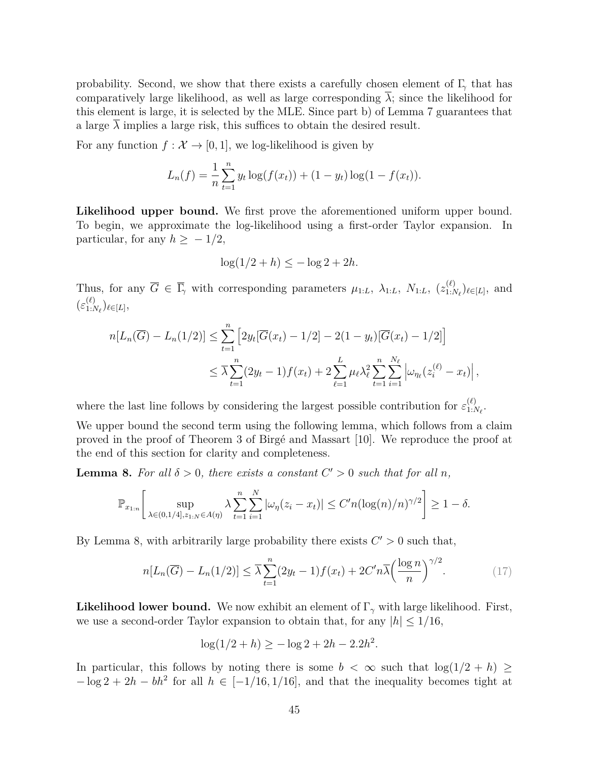probability. Second, we show that there exists a carefully chosen element of Γ*<sup>γ</sup>* that has comparatively large likelihood, as well as large corresponding  $\overline{\lambda}$ ; since the likelihood for this element is large, it is selected by the MLE. Since part b) of [Lemma 7](#page-42-0) guarantees that a large  $\lambda$  implies a large risk, this suffices to obtain the desired result.

For any function  $f: \mathcal{X} \to [0,1]$ , we log-likelihood is given by

$$
L_n(f) = \frac{1}{n} \sum_{t=1}^n y_t \log(f(x_t)) + (1 - y_t) \log(1 - f(x_t)).
$$

**Likelihood upper bound.** We first prove the aforementioned uniform upper bound. To begin, we approximate the log-likelihood using a first-order Taylor expansion. In particular, for any  $h \ge -1/2$ ,

$$
\log(1/2 + h) \le -\log 2 + 2h.
$$

Thus, for any  $\overline{G} \in \overline{\Gamma}_\gamma$  with corresponding parameters  $\mu_{1:L}$ ,  $\lambda_{1:L}$ ,  $N_{1:L}$ ,  $(z_{1:N}^{(\ell)})$  $_{1:N_{\ell}}^{(\ell)}$ <sub> $)\ell \in [L]$ </sub>, and  $(\varepsilon_{1:1}^{(\ell)}$  $\binom{\ell}{1:N_{\ell}}_{\ell \in [L]},$ 

$$
n[L_n(\overline{G}) - L_n(1/2)] \le \sum_{t=1}^n \left[ 2y_t[\overline{G}(x_t) - 1/2] - 2(1 - y_t)[\overline{G}(x_t) - 1/2] \right]
$$
  

$$
\le \overline{\lambda} \sum_{t=1}^n (2y_t - 1)f(x_t) + 2 \sum_{\ell=1}^L \mu_\ell \lambda_\ell^2 \sum_{t=1}^n \sum_{i=1}^{N_\ell} \left| \omega_{\eta_\ell}(z_i^{(\ell)} - x_t) \right|,
$$

where the last line follows by considering the largest possible contribution for  $\varepsilon_{1}^{(\ell)}$  $\frac{(\ell)}{1:N_{\ell}}$ .

We upper bound the second term using the following lemma, which follows from a claim proved in the proof of Theorem 3 of Birgé and Massart [\[10\]](#page-28-8). We reproduce the proof at the end of this section for clarity and completeness.

<span id="page-44-0"></span>**Lemma 8.** For all  $\delta > 0$ , there exists a constant  $C' > 0$  such that for all *n*,

$$
\mathbb{P}_{x_{1:n}}\bigg[\sup_{\lambda \in (0,1/4], z_{1:N} \in A(\eta)} \lambda \sum_{t=1}^{n} \sum_{i=1}^{N} |\omega_{\eta}(z_i - x_t)| \le C' n (\log(n)/n)^{\gamma/2} \bigg] \ge 1 - \delta.
$$

By [Lemma 8,](#page-44-0) with arbitrarily large probability there exists  $C' > 0$  such that,

<span id="page-44-1"></span>
$$
n[L_n(\overline{G}) - L_n(1/2)] \le \overline{\lambda} \sum_{t=1}^n (2y_t - 1) f(x_t) + 2C'n\overline{\lambda} \left(\frac{\log n}{n}\right)^{\gamma/2}.
$$
 (17)

**Likelihood lower bound.** We now exhibit an element of  $\Gamma_{\gamma}$  with large likelihood. First, we use a second-order Taylor expansion to obtain that, for any  $|h| \leq 1/16$ ,

$$
\log(1/2 + h) \ge -\log 2 + 2h - 2.2h^2.
$$

In particular, this follows by noting there is some  $b < \infty$  such that  $\log(1/2 + h) \ge$  $-\log 2 + 2h - bh^2$  for all  $h \in [-1/16, 1/16]$ , and that the inequality becomes tight at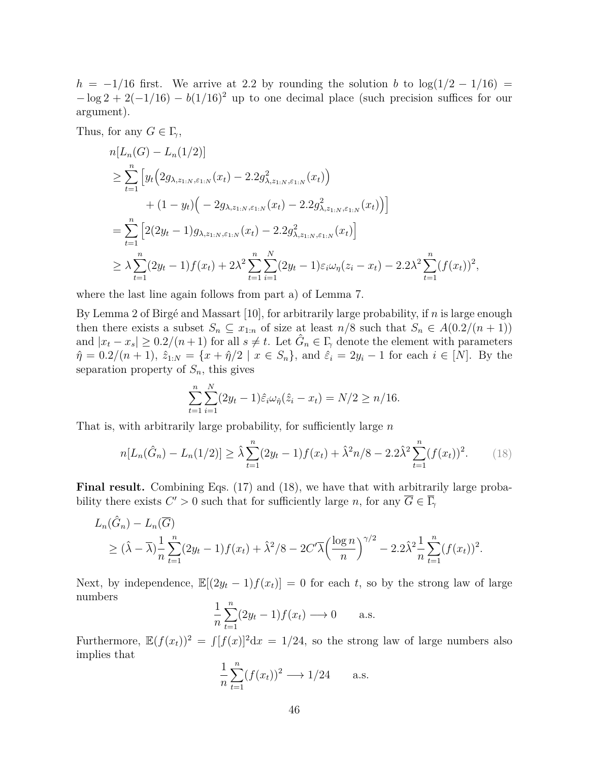$h = -1/16$  first. We arrive at 2.2 by rounding the solution *b* to  $log(1/2 - 1/16)$  $-\log 2 + 2(-1/16) - b(1/16)^2$  up to one decimal place (such precision suffices for our argument).

Thus, for any  $G \in \Gamma_{\!\gamma}$ ,

$$
n[L_n(G) - L_n(1/2)]
$$
  
\n
$$
\geq \sum_{t=1}^n \left[ y_t \left( 2g_{\lambda, z_{1:N}, \varepsilon_{1:N}}(x_t) - 2.2g_{\lambda, z_{1:N}, \varepsilon_{1:N}}^2(x_t) \right) + (1 - y_t) \left( -2g_{\lambda, z_{1:N}, \varepsilon_{1:N}}(x_t) - 2.2g_{\lambda, z_{1:N}, \varepsilon_{1:N}}^2(x_t) \right) \right]
$$
  
\n
$$
= \sum_{t=1}^n \left[ 2(2y_t - 1)g_{\lambda, z_{1:N}, \varepsilon_{1:N}}(x_t) - 2.2g_{\lambda, z_{1:N}, \varepsilon_{1:N}}^2(x_t) \right]
$$
  
\n
$$
\geq \lambda \sum_{t=1}^n (2y_t - 1)f(x_t) + 2\lambda^2 \sum_{t=1}^n \sum_{i=1}^N (2y_t - 1)\varepsilon_i \omega_\eta(z_i - x_t) - 2.2\lambda^2 \sum_{t=1}^n (f(x_t))^2,
$$

where the last line again follows from part a) of [Lemma 7.](#page-42-0)

By Lemma 2 of Birgé and Massart [\[10\]](#page-28-8), for arbitrarily large probability, if *n* is large enough then there exists a subset  $S_n \subseteq x_{1:n}$  of size at least  $n/8$  such that  $S_n \in A(0.2/(n+1))$ and  $|x_t - x_s| \geq 0.2/(n+1)$  for all  $s \neq t$ . Let  $\hat{G}_n \in \Gamma_\gamma$  denote the element with parameters  $\hat{\eta} = 0.2/(n+1), \ \hat{z}_{1:N} = \{x + \hat{\eta}/2 \mid x \in S_n\}, \text{ and } \hat{\varepsilon}_i = 2y_i - 1 \text{ for each } i \in [N].$  By the separation property of  $S_n$ , this gives

$$
\sum_{t=1}^{n} \sum_{i=1}^{N} (2y_t - 1)\hat{\varepsilon}_i \omega_{\hat{\eta}} (\hat{z}_i - x_t) = N/2 \ge n/16.
$$

That is, with arbitrarily large probability, for sufficiently large *n*

<span id="page-45-0"></span>
$$
n[L_n(\hat{G}_n) - L_n(1/2)] \ge \hat{\lambda} \sum_{t=1}^n (2y_t - 1) f(x_t) + \hat{\lambda}^2 n/8 - 2 \cdot 2\hat{\lambda}^2 \sum_{t=1}^n (f(x_t))^2.
$$
 (18)

**Final result.** Combining [Eqs. \(17\)](#page-44-1) and [\(18\),](#page-45-0) we have that with arbitrarily large probability there exists  $C' > 0$  such that for sufficiently large *n*, for any  $\overline{G} \in \overline{\Gamma}_\gamma$ 

$$
L_n(\hat{G}_n) - L_n(\overline{G})
$$
  
\n
$$
\geq (\hat{\lambda} - \overline{\lambda}) \frac{1}{n} \sum_{t=1}^n (2y_t - 1) f(x_t) + \hat{\lambda}^2 / 8 - 2C' \overline{\lambda} \left(\frac{\log n}{n}\right)^{\gamma/2} - 2 \cdot 2 \hat{\lambda}^2 \frac{1}{n} \sum_{t=1}^n (f(x_t))^2.
$$

Next, by independence,  $\mathbb{E}[(2y_t - 1)f(x_t)] = 0$  for each *t*, so by the strong law of large numbers

$$
\frac{1}{n}\sum_{t=1}^{n}(2y_t-1)f(x_t) \longrightarrow 0 \quad \text{a.s.}
$$

Furthermore,  $\mathbb{E}(f(x_t))^2 = \int [f(x)]^2 dx = 1/24$ , so the strong law of large numbers also implies that

$$
\frac{1}{n}\sum_{t=1}^{n}(f(x_t))^{2} \longrightarrow 1/24 \quad \text{a.s.}
$$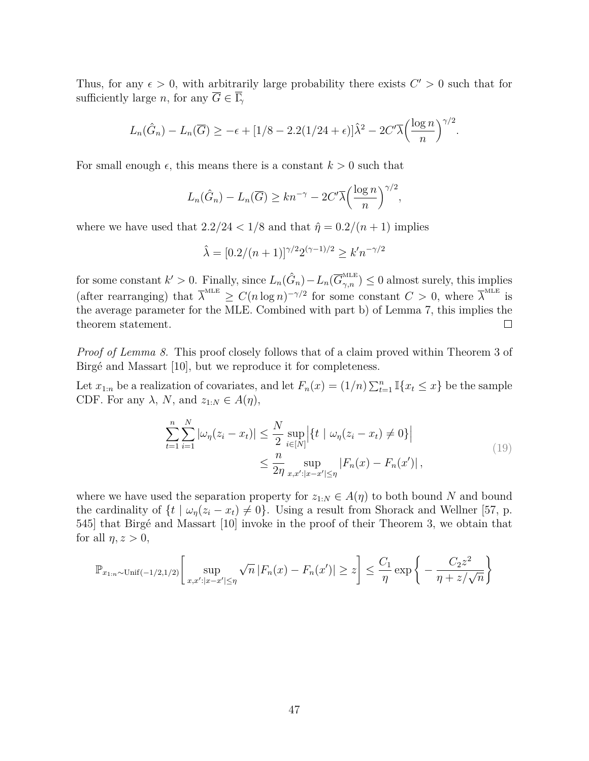Thus, for any  $\epsilon > 0$ , with arbitrarily large probability there exists  $C' > 0$  such that for sufficiently large *n*, for any  $\overline{G} \in \overline{\Gamma}_\gamma$ 

$$
L_n(\hat{G}_n) - L_n(\overline{G}) \ge -\epsilon + [1/8 - 2.2(1/24 + \epsilon)]\hat{\lambda}^2 - 2C'\overline{\lambda} \left(\frac{\log n}{n}\right)^{\gamma/2}.
$$

For small enough  $\epsilon$ , this means there is a constant  $k > 0$  such that

$$
L_n(\hat{G}_n) - L_n(\overline{G}) \ge kn^{-\gamma} - 2C'\overline{\lambda} \left(\frac{\log n}{n}\right)^{\gamma/2},
$$

where we have used that  $2.2/24 < 1/8$  and that  $\hat{\eta} = 0.2/(n+1)$  implies

$$
\hat{\lambda} = [0.2/(n+1)]^{\gamma/2} 2^{(\gamma - 1)/2} \ge k' n^{-\gamma/2}
$$

for some constant  $k' > 0$ . Finally, since  $L_n(\hat{G}_n) - L_n(\overline{G}_{\gamma,n}^{\text{MLE}}) \leq 0$  almost surely, this implies (after rearranging) that  $\overline{\lambda}^{\text{MLE}} \geq C(n \log n)^{-\gamma/2}$  for some constant  $C > 0$ , where  $\overline{\lambda}^{\text{MLE}}$  is the average parameter for the MLE. Combined with part b) of [Lemma 7,](#page-42-0) this implies the theorem statement.  $\Box$ 

*Proof of [Lemma 8.](#page-44-0)* This proof closely follows that of a claim proved within Theorem 3 of Birgé and Massart [\[10\]](#page-28-8), but we reproduce it for completeness.

Let  $x_{1:n}$  be a realization of covariates, and let  $F_n(x) = (1/n) \sum_{t=1}^n \mathbb{I}\{x_t \leq x\}$  be the sample CDF. For any  $\lambda$ , N, and  $z_{1:N} \in A(\eta)$ ,

<span id="page-46-0"></span>
$$
\sum_{t=1}^{n} \sum_{i=1}^{N} |\omega_{\eta}(z_i - x_t)| \leq \frac{N}{2} \sup_{i \in [N]} \left| \{ t \mid \omega_{\eta}(z_i - x_t) \neq 0 \} \right|
$$
\n
$$
\leq \frac{n}{2\eta} \sup_{x, x': |x - x'| \leq \eta} |F_n(x) - F_n(x')|,
$$
\n(19)

where we have used the separation property for  $z_{1:N} \in A(\eta)$  to both bound *N* and bound the cardinality of  $\{t \mid \omega_{\eta}(z_i - x_t) \neq 0\}$ . Using a result from Shorack and Wellner [\[57,](#page-31-15) p. 545] that Birgé and Massart [\[10\]](#page-28-8) invoke in the proof of their Theorem 3, we obtain that for all  $\eta$ ,  $z > 0$ ,

$$
\mathbb{P}_{x_{1:n}\sim\text{Unif}(-1/2,1/2)}\bigg[\sup_{x,x':|x-x'|\leq \eta} \sqrt{n} |F_n(x) - F_n(x')| \geq z\bigg] \leq \frac{C_1}{\eta} \exp\bigg\{-\frac{C_2 z^2}{\eta + z/\sqrt{n}}\bigg\}
$$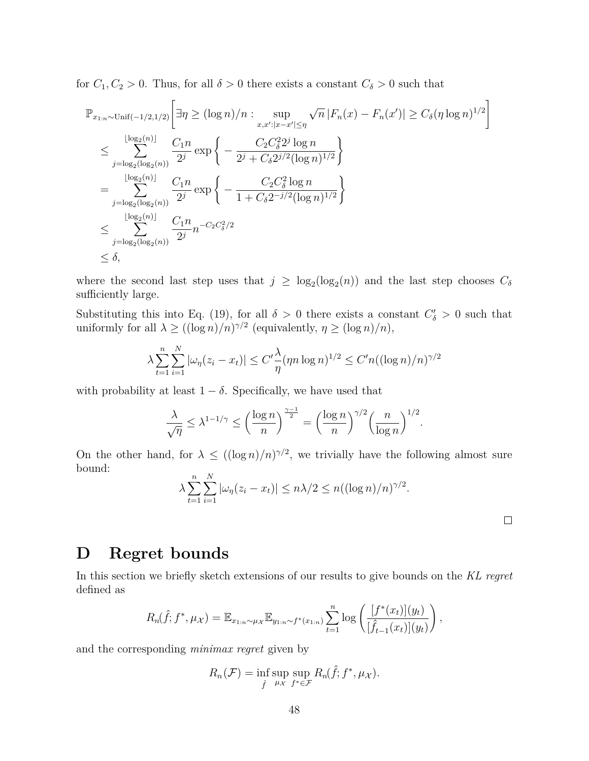for  $C_1, C_2 > 0$ . Thus, for all  $\delta > 0$  there exists a constant  $C_{\delta} > 0$  such that

$$
\mathbb{P}_{x_{1:n}\sim\text{Unif}(-1/2,1/2)}\left[\exists\eta\geq(\log n)/n:\sup_{x,x':|x-x'|\leq\eta}\sqrt{n}|F_n(x)-F_n(x')|\geq C_{\delta}(\eta\log n)^{1/2}\right]
$$
\n
$$
\leq \sum_{j=\log_2(\log_2(n))}^{\lfloor\log_2(n)\rfloor}\frac{C_1n}{2^j}\exp\left\{-\frac{C_2C_{\delta}^22^j\log n}{2^j+C_{\delta}2^{j/2}(\log n)^{1/2}}\right\}
$$
\n
$$
=\sum_{j=\log_2(\log_2(n))}^{\lfloor\log_2(n)\rfloor}\frac{C_1n}{2^j}\exp\left\{-\frac{C_2C_{\delta}^2\log n}{1+C_{\delta}2^{-j/2}(\log n)^{1/2}}\right\}
$$
\n
$$
\leq \sum_{j=\log_2(\log_2(n))}^{\lfloor\log_2(n)\rfloor}\frac{C_1n}{2^j}n^{-C_2C_{\delta}^2/2}
$$
\n
$$
\leq \delta,
$$

where the second last step uses that  $j \geq \log_2(\log_2(n))$  and the last step chooses  $C_\delta$ sufficiently large.

Substituting this into [Eq. \(19\),](#page-46-0) for all  $\delta > 0$  there exists a constant  $C'_{\delta} > 0$  such that uniformly for all  $\lambda \geq ((\log n)/n)^{\gamma/2}$  (equivalently,  $\eta \geq (\log n)/n$ ),

$$
\lambda \sum_{t=1}^{n} \sum_{i=1}^{N} |\omega_{\eta}(z_i - x_t)| \le C' \frac{\lambda}{\eta} (\eta n \log n)^{1/2} \le C' n ((\log n)/n)^{\gamma/2}
$$

with probability at least  $1 - \delta$ . Specifically, we have used that

$$
\frac{\lambda}{\sqrt{\eta}} \le \lambda^{1-1/\gamma} \le \left(\frac{\log n}{n}\right)^{\frac{\gamma-1}{2}} = \left(\frac{\log n}{n}\right)^{\gamma/2} \left(\frac{n}{\log n}\right)^{1/2}.
$$

On the other hand, for  $\lambda \leq ((\log n)/n)^{\gamma/2}$ , we trivially have the following almost sure bound:

$$
\lambda \sum_{t=1}^n \sum_{i=1}^N |\omega_\eta(z_i - x_t)| \leq n \lambda/2 \leq n((\log n)/n)^{\gamma/2}.
$$

 $\Box$ 

# <span id="page-47-0"></span>**D Regret bounds**

In this section we briefly sketch extensions of our results to give bounds on the *KL regret* defined as

$$
R_n(\hat{f}; f^*, \mu_{\mathcal{X}}) = \mathbb{E}_{x_{1:n} \sim \mu_{\mathcal{X}}} \mathbb{E}_{y_{1:n} \sim f^*(x_{1:n})} \sum_{t=1}^n \log \left( \frac{[f^*(x_t)](y_t)}{[\hat{f}_{t-1}(x_t)](y_t)} \right),
$$

and the corresponding *minimax regret* given by

$$
R_n(\mathcal{F}) = \inf_{\hat{f}} \sup_{\mu_{\mathcal{X}}} \sup_{f^* \in \mathcal{F}} R_n(\hat{f}; f^*, \mu_{\mathcal{X}}).
$$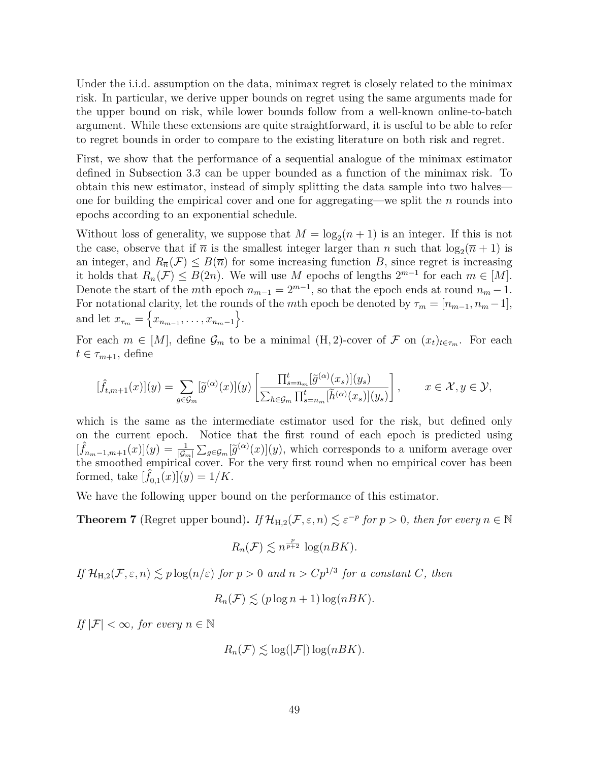Under the i.i.d. assumption on the data, minimax regret is closely related to the minimax risk. In particular, we derive upper bounds on regret using the same arguments made for the upper bound on risk, while lower bounds follow from a well-known online-to-batch argument. While these extensions are quite straightforward, it is useful to be able to refer to regret bounds in order to compare to the existing literature on both risk and regret.

First, we show that the performance of a sequential analogue of the minimax estimator defined in [Subsection 3.3](#page-7-0) can be upper bounded as a function of the minimax risk. To obtain this new estimator, instead of simply splitting the data sample into two halves one for building the empirical cover and one for aggregating—we split the *n* rounds into epochs according to an exponential schedule.

Without loss of generality, we suppose that  $M = \log_2(n+1)$  is an integer. If this is not the case, observe that if  $\overline{n}$  is the smallest integer larger than *n* such that  $\log_2(\overline{n} + 1)$  is an integer, and  $R_{\overline{n}}(\mathcal{F}) \leq B(\overline{n})$  for some increasing function *B*, since regret is increasing it holds that  $R_n(\mathcal{F}) \leq B(2n)$ . We will use M epochs of lengths  $2^{m-1}$  for each  $m \in [M]$ . Denote the start of the *m*th epoch  $n_{m-1} = 2^{m-1}$ , so that the epoch ends at round  $n_m - 1$ . For notational clarity, let the rounds of the *m*th epoch be denoted by  $\tau_m = [n_{m-1}, n_m-1]$ , and let  $x_{\tau_m} = \{x_{n_{m-1}}, \ldots, x_{n_{m-1}}\}.$ 

For each  $m \in [M]$ , define  $\mathcal{G}_m$  to be a minimal (H, 2)-cover of  $\mathcal F$  on  $(x_t)_{t \in \tau_m}$ . For each  $t \in \tau_{m+1}$ , define

$$
[\hat{f}_{t,m+1}(x)](y) = \sum_{g \in \mathcal{G}_m} [\tilde{g}^{(\alpha)}(x)](y) \left[ \frac{\prod_{s=n_m}^t [\tilde{g}^{(\alpha)}(x_s)](y_s)}{\sum_{h \in \mathcal{G}_m} \prod_{s=n_m}^t [\tilde{h}^{(\alpha)}(x_s)](y_s)} \right], \qquad x \in \mathcal{X}, y \in \mathcal{Y},
$$

which is the same as the intermediate estimator used for the risk, but defined only on the current epoch. Notice that the first round of each epoch is predicted using  $[\hat{f}_{n_m-1,m+1}(x)](y) = \frac{1}{|\mathcal{G}_m|} \sum_{g \in \mathcal{G}_m} [\tilde{g}^{(\alpha)}(x)](y)$ , which corresponds to a uniform average over the smoothed empirical cover. For the very first round when no empirical cover has been formed, take  $[\hat{f}_{0,1}(x)](y) = 1/K$ .

We have the following upper bound on the performance of this estimator.

<span id="page-48-0"></span>**Theorem 7** (Regret upper bound). If  $\mathcal{H}_{H,2}(\mathcal{F}, \varepsilon, n) \lesssim \varepsilon^{-p}$  for  $p > 0$ , then for every  $n \in \mathbb{N}$ 

$$
R_n(\mathcal{F}) \lesssim n^{\frac{p}{p+2}} \log(nBK).
$$

*If*  $\mathcal{H}_{H,2}(\mathcal{F},\varepsilon,n) \lesssim p \log(n/\varepsilon)$  *for*  $p > 0$  *and*  $n > Cp^{1/3}$  *for a constant C, then* 

 $R_n(\mathcal{F}) \leq (p \log n + 1) \log(nBK)$ .

 $If$   $|\mathcal{F}| < \infty$ *, for every*  $n \in \mathbb{N}$ 

$$
R_n(\mathcal{F}) \lesssim \log(|\mathcal{F}|) \log(nBK).
$$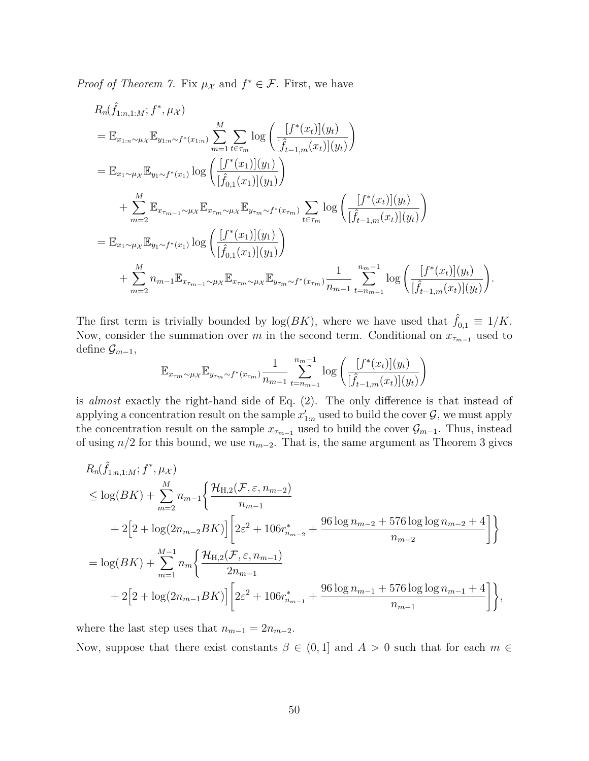*Proof of [Theorem 7.](#page-48-0)* Fix  $\mu_{\mathcal{X}}$  and  $f^* \in \mathcal{F}$ . First, we have

$$
R_{n}(\hat{f}_{1:n,1:M}; f^{*}, \mu x)
$$
\n
$$
= \mathbb{E}_{x_{1:n} \sim \mu_{\mathcal{X}}} \mathbb{E}_{y_{1:n} \sim f^{*}(x_{1:n})} \sum_{m=1}^{M} \sum_{t \in \tau_{m}} \log \left( \frac{[f^{*}(x_{t})](y_{t})}{[\hat{f}_{t-1,m}(x_{t})](y_{t})} \right)
$$
\n
$$
= \mathbb{E}_{x_{1} \sim \mu_{\mathcal{X}}} \mathbb{E}_{y_{1} \sim f^{*}(x_{1})} \log \left( \frac{[f^{*}(x_{1})](y_{1})}{[\hat{f}_{0,1}(x_{1})](y_{1})} \right)
$$
\n
$$
+ \sum_{m=2}^{M} \mathbb{E}_{x_{\tau_{m-1}} \sim \mu_{\mathcal{X}}} \mathbb{E}_{x_{\tau_{m}} \sim \mu_{\mathcal{X}}} \mathbb{E}_{y_{\tau_{m}} \sim f^{*}(x_{\tau_{m}})} \sum_{t \in \tau_{m}} \log \left( \frac{[f^{*}(x_{t})](y_{t})}{[\hat{f}_{t-1,m}(x_{t})](y_{t})} \right)
$$
\n
$$
= \mathbb{E}_{x_{1} \sim \mu_{\mathcal{X}}} \mathbb{E}_{y_{1} \sim f^{*}(x_{1})} \log \left( \frac{[f^{*}(x_{1})](y_{1})}{[\hat{f}_{0,1}(x_{1})](y_{1})} \right)
$$
\n
$$
+ \sum_{m=2}^{M} n_{m-1} \mathbb{E}_{x_{\tau_{m-1}} \sim \mu_{\mathcal{X}}} \mathbb{E}_{x_{\tau_{m}} \sim \mu_{\mathcal{X}}} \mathbb{E}_{y_{\tau_{m}} \sim f^{*}(x_{\tau_{m}})} \frac{1}{n_{m-1}} \sum_{t=n_{m-1}}^{n_{m-1}} \log \left( \frac{[f^{*}(x_{t})](y_{t})}{[\hat{f}_{t-1,m}(x_{t})](y_{t})} \right).
$$

The first term is trivially bounded by  $log(BK)$ , where we have used that  $\hat{f}_{0,1} \equiv 1/K$ . Now, consider the summation over *m* in the second term. Conditional on  $x_{\tau_{m-1}}$  used to define G*m*−1,

$$
\mathbb{E}_{x_{\tau_m} \sim \mu_X} \mathbb{E}_{y_{\tau_m} \sim f^*(x_{\tau_m})} \frac{1}{n_{m-1}} \sum_{t=n_{m-1}}^{n_m-1} \log \left( \frac{[f^*(x_t)](y_t)}{[\hat{f}_{t-1,m}(x_t)](y_t)} \right)
$$

is *almost* exactly the right-hand side of [Eq. \(2\).](#page-16-1) The only difference is that instead of applying a concentration result on the sample  $x'_{1:n}$  used to build the cover  $\mathcal{G}$ , we must apply the concentration result on the sample  $x_{\tau_{m-1}}$  used to build the cover  $\mathcal{G}_{m-1}$ . Thus, instead of using  $n/2$  for this bound, we use  $n_{m-2}$ . That is, the same argument as [Theorem 3](#page-15-1) gives

$$
R_{n}(\hat{f}_{1:n,1:M};f^{*},\mu_{\mathcal{X}})
$$
  
\n
$$
\leq \log(BK) + \sum_{m=2}^{M} n_{m-1} \left\{ \frac{\mathcal{H}_{H,2}(\mathcal{F},\varepsilon,n_{m-2})}{n_{m-1}} \right\}
$$
  
\n
$$
+ 2\left[2 + \log(2n_{m-2}BK)\right] \left[2\varepsilon^{2} + 106r_{n_{m-2}}^{*} + \frac{96\log n_{m-2} + 576\log\log n_{m-2} + 4}{n_{m-2}}\right] \left\}
$$
  
\n
$$
= \log(BK) + \sum_{m=1}^{M-1} n_{m} \left\{ \frac{\mathcal{H}_{H,2}(\mathcal{F},\varepsilon,n_{m-1})}{2n_{m-1}} \right\}
$$
  
\n
$$
+ 2\left[2 + \log(2n_{m-1}BK)\right] \left[2\varepsilon^{2} + 106r_{n_{m-1}}^{*} + \frac{96\log n_{m-1} + 576\log\log n_{m-1} + 4}{n_{m-1}}\right] \left\},\right.
$$

where the last step uses that  $n_{m-1} = 2n_{m-2}$ .

Now, suppose that there exist constants  $\beta \in (0,1]$  and  $A > 0$  such that for each  $m \in$